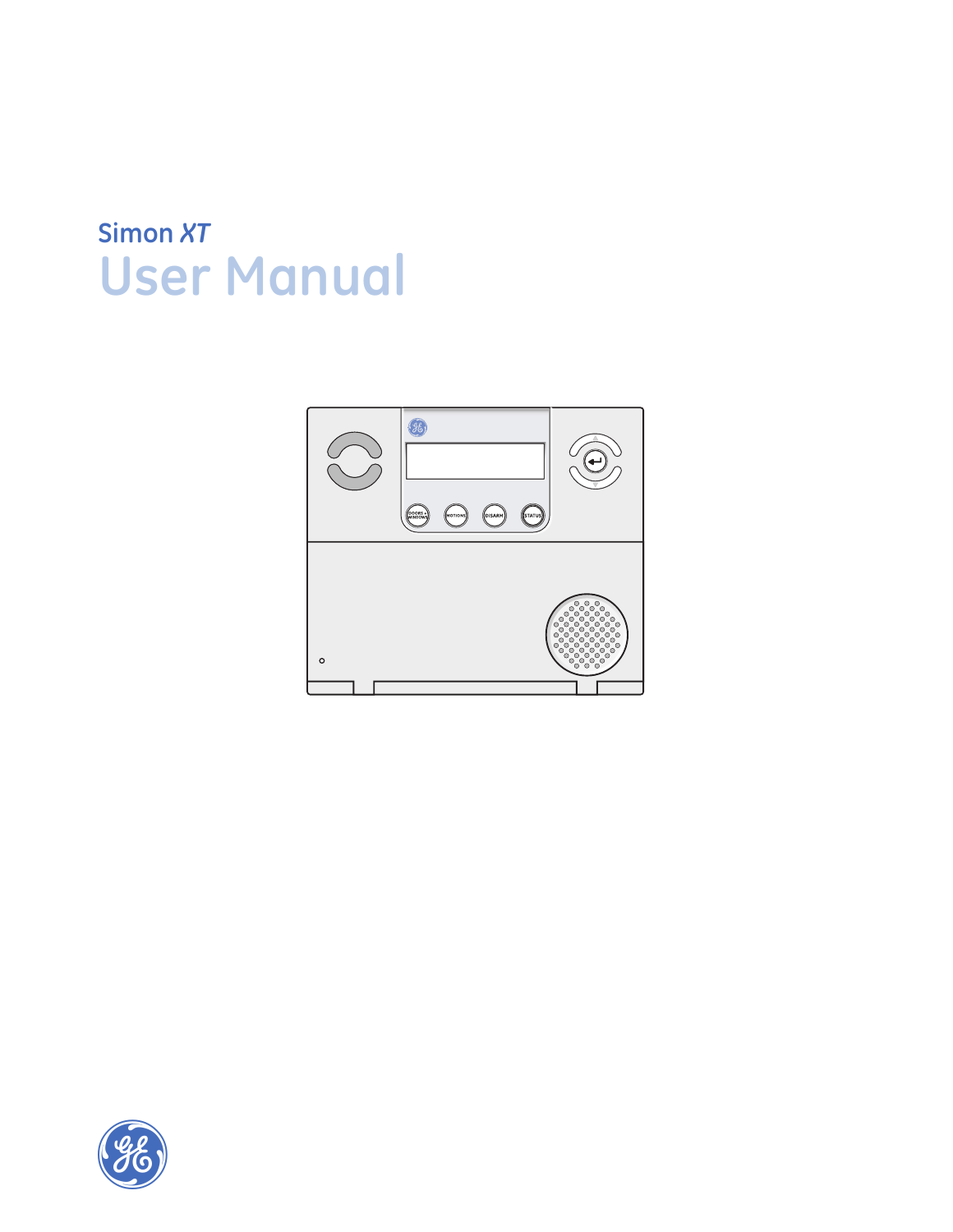# **Simon** *XT* **User Manual**



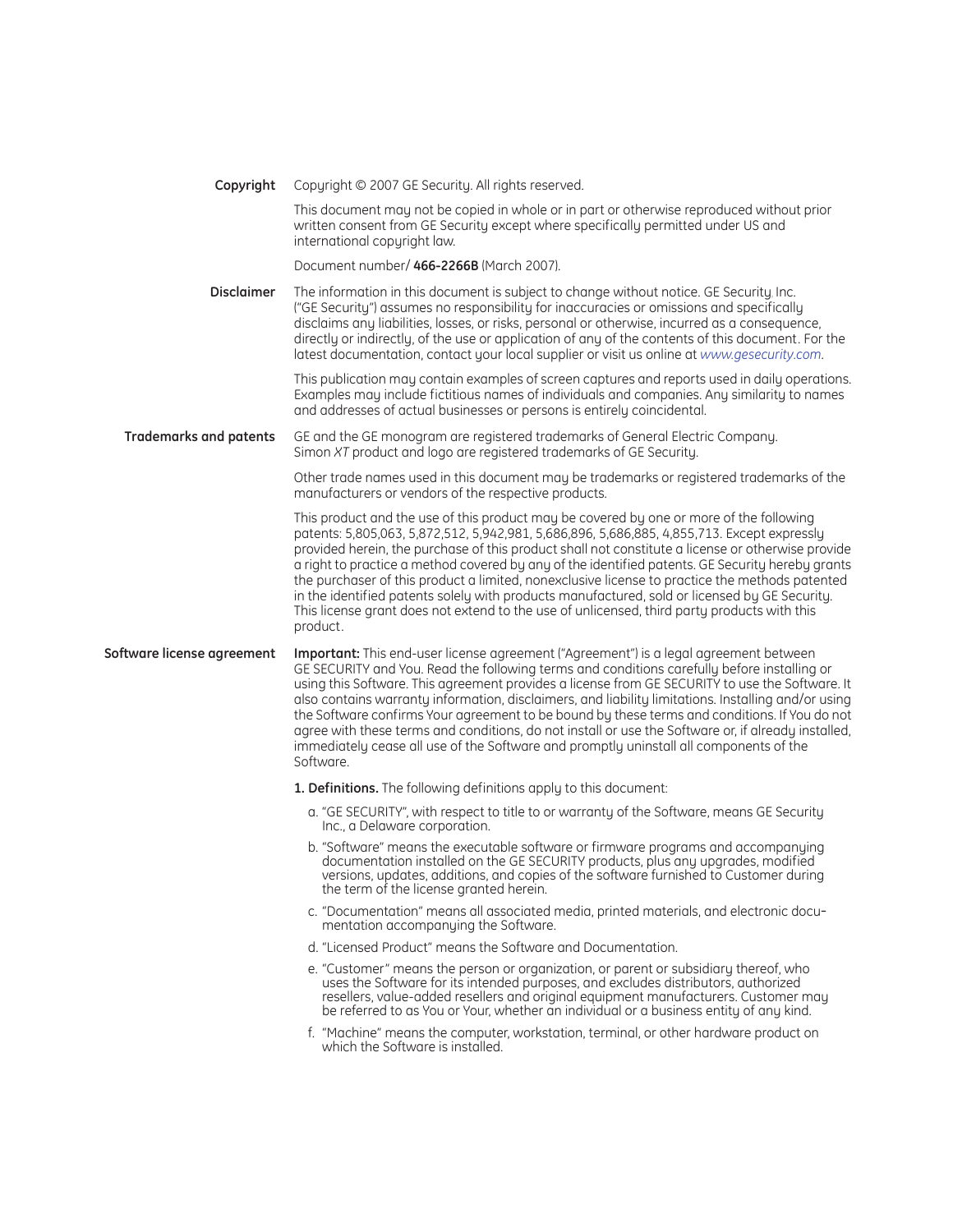| Copyright                     | Copyright © 2007 GE Security. All rights reserved.                                                                                                                                                                                                                                                                                                                                                                                                                                                                                                                                                                                                                                                            |
|-------------------------------|---------------------------------------------------------------------------------------------------------------------------------------------------------------------------------------------------------------------------------------------------------------------------------------------------------------------------------------------------------------------------------------------------------------------------------------------------------------------------------------------------------------------------------------------------------------------------------------------------------------------------------------------------------------------------------------------------------------|
|                               | This document may not be copied in whole or in part or otherwise reproduced without prior<br>written consent from GE Security except where specifically permitted under US and<br>international copyright law.                                                                                                                                                                                                                                                                                                                                                                                                                                                                                                |
|                               | Document number/ 466-2266B (March 2007).                                                                                                                                                                                                                                                                                                                                                                                                                                                                                                                                                                                                                                                                      |
| <b>Disclaimer</b>             | The information in this document is subject to change without notice. GE Security, Inc.<br>("GE Security") assumes no responsibility for inaccuracies or omissions and specifically<br>disclaims any liabilities, losses, or risks, personal or otherwise, incurred as a consequence,<br>directly or indirectly, of the use or application of any of the contents of this document. For the<br>latest documentation, contact your local supplier or visit us online at www.gesecurity.com.                                                                                                                                                                                                                    |
|                               | This publication may contain examples of screen captures and reports used in daily operations.<br>Examples may include fictitious names of individuals and companies. Any similarity to names<br>and addresses of actual businesses or persons is entirely coincidental.                                                                                                                                                                                                                                                                                                                                                                                                                                      |
| <b>Trademarks and patents</b> | GE and the GE monogram are registered trademarks of General Electric Company.<br>Simon XT product and logo are registered trademarks of GE Security.                                                                                                                                                                                                                                                                                                                                                                                                                                                                                                                                                          |
|                               | Other trade names used in this document may be trademarks or registered trademarks of the<br>manufacturers or vendors of the respective products.                                                                                                                                                                                                                                                                                                                                                                                                                                                                                                                                                             |
|                               | This product and the use of this product may be covered by one or more of the following<br>patents: 5,805,063, 5,872,512, 5,942,981, 5,686,896, 5,686,885, 4,855,713. Except expressly<br>provided herein, the purchase of this product shall not constitute a license or otherwise provide<br>a right to practice a method covered by any of the identified patents. GE Security hereby grants<br>the purchaser of this product a limited, nonexclusive license to practice the methods patented<br>in the identified patents solely with products manufactured, sold or licensed by GE Security.<br>This license grant does not extend to the use of unlicensed, third party products with this<br>product. |
| Software license agreement    | Important: This end-user license agreement ("Agreement") is a legal agreement between<br>GE SECURITY and You. Read the following terms and conditions carefully before installing or<br>using this Software. This agreement provides a license from GE SECURITY to use the Software. It<br>also contains warranty information, disclaimers, and liability limitations. Installing and/or using<br>the Software confirms Your agreement to be bound by these terms and conditions. If You do not<br>agree with these terms and conditions, do not install or use the Software or, if already installed,<br>immediately cease all use of the Software and promptly uninstall all components of the<br>Software. |
|                               | 1. Definitions. The following definitions apply to this document:                                                                                                                                                                                                                                                                                                                                                                                                                                                                                                                                                                                                                                             |
|                               | a. "GE SECURITY", with respect to title to or warranty of the Software, means GE Security<br>Inc., a Delaware corporation.                                                                                                                                                                                                                                                                                                                                                                                                                                                                                                                                                                                    |
|                               | b. "Software" means the executable software or firmware programs and accompanying<br>documentation installed on the GE SECURITY products, plus any upgrades, modified<br>versions, updates, additions, and copies of the software furnished to Customer during<br>the term of the license granted herein.                                                                                                                                                                                                                                                                                                                                                                                                     |
|                               | c. "Documentation" means all associated media, printed materials, and electronic docu-<br>mentation accompanying the Software.                                                                                                                                                                                                                                                                                                                                                                                                                                                                                                                                                                                |
|                               | d. "Licensed Product" means the Software and Documentation.                                                                                                                                                                                                                                                                                                                                                                                                                                                                                                                                                                                                                                                   |
|                               | e. "Customer" means the person or organization, or parent or subsidiary thereof, who<br>uses the Software for its intended purposes, and excludes distributors, authorized<br>resellers, value-added resellers and original equipment manufacturers. Customer may<br>be referred to as You or Your, whether an individual or a business entity of any kind.                                                                                                                                                                                                                                                                                                                                                   |
|                               | f. "Machine" means the computer, workstation, terminal, or other hardware product on<br>which the Software is installed.                                                                                                                                                                                                                                                                                                                                                                                                                                                                                                                                                                                      |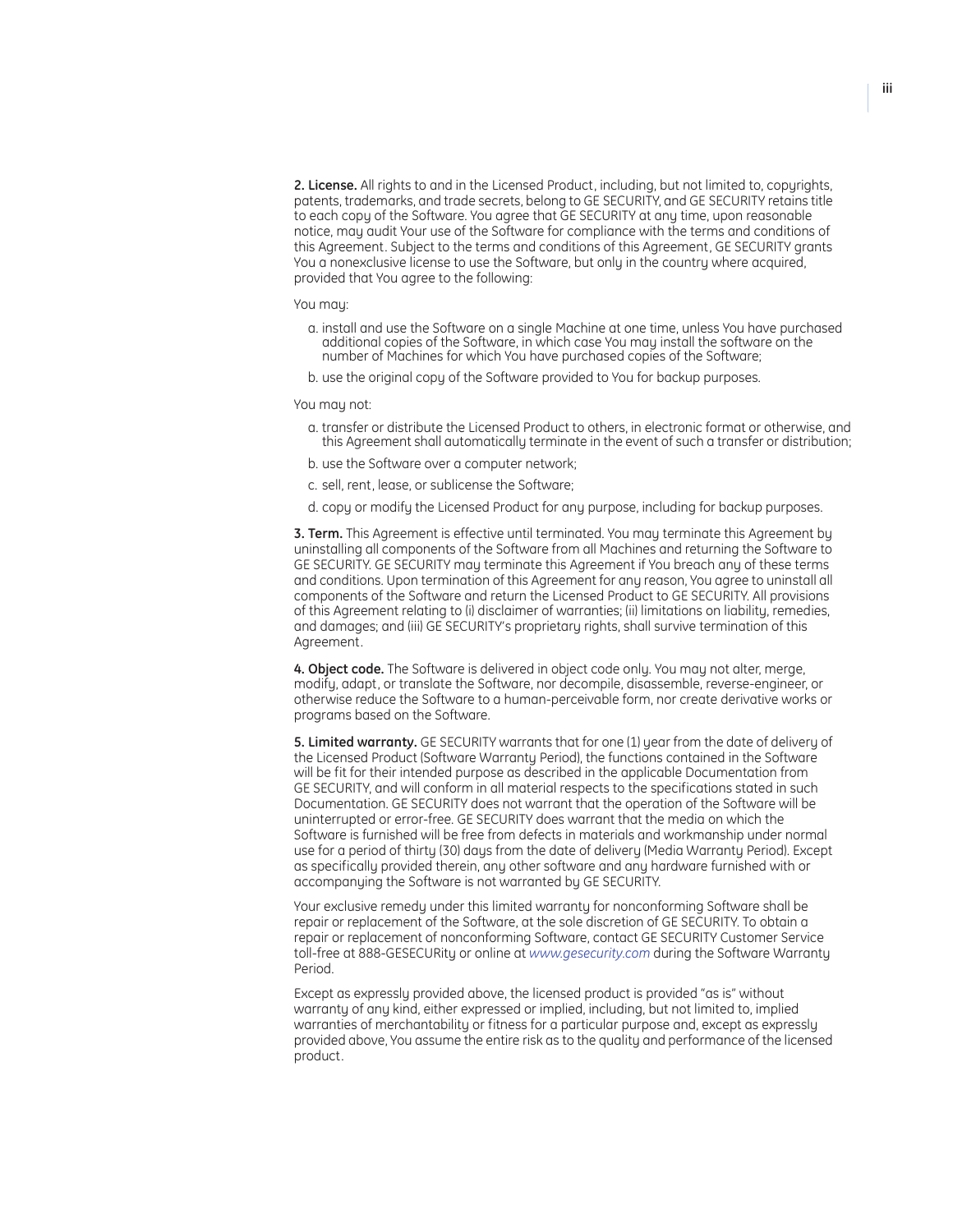**2. License.** All rights to and in the Licensed Product, including, but not limited to, copyrights, patents, trademarks, and trade secrets, belong to GE SECURITY, and GE SECURITY retains title to each copy of the Software. You agree that GE SECURITY at any time, upon reasonable notice, may audit Your use of the Software for compliance with the terms and conditions of this Agreement. Subject to the terms and conditions of this Agreement, GE SECURITY grants You a nonexclusive license to use the Software, but only in the country where acquired, provided that You agree to the following:

You mau:

- a. install and use the Software on a single Machine at one time, unless You have purchased additional copies of the Software, in which case You may install the software on the number of Machines for which You have purchased copies of the Software;
- b. use the original copy of the Software provided to You for backup purposes.

You may not:

- a. transfer or distribute the Licensed Product to others, in electronic format or otherwise, and this Agreement shall automatically terminate in the event of such a transfer or distribution;
- b. use the Software over a computer network;
- c. sell, rent, lease, or sublicense the Software;
- d. copy or modify the Licensed Product for any purpose, including for backup purposes.

**3. Term.** This Agreement is effective until terminated. You may terminate this Agreement by uninstalling all components of the Software from all Machines and returning the Software to GE SECURITY. GE SECURITY may terminate this Agreement if You breach any of these terms and conditions. Upon termination of this Agreement for any reason, You agree to uninstall all components of the Software and return the Licensed Product to GE SECURITY. All provisions of this Agreement relating to (i) disclaimer of warranties; (ii) limitations on liability, remedies, and damages; and (iii) GE SECURITY's proprietary rights, shall survive termination of this Agreement.

**4. Object code.** The Software is delivered in object code only. You may not alter, merge, modify, adapt, or translate the Software, nor decompile, disassemble, reverse-engineer, or otherwise reduce the Software to a human-perceivable form, nor create derivative works or programs based on the Software.

**5. Limited warranty.** GE SECURITY warrants that for one (1) year from the date of delivery of the Licensed Product (Software Warranty Period), the functions contained in the Software will be fit for their intended purpose as described in the applicable Documentation from GE SECURITY, and will conform in all material respects to the specifications stated in such Documentation. GE SECURITY does not warrant that the operation of the Software will be uninterrupted or error-free. GE SECURITY does warrant that the media on which the Software is furnished will be free from defects in materials and workmanship under normal use for a period of thirty (30) days from the date of delivery (Media Warranty Period). Except as specifically provided therein, any other software and any hardware furnished with or accompanying the Software is not warranted by GE SECURITY.

Your exclusive remedy under this limited warranty for nonconforming Software shall be repair or replacement of the Software, at the sole discretion of GE SECURITY. To obtain a repair or replacement of nonconforming Software, contact GE SECURITY Customer Service toll-free at 888-GESECURity or online at *www.gesecurity.com* during the Software Warranty Period.

Except as expressly provided above, the licensed product is provided "as is" without warranty of any kind, either expressed or implied, including, but not limited to, implied warranties of merchantability or fitness for a particular purpose and, except as expressly provided above, You assume the entire risk as to the quality and performance of the licensed product.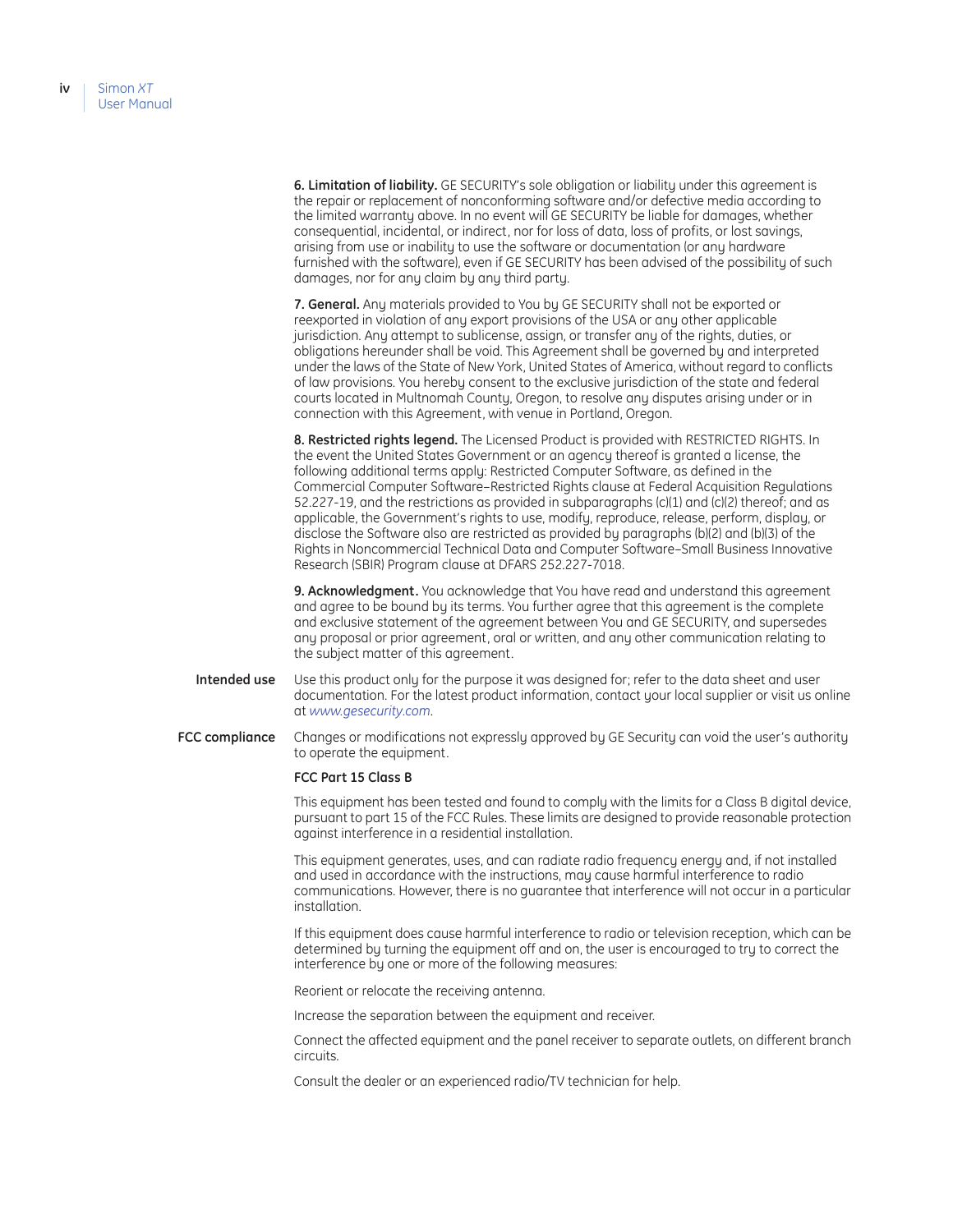**6. Limitation of liability.** GE SECURITY's sole obligation or liability under this agreement is the repair or replacement of nonconforming software and/or defective media according to the limited warranty above. In no event will GE SECURITY be liable for damages, whether consequential, incidental, or indirect, nor for loss of data, loss of profits, or lost savings, arising from use or inability to use the software or documentation (or any hardware furnished with the software), even if GE SECURITY has been advised of the possibility of such damages, nor for any claim by any third party.

**7. General.** Any materials provided to You by GE SECURITY shall not be exported or reexported in violation of any export provisions of the USA or any other applicable jurisdiction. Any attempt to sublicense, assign, or transfer any of the rights, duties, or obligations hereunder shall be void. This Agreement shall be governed by and interpreted under the laws of the State of New York, United States of America, without regard to conflicts of law provisions. You hereby consent to the exclusive jurisdiction of the state and federal courts located in Multnomah County, Oregon, to resolve any disputes arising under or in connection with this Agreement, with venue in Portland, Oregon.

**8. Restricted rights legend.** The Licensed Product is provided with RESTRICTED RIGHTS. In the event the United States Government or an agency thereof is granted a license, the following additional terms apply: Restricted Computer Software, as defined in the Commercial Computer Software–Restricted Rights clause at Federal Acquisition Regulations 52.227-19, and the restrictions as provided in subparagraphs (c)(1) and (c)(2) thereof; and as applicable, the Government's rights to use, modify, reproduce, release, perform, display, or disclose the Software also are restricted as provided by paragraphs (b)(2) and (b)(3) of the Rights in Noncommercial Technical Data and Computer Software–Small Business Innovative Research (SBIR) Program clause at DFARS 252.227-7018.

**9. Acknowledgment.** You acknowledge that You have read and understand this agreement and agree to be bound by its terms. You further agree that this agreement is the complete and exclusive statement of the agreement between You and GE SECURITY, and supersedes any proposal or prior agreement, oral or written, and any other communication relating to the subject matter of this agreement.

- **Intended use** Use this product only for the purpose it was designed for; refer to the data sheet and user documentation. For the latest product information, contact your local supplier or visit us online at *www.gesecurity.com*.
- **FCC compliance** Changes or modifications not expressly approved by GE Security can void the user's authority to operate the equipment.

#### **FCC Part 15 Class B**

This equipment has been tested and found to comply with the limits for a Class B digital device, pursuant to part 15 of the FCC Rules. These limits are designed to provide reasonable protection against interference in a residential installation.

This equipment generates, uses, and can radiate radio frequency energy and, if not installed and used in accordance with the instructions, may cause harmful interference to radio communications. However, there is no guarantee that interference will not occur in a particular installation.

If this equipment does cause harmful interference to radio or television reception, which can be determined by turning the equipment off and on, the user is encouraged to try to correct the interference by one or more of the following measures:

Reorient or relocate the receiving antenna.

Increase the separation between the equipment and receiver.

Connect the affected equipment and the panel receiver to separate outlets, on different branch circuits.

Consult the dealer or an experienced radio/TV technician for help.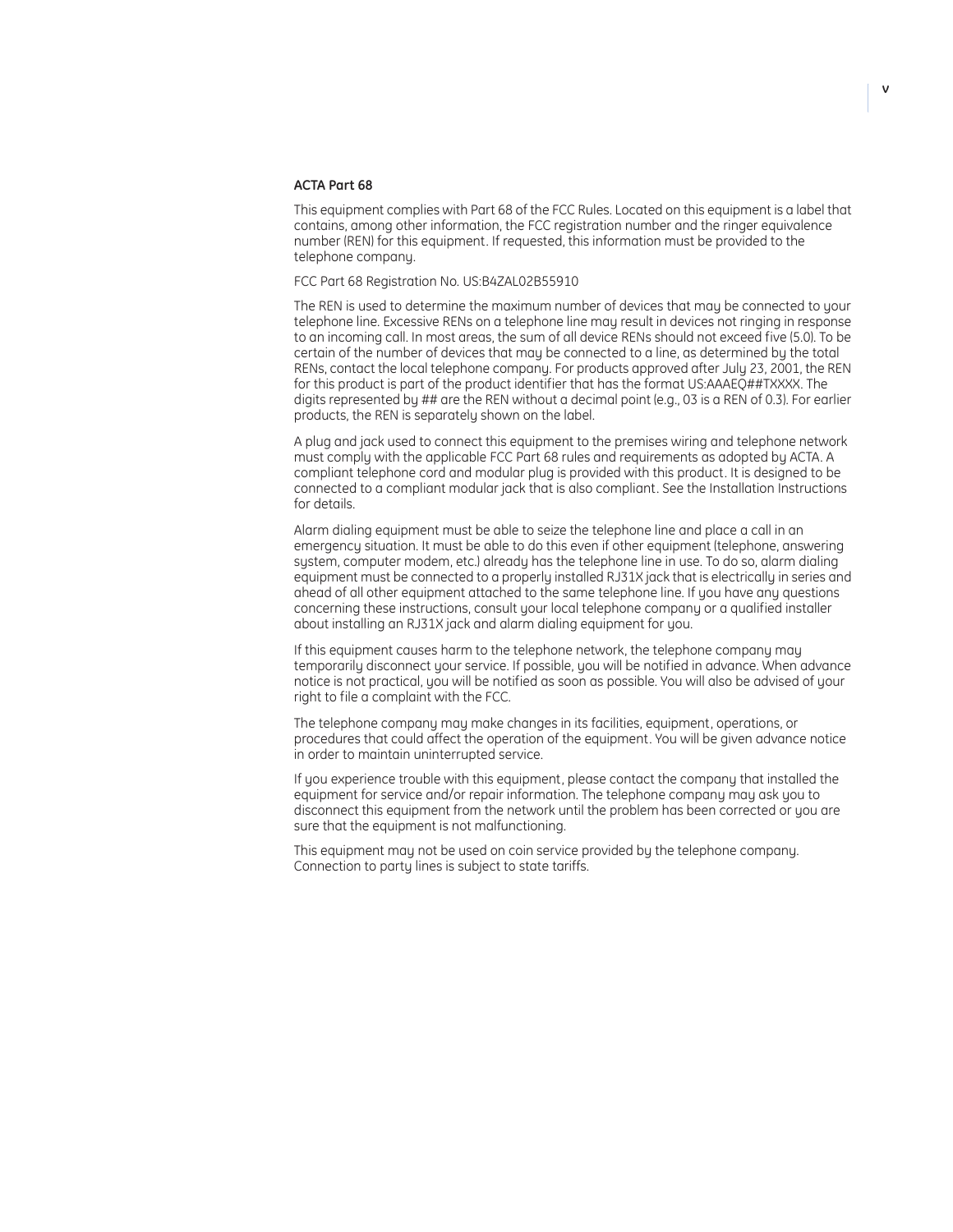#### **ACTA Part 68**

This equipment complies with Part 68 of the FCC Rules. Located on this equipment is a label that contains, among other information, the FCC registration number and the ringer equivalence number (REN) for this equipment. If requested, this information must be provided to the telephone company.

FCC Part 68 Registration No. US:B4ZAL02B55910

The REN is used to determine the maximum number of devices that may be connected to your telephone line. Excessive RENs on a telephone line may result in devices not ringing in response to an incoming call. In most areas, the sum of all device RENs should not exceed five (5.0). To be certain of the number of devices that may be connected to a line, as determined by the total RENs, contact the local telephone company. For products approved after July 23, 2001, the REN for this product is part of the product identifier that has the format US:AAAEQ##TXXXX. The digits represented by ## are the REN without a decimal point (e.g., 03 is a REN of 0.3). For earlier products, the REN is separately shown on the label.

A plug and jack used to connect this equipment to the premises wiring and telephone network must comply with the applicable FCC Part 68 rules and requirements as adopted by ACTA. A compliant telephone cord and modular plug is provided with this product. It is designed to be connected to a compliant modular jack that is also compliant. See the Installation Instructions for details.

Alarm dialing equipment must be able to seize the telephone line and place a call in an emergency situation. It must be able to do this even if other equipment (telephone, answering system, computer modem, etc.) already has the telephone line in use. To do so, alarm dialing equipment must be connected to a properly installed RJ31X jack that is electrically in series and ahead of all other equipment attached to the same telephone line. If you have any questions concerning these instructions, consult your local telephone company or a qualified installer about installing an RJ31X jack and alarm dialing equipment for you.

If this equipment causes harm to the telephone network, the telephone company may temporarily disconnect your service. If possible, you will be notified in advance. When advance notice is not practical, you will be notified as soon as possible. You will also be advised of your right to file a complaint with the FCC.

The telephone company may make changes in its facilities, equipment, operations, or procedures that could affect the operation of the equipment. You will be given advance notice in order to maintain uninterrupted service.

If you experience trouble with this equipment, please contact the company that installed the equipment for service and/or repair information. The telephone company may ask you to disconnect this equipment from the network until the problem has been corrected or you are sure that the equipment is not malfunctioning.

This equipment may not be used on coin service provided by the telephone company. Connection to party lines is subject to state tariffs.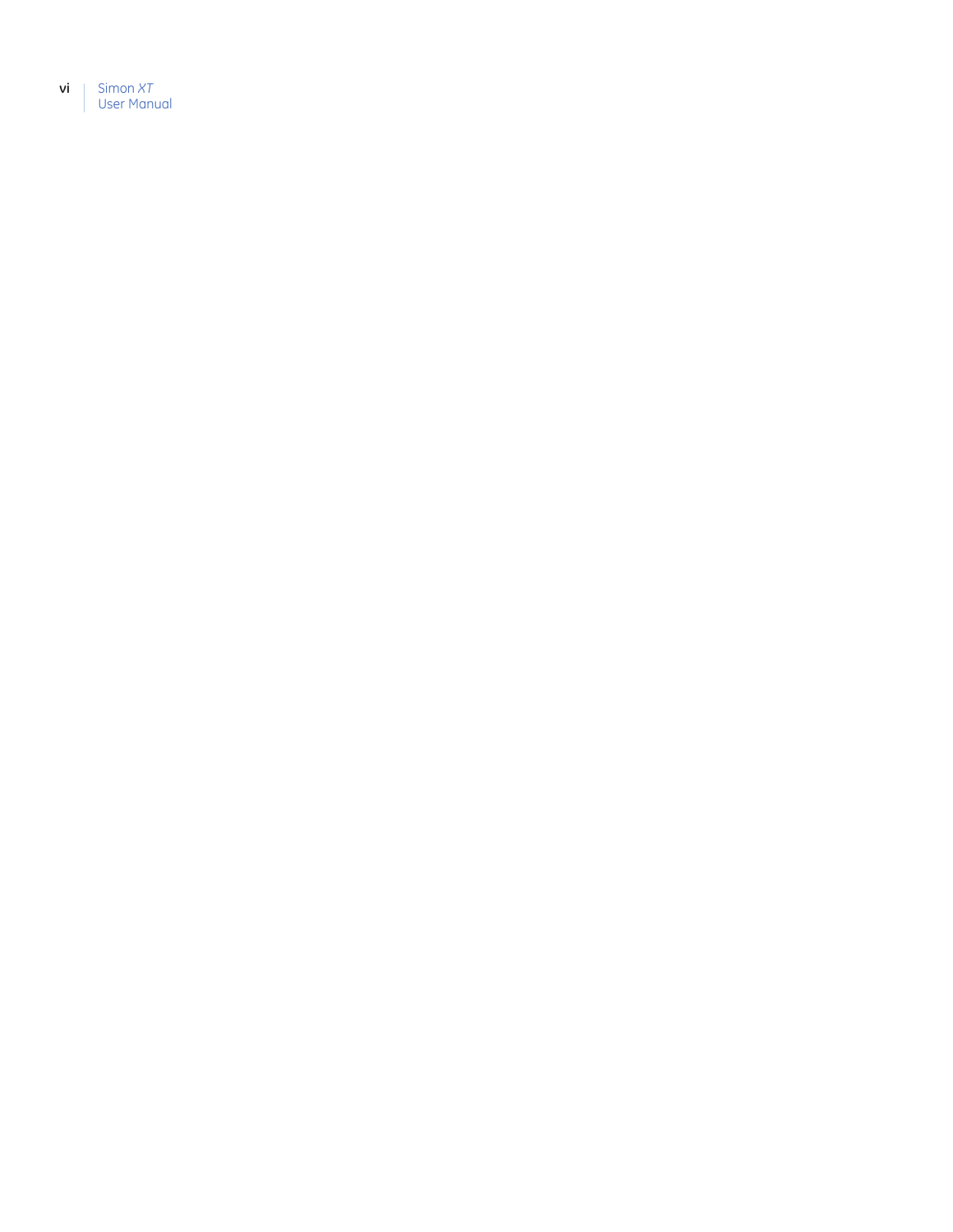Simon *XT* User Manual **vi**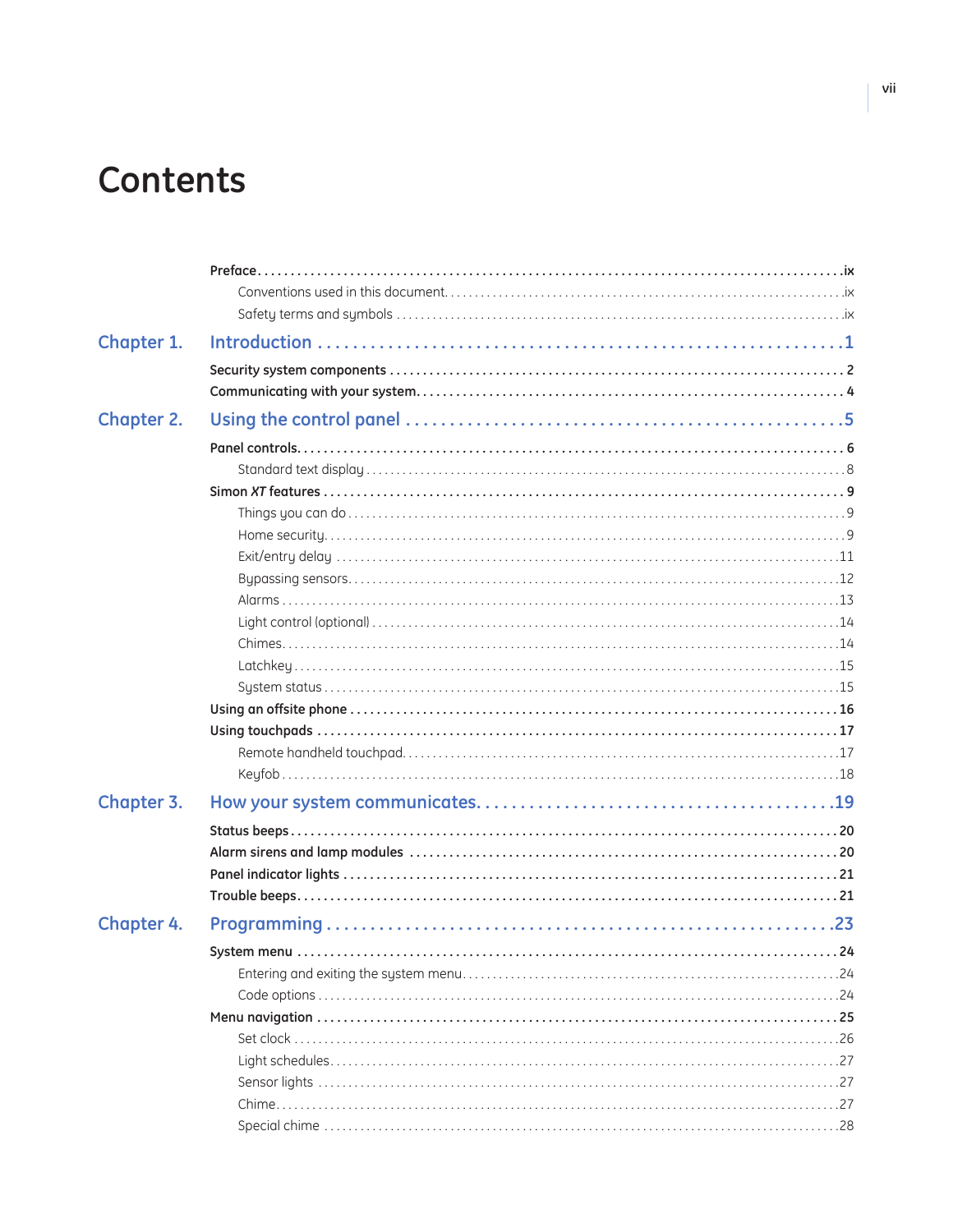# **Contents**

| Chapter 1. |             |      |
|------------|-------------|------|
|            |             |      |
| Chapter 2. |             |      |
|            |             |      |
|            |             |      |
|            |             |      |
|            |             |      |
|            |             |      |
|            |             |      |
|            |             |      |
| Chapter 3. |             |      |
|            |             |      |
| Chapter 4. |             |      |
|            | System menu | . 24 |
|            |             |      |
|            |             |      |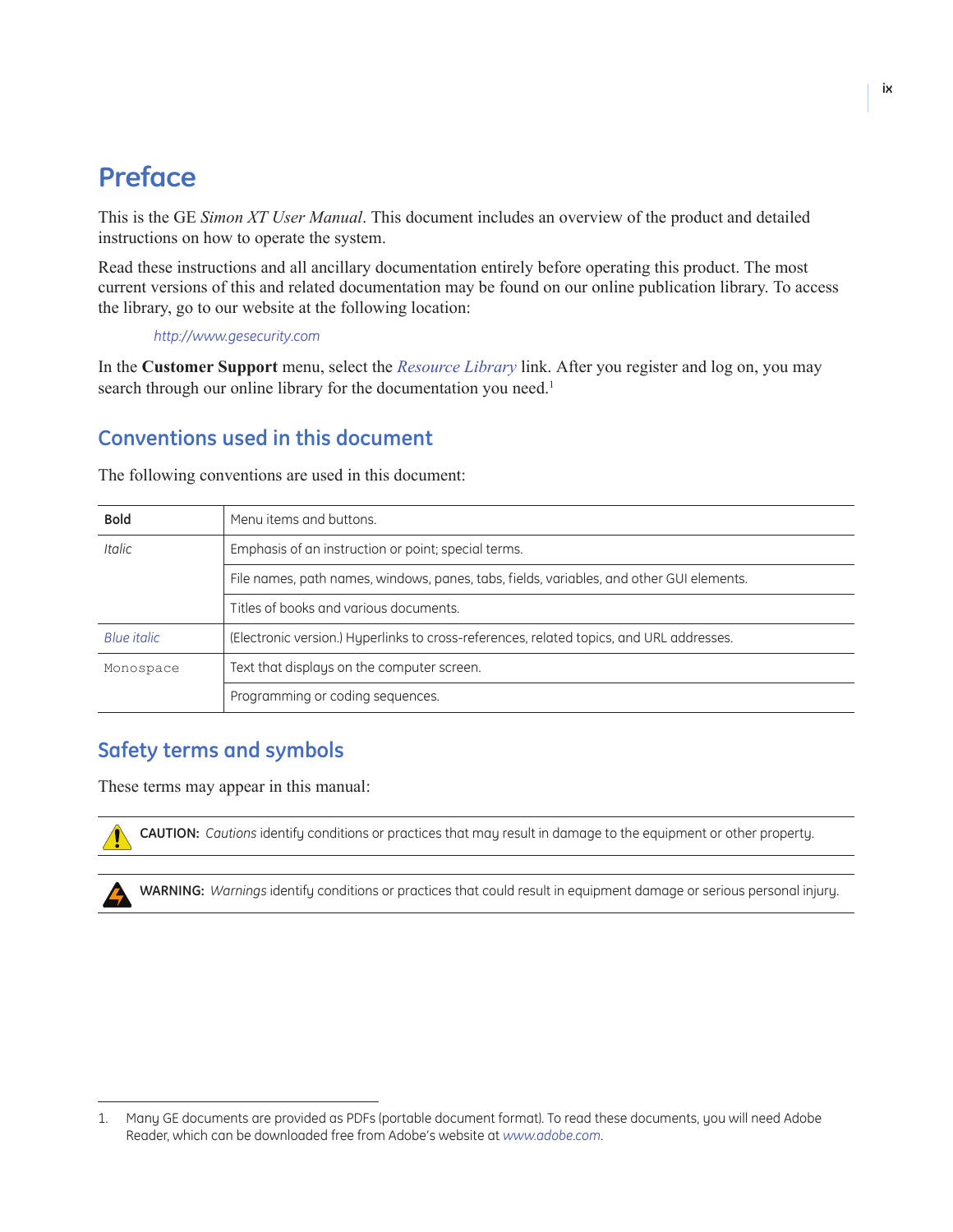## **Preface**

This is the GE *Simon XT User Manual*. This document includes an overview of the product and detailed instructions on how to operate the system.

Read these instructions and all ancillary documentation entirely before operating this product. The most current versions of this and related documentation may be found on our online publication library. To access the library, go to our website at the following location:

*http://www.gesecurity.com*

In the **Customer Support** menu, select the *Resource Library* link. After you register and log on, you may search through our online library for the documentation you need.<sup>1</sup>

## **Conventions used in this document**

| <b>Bold</b> | Menu items and buttons.                                                                  |  |
|-------------|------------------------------------------------------------------------------------------|--|
| Italic      | Emphasis of an instruction or point; special terms.                                      |  |
|             | File names, path names, windows, panes, tabs, fields, variables, and other GUI elements. |  |
|             | Titles of books and various documents.                                                   |  |
| Blue italic | (Electronic version.) Hyperlinks to cross-references, related topics, and URL addresses. |  |
| Monospace   | Text that displays on the computer screen.                                               |  |
|             | Programming or coding sequences.                                                         |  |

The following conventions are used in this document:

## **Safety terms and symbols**

These terms may appear in this manual:



**CAUTION:** *Cautions* identify conditions or practices that may result in damage to the equipment or other property.

**WARNING:** *Warnings* identify conditions or practices that could result in equipment damage or serious personal injury.

<sup>1.</sup> Many GE documents are provided as PDFs (portable document format). To read these documents, you will need Adobe Reader, which can be downloaded free from Adobe's website at *www.adobe.com*.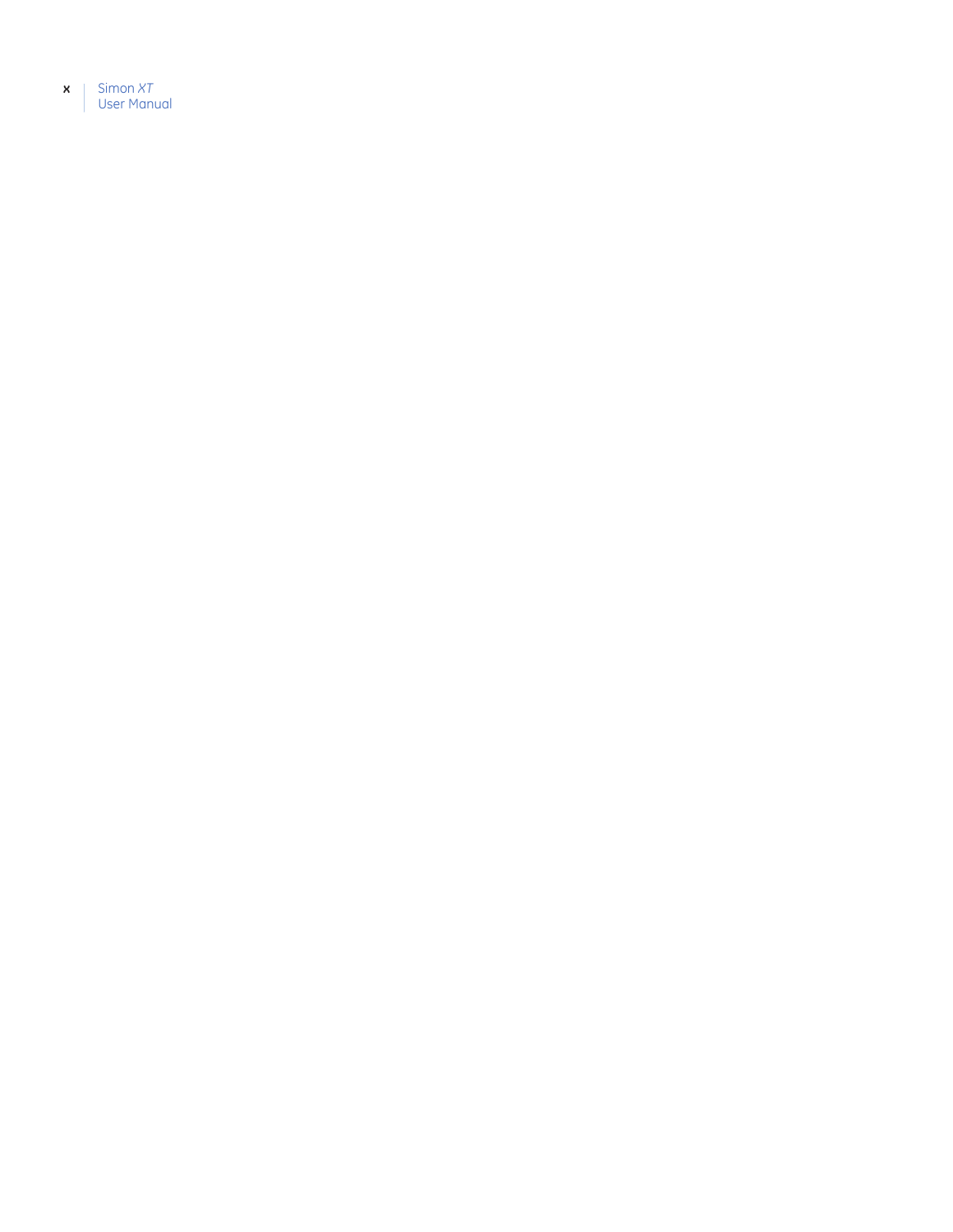Simon *XT* User Manual **x**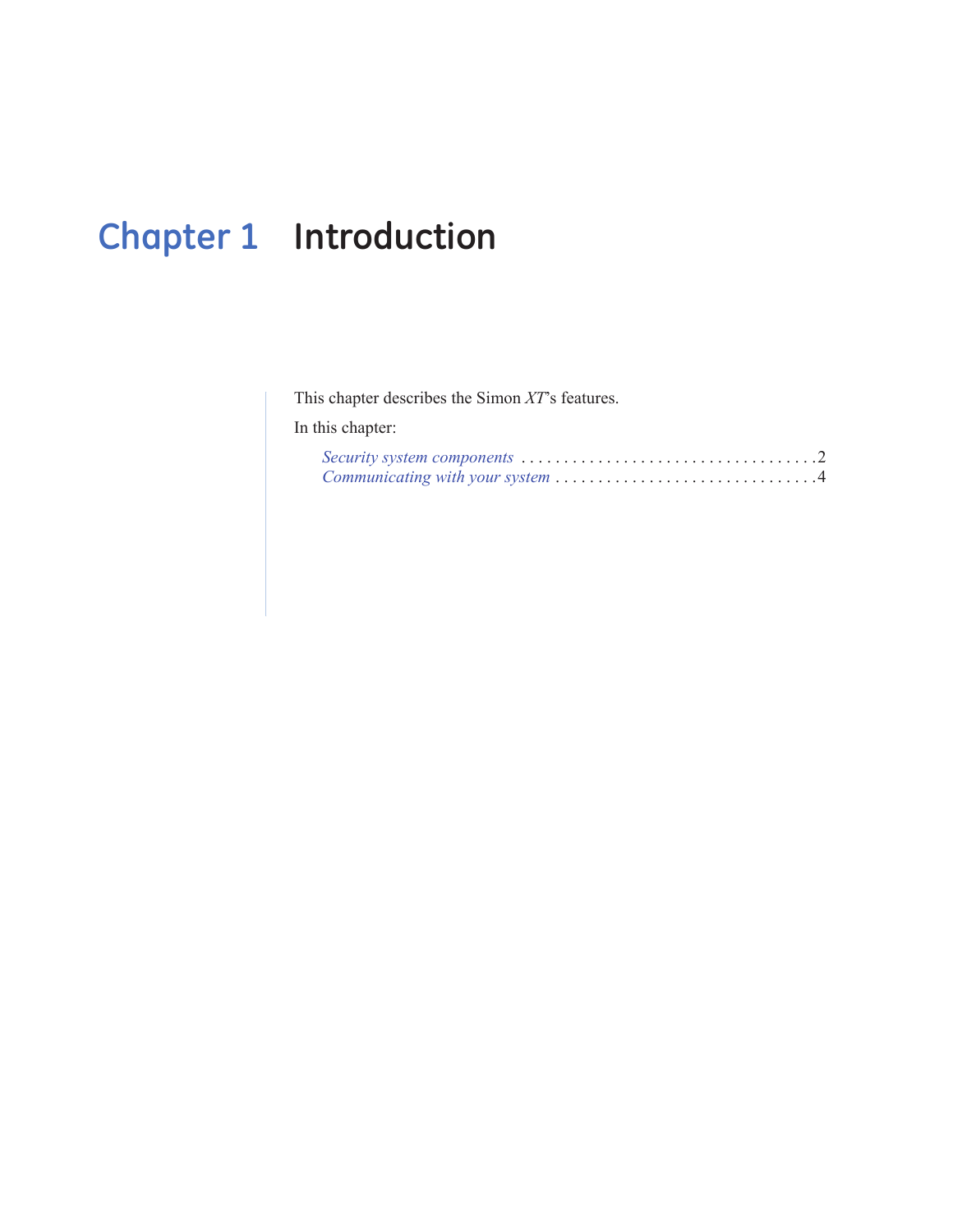# **Chapter 1 Introduction**

This chapter describes the Simon *XT*'s features.

In this chapter:

| Security system components $\dots\dots\dots\dots\dots\dots\dots\dots\dots\dots\dots\dots$ |  |
|-------------------------------------------------------------------------------------------|--|
|                                                                                           |  |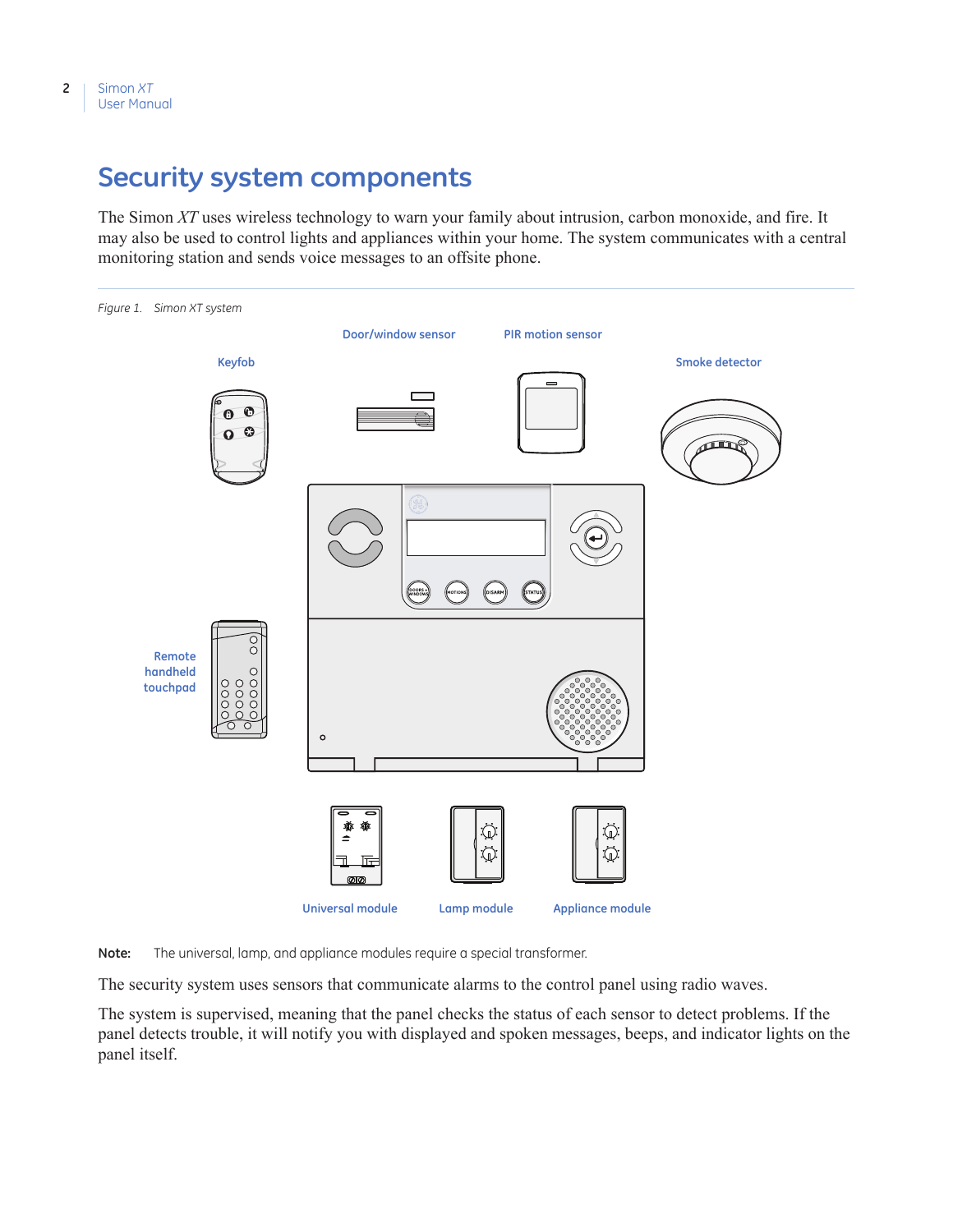## **Security system components**

The Simon *XT* uses wireless technology to warn your family about intrusion, carbon monoxide, and fire. It may also be used to control lights and appliances within your home. The system communicates with a central monitoring station and sends voice messages to an offsite phone.



**Note:** The universal, lamp, and appliance modules require a special transformer.

The security system uses sensors that communicate alarms to the control panel using radio waves.

The system is supervised, meaning that the panel checks the status of each sensor to detect problems. If the panel detects trouble, it will notify you with displayed and spoken messages, beeps, and indicator lights on the panel itself.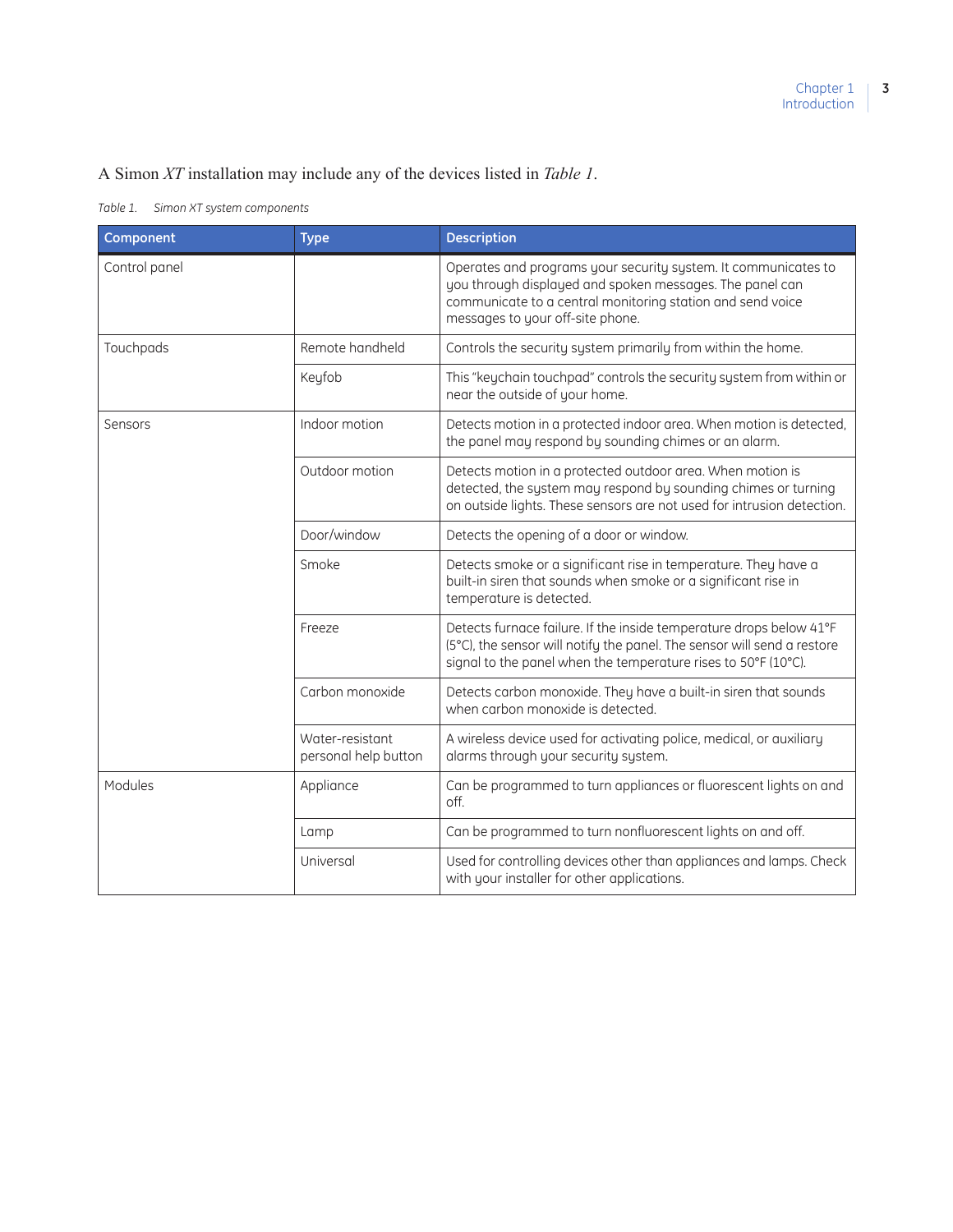### A Simon *XT* installation may include any of the devices listed in *Table 1*.

*Table 1. Simon XT system components*

| Component     | <b>Type</b>                             | <b>Description</b>                                                                                                                                                                                                           |
|---------------|-----------------------------------------|------------------------------------------------------------------------------------------------------------------------------------------------------------------------------------------------------------------------------|
| Control panel |                                         | Operates and programs your security system. It communicates to<br>you through displayed and spoken messages. The panel can<br>communicate to a central monitoring station and send voice<br>messages to your off-site phone. |
| Touchpads     | Remote handheld                         | Controls the security system primarily from within the home.                                                                                                                                                                 |
|               | Keyfob                                  | This "keychain touchpad" controls the security system from within or<br>near the outside of your home.                                                                                                                       |
| Sensors       | Indoor motion                           | Detects motion in a protected indoor area. When motion is detected,<br>the panel may respond by sounding chimes or an alarm.                                                                                                 |
|               | Outdoor motion                          | Detects motion in a protected outdoor area. When motion is<br>detected, the system may respond by sounding chimes or turning<br>on outside lights. These sensors are not used for intrusion detection.                       |
|               | Door/window                             | Detects the opening of a door or window.                                                                                                                                                                                     |
|               | Smoke                                   | Detects smoke or a significant rise in temperature. They have a<br>built-in siren that sounds when smoke or a significant rise in<br>temperature is detected.                                                                |
|               | Freeze                                  | Detects furnace failure. If the inside temperature drops below 41°F<br>(5°C), the sensor will notify the panel. The sensor will send a restore<br>signal to the panel when the temperature rises to 50°F (10°C).             |
|               | Carbon monoxide                         | Detects carbon monoxide. They have a built-in siren that sounds<br>when carbon monoxide is detected.                                                                                                                         |
|               | Water-resistant<br>personal help button | A wireless device used for activating police, medical, or auxiliary<br>alarms through your security system.                                                                                                                  |
| Modules       | Appliance                               | Can be programmed to turn appliances or fluorescent lights on and<br>off.                                                                                                                                                    |
|               | Lamp                                    | Can be programmed to turn nonfluorescent lights on and off.                                                                                                                                                                  |
|               | Universal                               | Used for controlling devices other than appliances and lamps. Check<br>with your installer for other applications.                                                                                                           |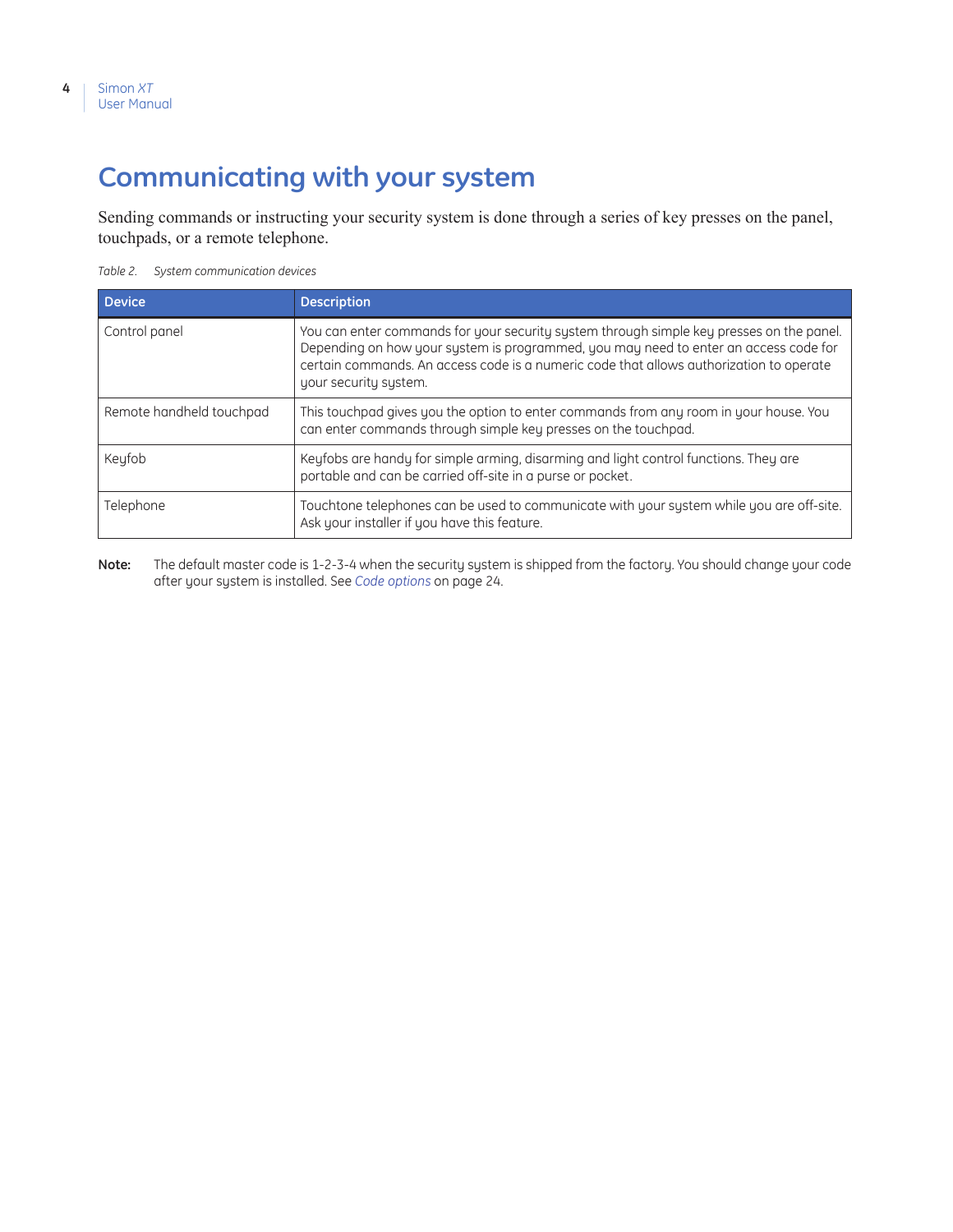## **Communicating with your system**

Sending commands or instructing your security system is done through a series of key presses on the panel, touchpads, or a remote telephone.

| Table 2. | System communication devices |  |
|----------|------------------------------|--|
|          |                              |  |

| <b>Device</b>            | <b>Description</b>                                                                                                                                                                                                                                                                                   |
|--------------------------|------------------------------------------------------------------------------------------------------------------------------------------------------------------------------------------------------------------------------------------------------------------------------------------------------|
| Control panel            | You can enter commands for your security system through simple key presses on the panel.<br>Depending on how your system is programmed, you may need to enter an access code for<br>certain commands. An access code is a numeric code that allows authorization to operate<br>your security system. |
| Remote handheld touchpad | This touchpad gives you the option to enter commands from any room in your house. You<br>can enter commands through simple key presses on the touchpad.                                                                                                                                              |
| Keyfob                   | Keyfobs are handy for simple arming, disarming and light control functions. They are<br>portable and can be carried off-site in a purse or pocket.                                                                                                                                                   |
| Telephone                | Touchtone telephones can be used to communicate with your system while you are off-site.<br>Ask your installer if you have this feature.                                                                                                                                                             |

**Note:** The default master code is 1-2-3-4 when the security system is shipped from the factory. You should change your code after your system is installed. See *Code options* on page 24.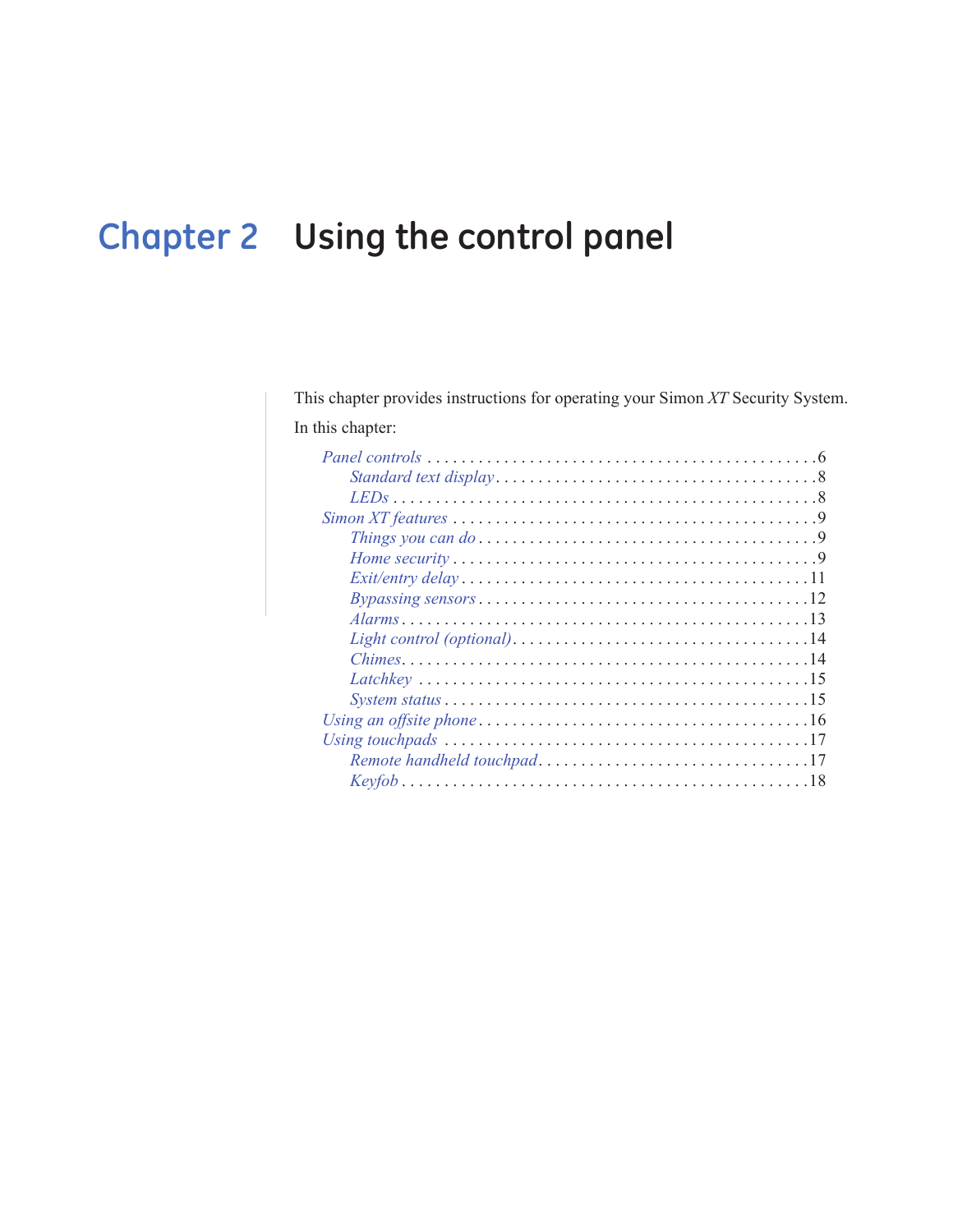# **Chapter 2 Using the control panel**

This chapter provides instructions for operating your Simon *XT* Security System. In this chapter:

| Things you can $do \ldots \ldots \ldots \ldots \ldots \ldots \ldots \ldots \ldots \ldots \ldots \ldots \ldots$ |
|----------------------------------------------------------------------------------------------------------------|
|                                                                                                                |
|                                                                                                                |
|                                                                                                                |
|                                                                                                                |
|                                                                                                                |
|                                                                                                                |
|                                                                                                                |
|                                                                                                                |
|                                                                                                                |
|                                                                                                                |
|                                                                                                                |
|                                                                                                                |
|                                                                                                                |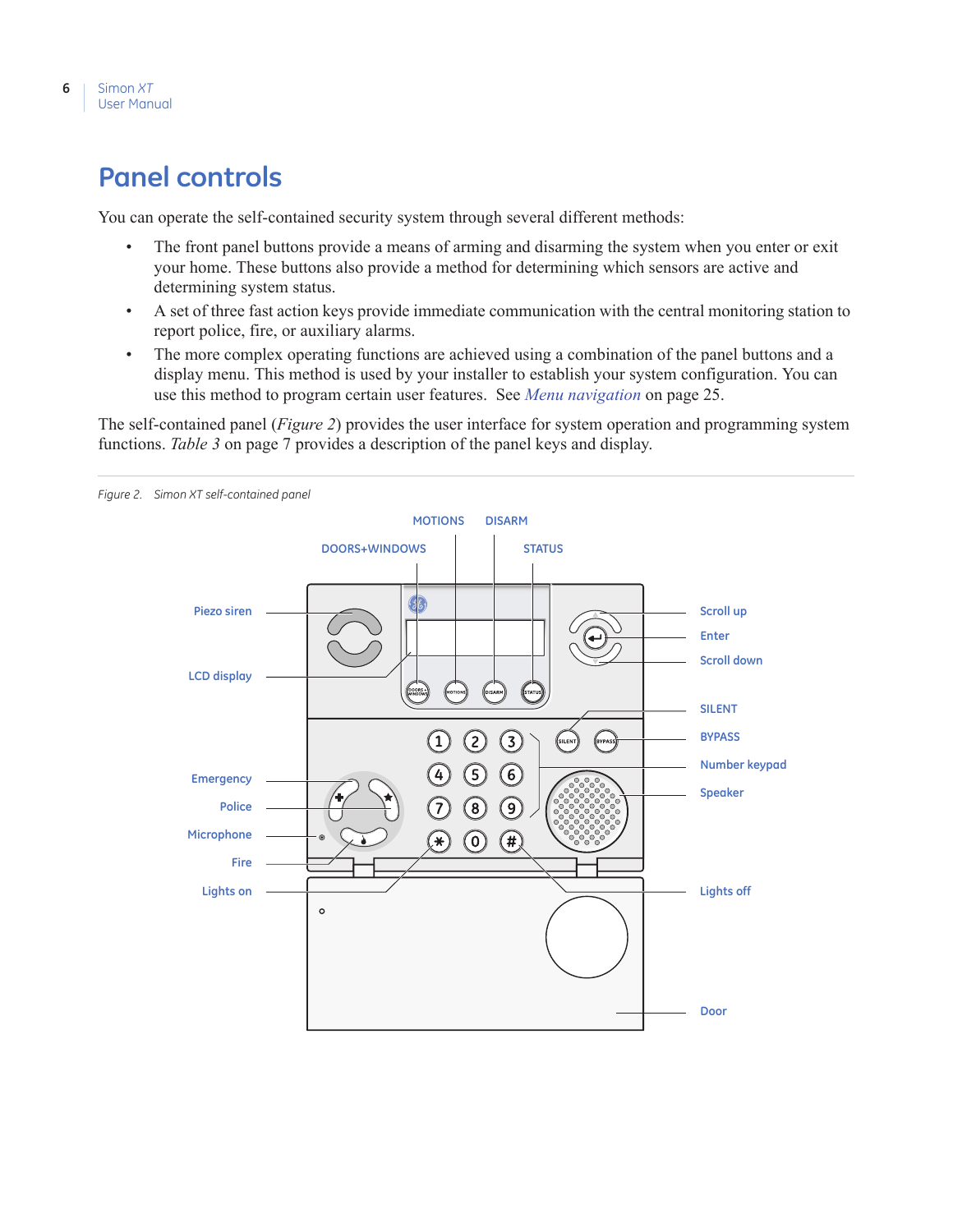## **Panel controls**

Simon *XT* User Manual

**6**

You can operate the self-contained security system through several different methods:

- The front panel buttons provide a means of arming and disarming the system when you enter or exit your home. These buttons also provide a method for determining which sensors are active and determining system status.
- A set of three fast action keys provide immediate communication with the central monitoring station to report police, fire, or auxiliary alarms.
- The more complex operating functions are achieved using a combination of the panel buttons and a display menu. This method is used by your installer to establish your system configuration. You can use this method to program certain user features. See *Menu navigation* on page 25.

The self-contained panel (*Figure 2*) provides the user interface for system operation and programming system functions. *Table 3* on page 7 provides a description of the panel keys and display.

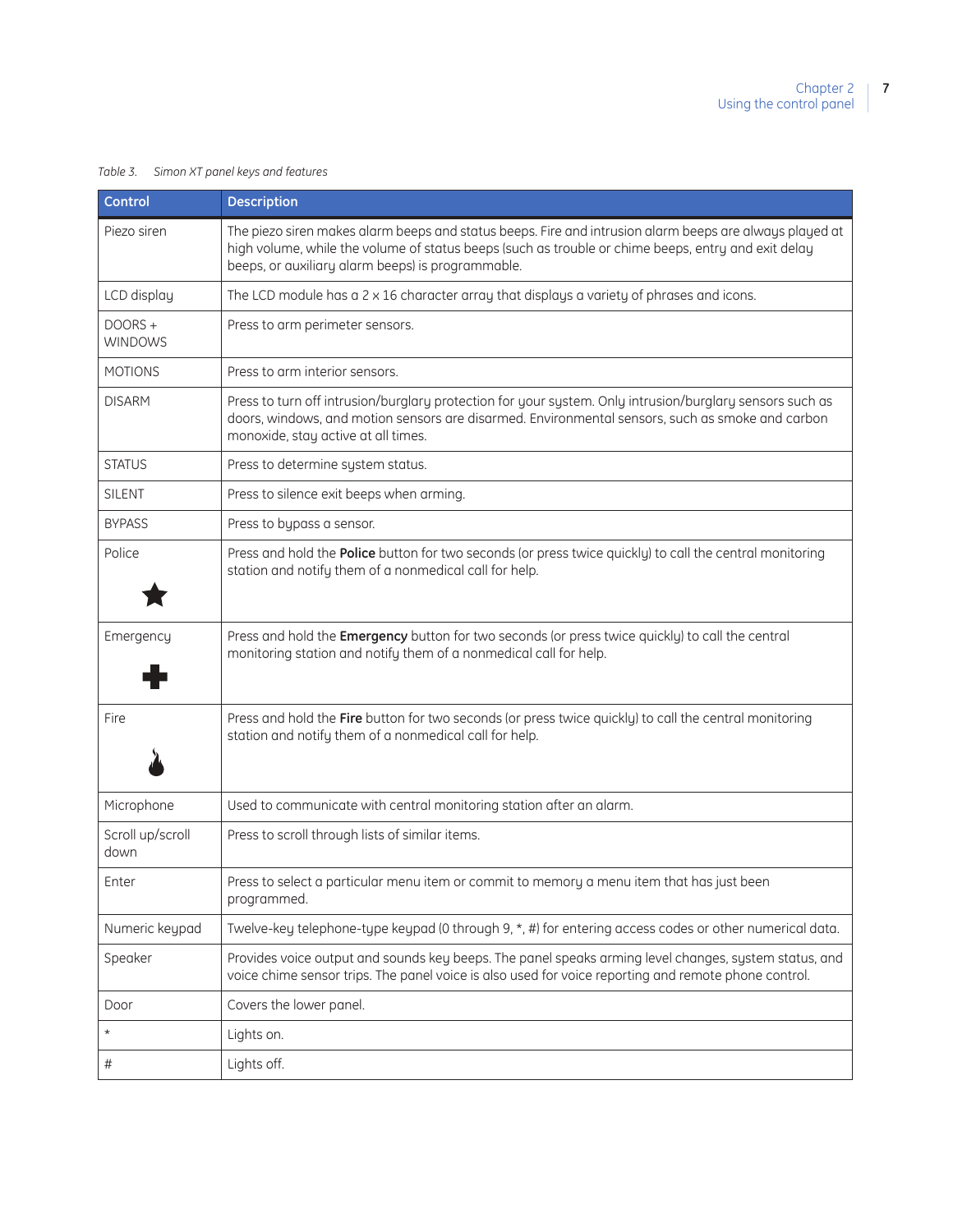#### *Table 3. Simon XT panel keys and features*

| <b>Control</b>                                                                                                  | <b>Description</b>                                                                                                                                                                                                                                                  |
|-----------------------------------------------------------------------------------------------------------------|---------------------------------------------------------------------------------------------------------------------------------------------------------------------------------------------------------------------------------------------------------------------|
| Piezo siren                                                                                                     | The piezo siren makes alarm beeps and status beeps. Fire and intrusion alarm beeps are always played at<br>high volume, while the volume of status beeps (such as trouble or chime beeps, entry and exit delay<br>beeps, or auxiliary alarm beeps) is programmable. |
| LCD display<br>The LCD module has a $2 \times 16$ character array that displays a variety of phrases and icons. |                                                                                                                                                                                                                                                                     |
| $DOORS +$<br><b>WINDOWS</b>                                                                                     | Press to arm perimeter sensors.                                                                                                                                                                                                                                     |
| <b>MOTIONS</b>                                                                                                  | Press to arm interior sensors.                                                                                                                                                                                                                                      |
| <b>DISARM</b>                                                                                                   | Press to turn off intrusion/burglary protection for your system. Only intrusion/burglary sensors such as<br>doors, windows, and motion sensors are disarmed. Environmental sensors, such as smoke and carbon<br>monoxide, stay active at all times.                 |
| <b>STATUS</b>                                                                                                   | Press to determine system status.                                                                                                                                                                                                                                   |
| <b>SILENT</b>                                                                                                   | Press to silence exit beeps when arming.                                                                                                                                                                                                                            |
| <b>BYPASS</b>                                                                                                   | Press to bypass a sensor.                                                                                                                                                                                                                                           |
| Police                                                                                                          | Press and hold the Police button for two seconds (or press twice quickly) to call the central monitoring<br>station and notify them of a nonmedical call for help.                                                                                                  |
| Emergency                                                                                                       | Press and hold the Emergency button for two seconds (or press twice quickly) to call the central<br>monitoring station and notify them of a nonmedical call for help.                                                                                               |
| Fire                                                                                                            | Press and hold the Fire button for two seconds (or press twice quickly) to call the central monitoring<br>station and notify them of a nonmedical call for help.                                                                                                    |
| Microphone                                                                                                      | Used to communicate with central monitoring station after an alarm.                                                                                                                                                                                                 |
| Scroll up/scroll<br>down                                                                                        | Press to scroll through lists of similar items.                                                                                                                                                                                                                     |
| Enter                                                                                                           | Press to select a particular menu item or commit to memory a menu item that has just been<br>programmed.                                                                                                                                                            |
| Numeric keypad                                                                                                  | Twelve-key telephone-type keypad (0 through 9, *, #) for entering access codes or other numerical data.                                                                                                                                                             |
| Speaker                                                                                                         | Provides voice output and sounds key beeps. The panel speaks arming level changes, system status, and<br>voice chime sensor trips. The panel voice is also used for voice reporting and remote phone control.                                                       |
| Door                                                                                                            | Covers the lower panel.                                                                                                                                                                                                                                             |
| $\star$                                                                                                         | Lights on.                                                                                                                                                                                                                                                          |
| $\#$                                                                                                            | Lights off.                                                                                                                                                                                                                                                         |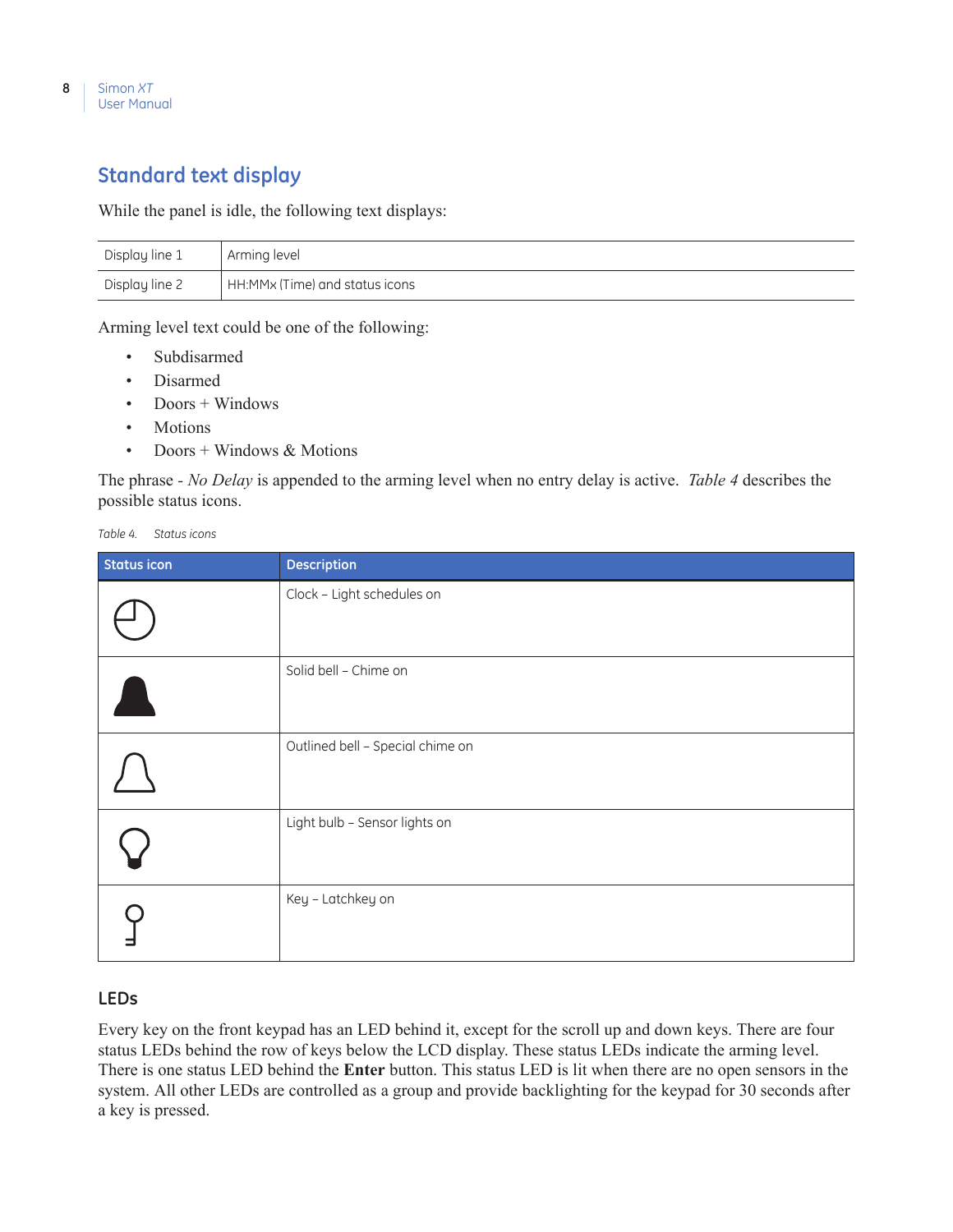## **Standard text display**

While the panel is idle, the following text displays:

| Display line 1 | Arming level                   |
|----------------|--------------------------------|
| Display line 2 | HH:MMx (Time) and status icons |

Arming level text could be one of the following:

- Subdisarmed
- Disarmed
- Doors + Windows
- Motions
- Doors + Windows  $&$  Motions

The phrase *- No Delay* is appended to the arming level when no entry delay is active. *Table 4* describes the possible status icons.

*Table 4. Status icons*

| <b>Status icon</b> | <b>Description</b>               |
|--------------------|----------------------------------|
|                    | Clock - Light schedules on       |
|                    | Solid bell - Chime on            |
|                    | Outlined bell - Special chime on |
|                    | Light bulb - Sensor lights on    |
|                    | Key - Latchkey on                |

#### **LEDs**

Every key on the front keypad has an LED behind it, except for the scroll up and down keys. There are four status LEDs behind the row of keys below the LCD display. These status LEDs indicate the arming level. There is one status LED behind the **Enter** button. This status LED is lit when there are no open sensors in the system. All other LEDs are controlled as a group and provide backlighting for the keypad for 30 seconds after a key is pressed.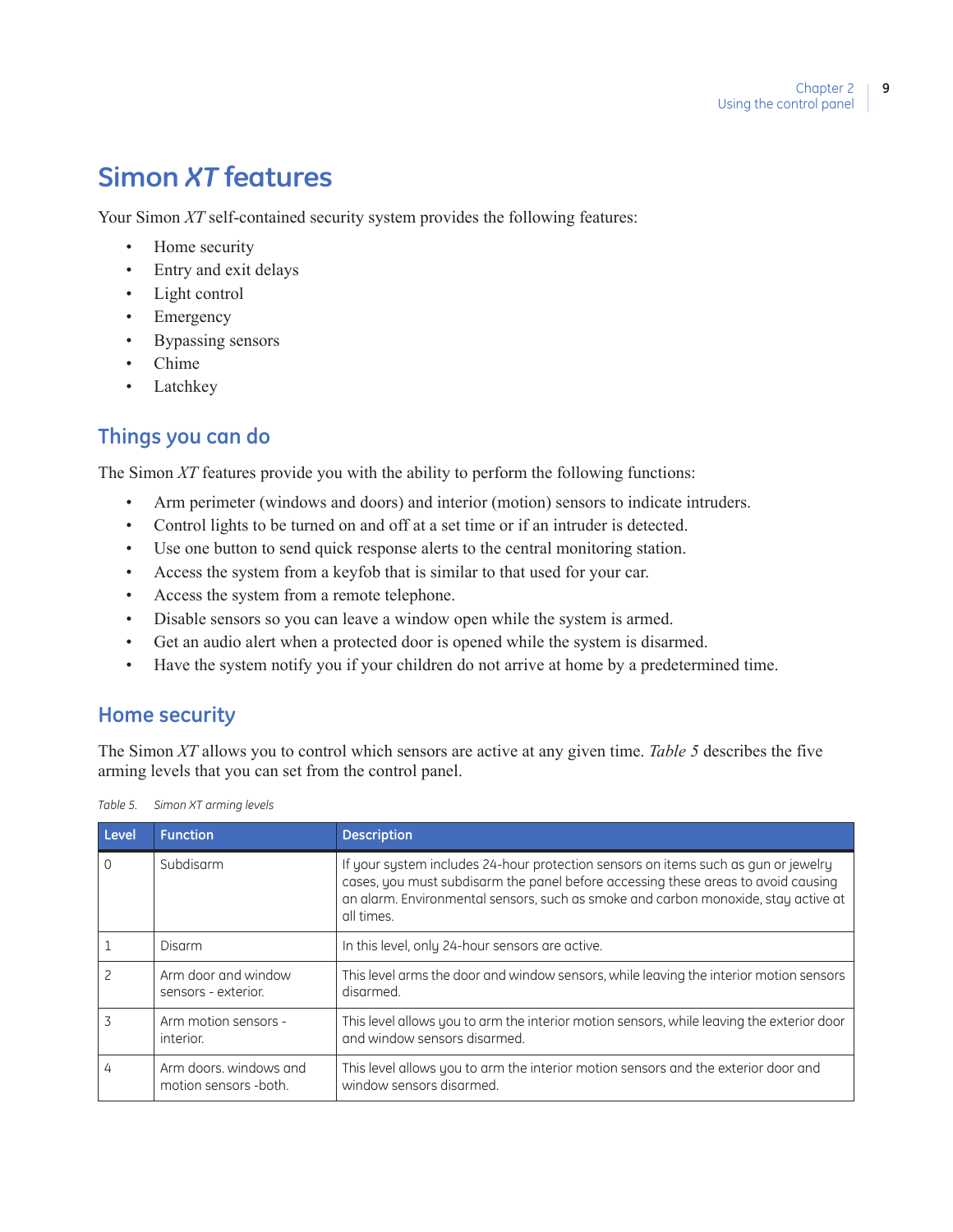## **Simon** *XT* **features**

Your Simon *XT* self-contained security system provides the following features:

- Home security
- Entry and exit delays
- Light control
- Emergency
- Bypassing sensors
- Chime
- **Latchkey**

## **Things you can do**

The Simon *XT* features provide you with the ability to perform the following functions:

- Arm perimeter (windows and doors) and interior (motion) sensors to indicate intruders.
- Control lights to be turned on and off at a set time or if an intruder is detected.
- Use one button to send quick response alerts to the central monitoring station.
- Access the system from a keyfob that is similar to that used for your car.
- Access the system from a remote telephone.
- Disable sensors so you can leave a window open while the system is armed.
- Get an audio alert when a protected door is opened while the system is disarmed.
- Have the system notify you if your children do not arrive at home by a predetermined time.

### **Home security**

The Simon *XT* allows you to control which sensors are active at any given time. *Table 5* describes the five arming levels that you can set from the control panel.

| Level | <b>Function</b>                                 | <b>Description</b>                                                                                                                                                                                                                                                          |
|-------|-------------------------------------------------|-----------------------------------------------------------------------------------------------------------------------------------------------------------------------------------------------------------------------------------------------------------------------------|
| 0     | Subdisarm                                       | If your system includes 24-hour protection sensors on items such as gun or jewelry<br>cases, you must subdisarm the panel before accessing these areas to avoid causing<br>an alarm. Environmental sensors, such as smoke and carbon monoxide, stay active at<br>all times. |
|       | Disarm                                          | In this level, only 24-hour sensors are active.                                                                                                                                                                                                                             |
|       | Arm door and window<br>sensors - exterior.      | This level arms the door and window sensors, while leaving the interior motion sensors<br>disarmed.                                                                                                                                                                         |
|       | Arm motion sensors -<br>interior.               | This level allows you to arm the interior motion sensors, while leaving the exterior door<br>and window sensors disarmed.                                                                                                                                                   |
| 4     | Arm doors, windows and<br>motion sensors -both. | This level allows you to arm the interior motion sensors and the exterior door and<br>window sensors disarmed.                                                                                                                                                              |

*Table 5. Simon XT arming levels*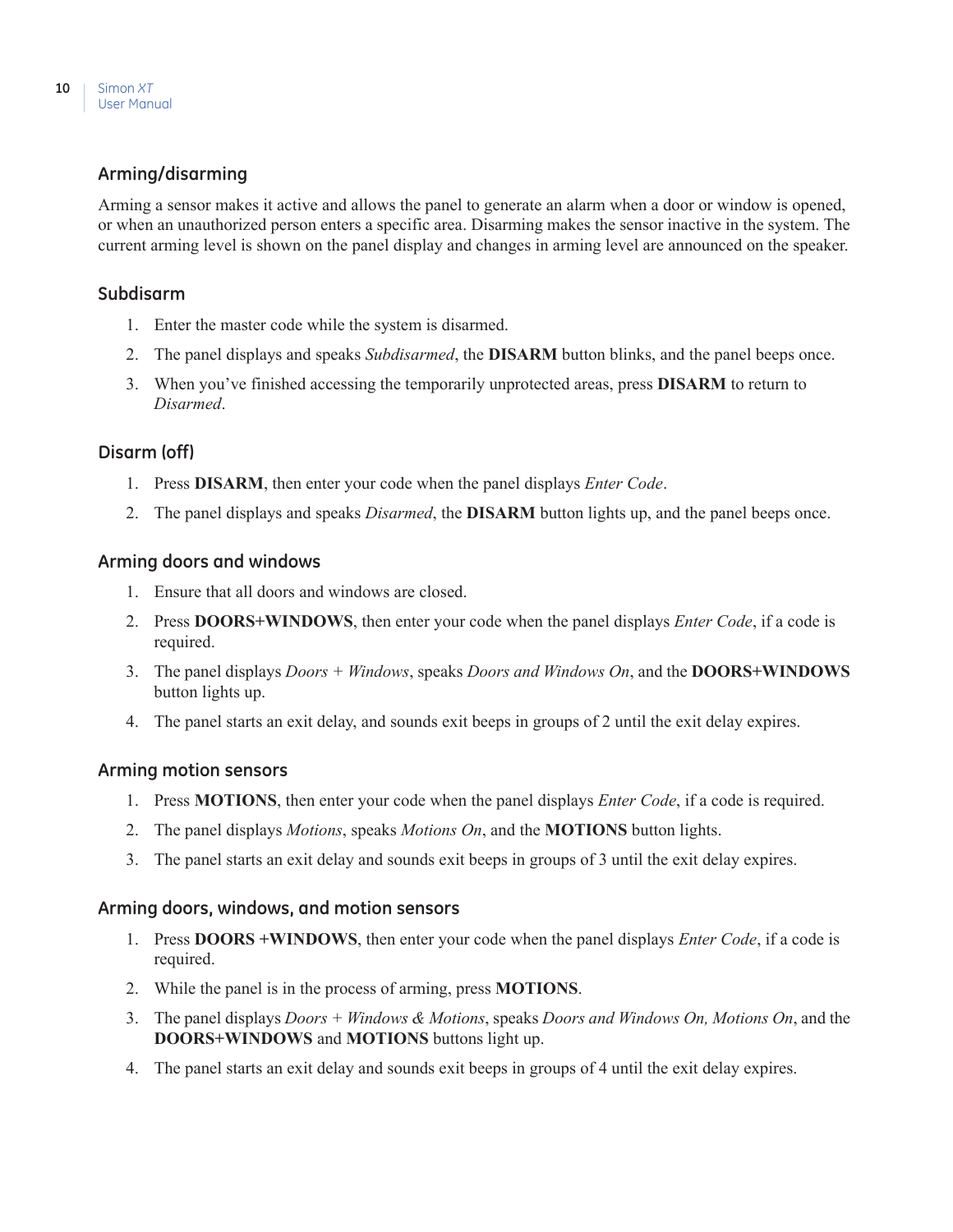#### **Arming/disarming**

Arming a sensor makes it active and allows the panel to generate an alarm when a door or window is opened, or when an unauthorized person enters a specific area. Disarming makes the sensor inactive in the system. The current arming level is shown on the panel display and changes in arming level are announced on the speaker.

#### **Subdisarm**

- 1. Enter the master code while the system is disarmed.
- 2. The panel displays and speaks *Subdisarmed*, the **DISARM** button blinks, and the panel beeps once.
- 3. When you've finished accessing the temporarily unprotected areas, press **DISARM** to return to *Disarmed*.

#### **Disarm (off)**

- 1. Press **DISARM**, then enter your code when the panel displays *Enter Code*.
- 2. The panel displays and speaks *Disarmed*, the **DISARM** button lights up, and the panel beeps once.

#### **Arming doors and windows**

- 1. Ensure that all doors and windows are closed.
- 2. Press **DOORS+WINDOWS**, then enter your code when the panel displays *Enter Code*, if a code is required.
- 3. The panel displays *Doors + Windows*, speaks *Doors and Windows On*, and the **DOORS+WINDOWS** button lights up.
- 4. The panel starts an exit delay, and sounds exit beeps in groups of 2 until the exit delay expires.

#### **Arming motion sensors**

- 1. Press **MOTIONS**, then enter your code when the panel displays *Enter Code*, if a code is required.
- 2. The panel displays *Motions*, speaks *Motions On*, and the **MOTIONS** button lights.
- 3. The panel starts an exit delay and sounds exit beeps in groups of 3 until the exit delay expires.

#### **Arming doors, windows, and motion sensors**

- 1. Press **DOORS +WINDOWS**, then enter your code when the panel displays *Enter Code*, if a code is required.
- 2. While the panel is in the process of arming, press **MOTIONS**.
- 3. The panel displays *Doors + Windows & Motions*, speaks *Doors and Windows On, Motions On*, and the **DOORS+WINDOWS** and **MOTIONS** buttons light up.
- 4. The panel starts an exit delay and sounds exit beeps in groups of 4 until the exit delay expires.

Simon *XT* User Manual **10**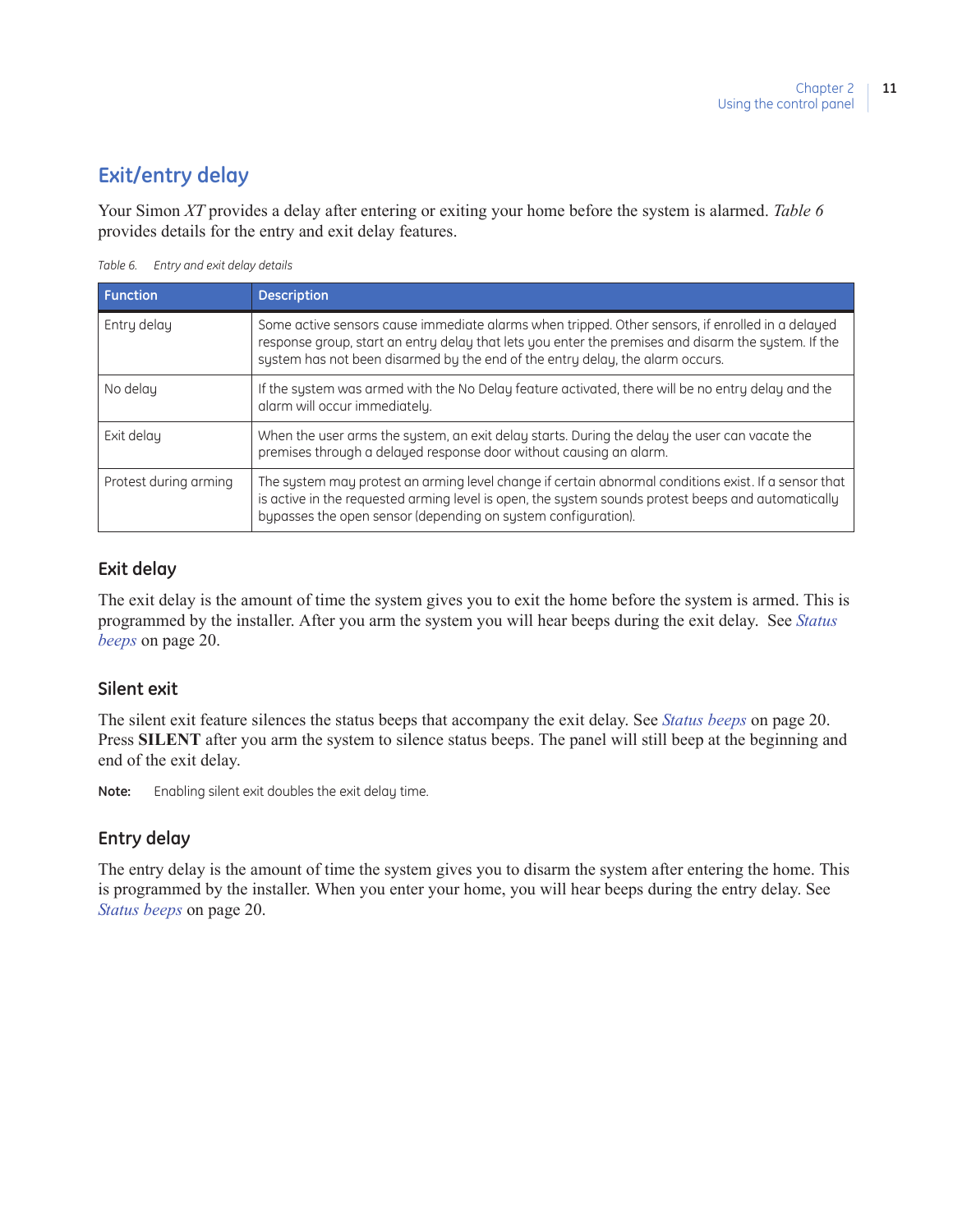## **Exit/entry delay**

Your Simon *XT* provides a delay after entering or exiting your home before the system is alarmed. *Table 6* provides details for the entry and exit delay features.

*Table 6. Entry and exit delay details*

| <b>Function</b>       | <b>Description</b>                                                                                                                                                                                                                                                                       |
|-----------------------|------------------------------------------------------------------------------------------------------------------------------------------------------------------------------------------------------------------------------------------------------------------------------------------|
| Entry delay           | Some active sensors cause immediate alarms when tripped. Other sensors, if enrolled in a delayed<br>response group, start an entry delay that lets you enter the premises and disarm the system. If the<br>system has not been disarmed by the end of the entry delay, the alarm occurs. |
| No delau              | If the system was armed with the No Delay feature activated, there will be no entry delay and the<br>alarm will occur immediately.                                                                                                                                                       |
| Exit delay            | When the user arms the system, an exit delay starts. During the delay the user can vacate the<br>premises through a delayed response door without causing an alarm.                                                                                                                      |
| Protest during arming | The system may protest an arming level change if certain abnormal conditions exist. If a sensor that<br>is active in the requested arming level is open, the system sounds protest beeps and automatically<br>bypasses the open sensor (depending on system configuration).              |

### **Exit delay**

The exit delay is the amount of time the system gives you to exit the home before the system is armed. This is programmed by the installer. After you arm the system you will hear beeps during the exit delay. See *Status beeps* on page 20.

### **Silent exit**

The silent exit feature silences the status beeps that accompany the exit delay. See *Status beeps* on page 20. Press **SILENT** after you arm the system to silence status beeps. The panel will still beep at the beginning and end of the exit delay.

**Note:** Enabling silent exit doubles the exit delay time.

### **Entry delay**

The entry delay is the amount of time the system gives you to disarm the system after entering the home. This is programmed by the installer. When you enter your home, you will hear beeps during the entry delay. See *Status beeps* on page 20.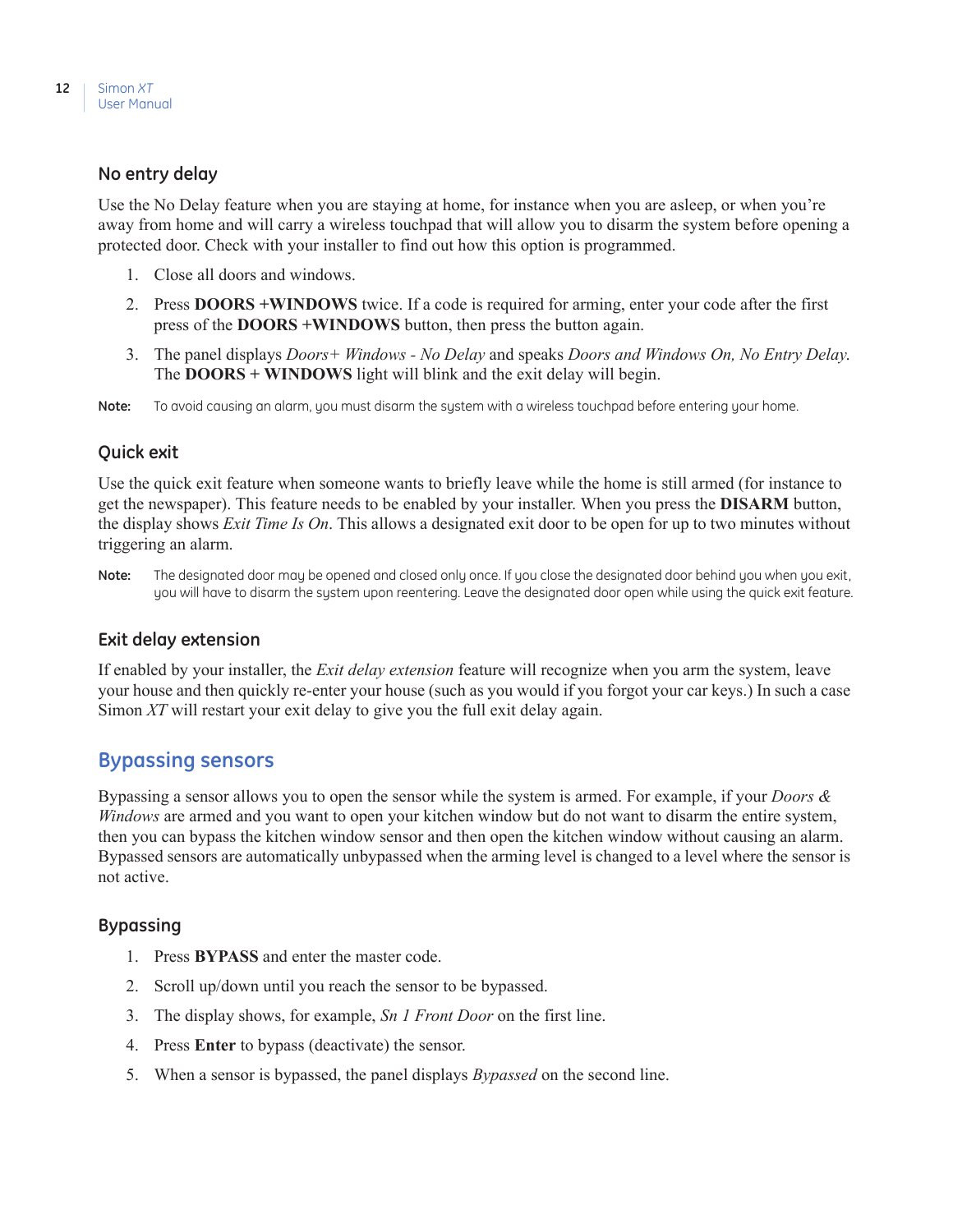#### **No entry delay**

Use the No Delay feature when you are staying at home, for instance when you are asleep, or when you're away from home and will carry a wireless touchpad that will allow you to disarm the system before opening a protected door. Check with your installer to find out how this option is programmed.

- 1. Close all doors and windows.
- 2. Press **DOORS +WINDOWS** twice. If a code is required for arming, enter your code after the first press of the **DOORS +WINDOWS** button, then press the button again.
- 3. The panel displays *Doors+ Windows No Delay* and speaks *Doors and Windows On, No Entry Delay*. The **DOORS + WINDOWS** light will blink and the exit delay will begin.

**Note:** To avoid causing an alarm, you must disarm the system with a wireless touchpad before entering your home.

### **Quick exit**

Use the quick exit feature when someone wants to briefly leave while the home is still armed (for instance to get the newspaper). This feature needs to be enabled by your installer. When you press the **DISARM** button, the display shows *Exit Time Is On*. This allows a designated exit door to be open for up to two minutes without triggering an alarm.

**Note:** The designated door may be opened and closed only once. If you close the designated door behind you when you exit, you will have to disarm the system upon reentering. Leave the designated door open while using the quick exit feature.

#### **Exit delay extension**

If enabled by your installer, the *Exit delay extension* feature will recognize when you arm the system, leave your house and then quickly re-enter your house (such as you would if you forgot your car keys.) In such a case Simon *XT* will restart your exit delay to give you the full exit delay again.

## **Bypassing sensors**

Bypassing a sensor allows you to open the sensor while the system is armed. For example, if your *Doors & Windows* are armed and you want to open your kitchen window but do not want to disarm the entire system, then you can bypass the kitchen window sensor and then open the kitchen window without causing an alarm. Bypassed sensors are automatically unbypassed when the arming level is changed to a level where the sensor is not active.

#### **Bypassing**

- 1. Press **BYPASS** and enter the master code.
- 2. Scroll up/down until you reach the sensor to be bypassed.
- 3. The display shows, for example, *Sn 1 Front Door* on the first line.
- 4. Press **Enter** to bypass (deactivate) the sensor.
- 5. When a sensor is bypassed, the panel displays *Bypassed* on the second line.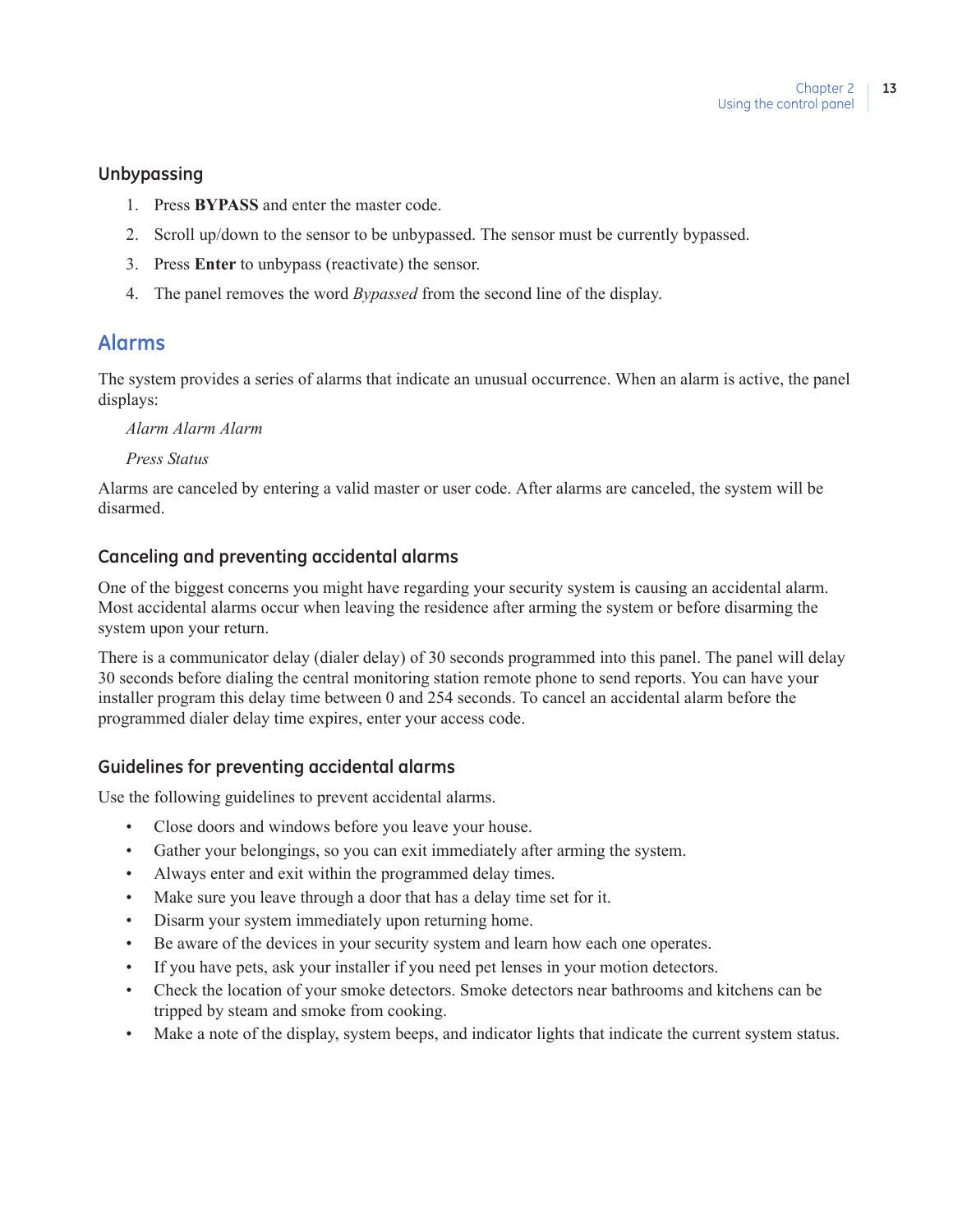#### **Unbypassing**

- 1. Press **BYPASS** and enter the master code.
- 2. Scroll up/down to the sensor to be unbypassed. The sensor must be currently bypassed.
- 3. Press **Enter** to unbypass (reactivate) the sensor.
- 4. The panel removes the word *Bypassed* from the second line of the display.

### **Alarms**

The system provides a series of alarms that indicate an unusual occurrence. When an alarm is active, the panel displays:

*Alarm Alarm Alarm*

*Press Status*

Alarms are canceled by entering a valid master or user code. After alarms are canceled, the system will be disarmed.

#### **Canceling and preventing accidental alarms**

One of the biggest concerns you might have regarding your security system is causing an accidental alarm. Most accidental alarms occur when leaving the residence after arming the system or before disarming the system upon your return.

There is a communicator delay (dialer delay) of 30 seconds programmed into this panel. The panel will delay 30 seconds before dialing the central monitoring station remote phone to send reports. You can have your installer program this delay time between 0 and 254 seconds. To cancel an accidental alarm before the programmed dialer delay time expires, enter your access code.

### **Guidelines for preventing accidental alarms**

Use the following guidelines to prevent accidental alarms.

- Close doors and windows before you leave your house.
- Gather your belongings, so you can exit immediately after arming the system.
- Always enter and exit within the programmed delay times.
- Make sure you leave through a door that has a delay time set for it.
- Disarm your system immediately upon returning home.
- Be aware of the devices in your security system and learn how each one operates.
- If you have pets, ask your installer if you need pet lenses in your motion detectors.
- Check the location of your smoke detectors. Smoke detectors near bathrooms and kitchens can be tripped by steam and smoke from cooking.
- Make a note of the display, system beeps, and indicator lights that indicate the current system status.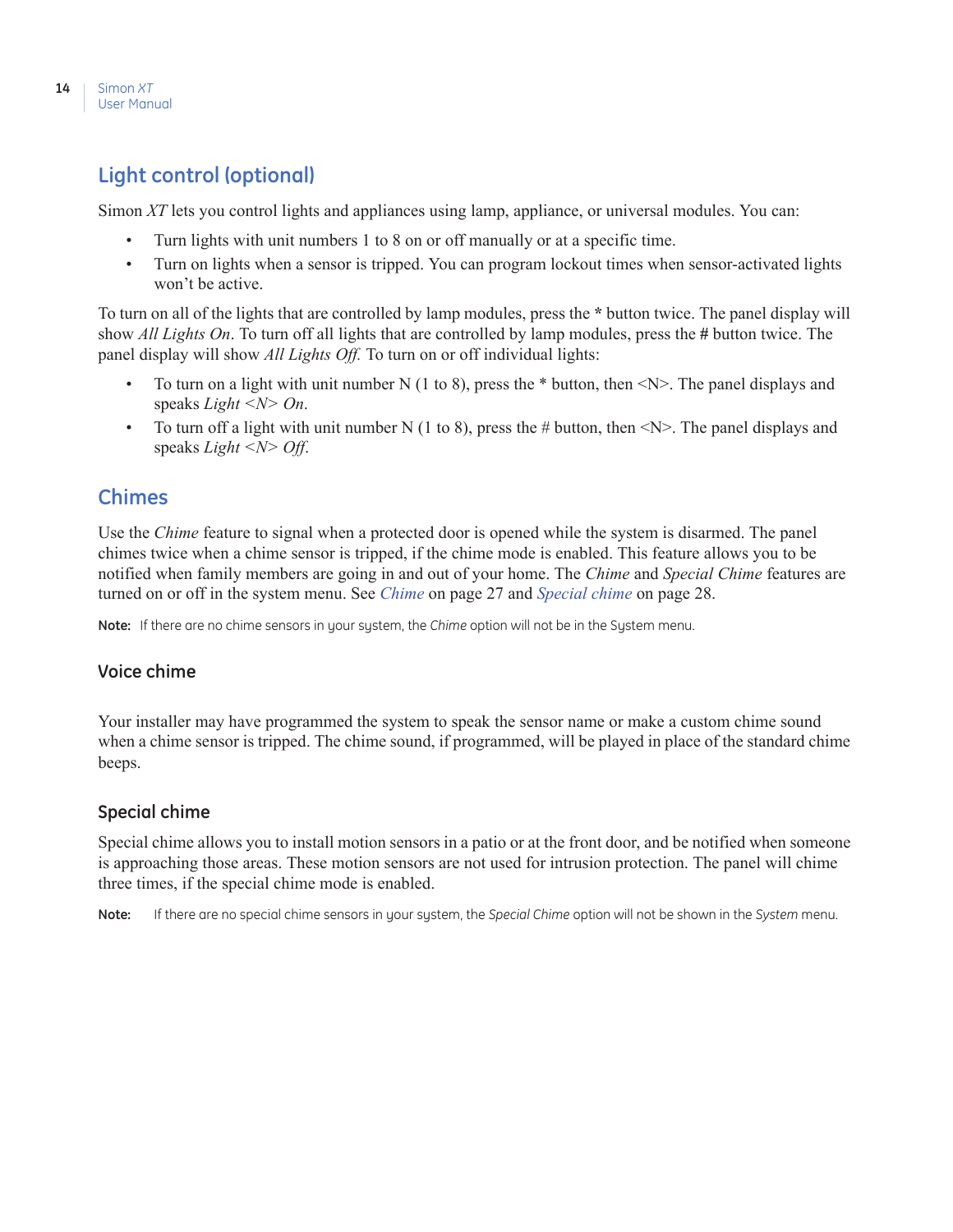## **Light control (optional)**

Simon *XT* lets you control lights and appliances using lamp, appliance, or universal modules. You can:

- Turn lights with unit numbers 1 to 8 on or off manually or at a specific time.
- Turn on lights when a sensor is tripped. You can program lockout times when sensor-activated lights won't be active.

To turn on all of the lights that are controlled by lamp modules, press the **\*** button twice. The panel display will show *All Lights On*. To turn off all lights that are controlled by lamp modules, press the **#** button twice. The panel display will show *All Lights Off.* To turn on or off individual lights:

- To turn on a light with unit number N (1 to 8), press the  $*$  button, then  $\langle N \rangle$ . The panel displays and speaks *Light <N> On*.
- To turn off a light with unit number N (1 to 8), press the # button, then  $\langle N \rangle$ . The panel displays and speaks *Light <N> Off*.

### **Chimes**

Use the *Chime* feature to signal when a protected door is opened while the system is disarmed. The panel chimes twice when a chime sensor is tripped, if the chime mode is enabled. This feature allows you to be notified when family members are going in and out of your home. The *Chime* and *Special Chime* features are turned on or off in the system menu. See *Chime* on page 27 and *Special chime* on page 28.

**Note:** If there are no chime sensors in your system, the *Chime* option will not be in the System menu.

#### **Voice chime**

Your installer may have programmed the system to speak the sensor name or make a custom chime sound when a chime sensor is tripped. The chime sound, if programmed, will be played in place of the standard chime beeps.

#### **Special chime**

Special chime allows you to install motion sensors in a patio or at the front door, and be notified when someone is approaching those areas. These motion sensors are not used for intrusion protection. The panel will chime three times, if the special chime mode is enabled.

**Note:** If there are no special chime sensors in your system, the *Special Chime* option will not be shown in the *System* menu.

Simon *XT* User Manual **14**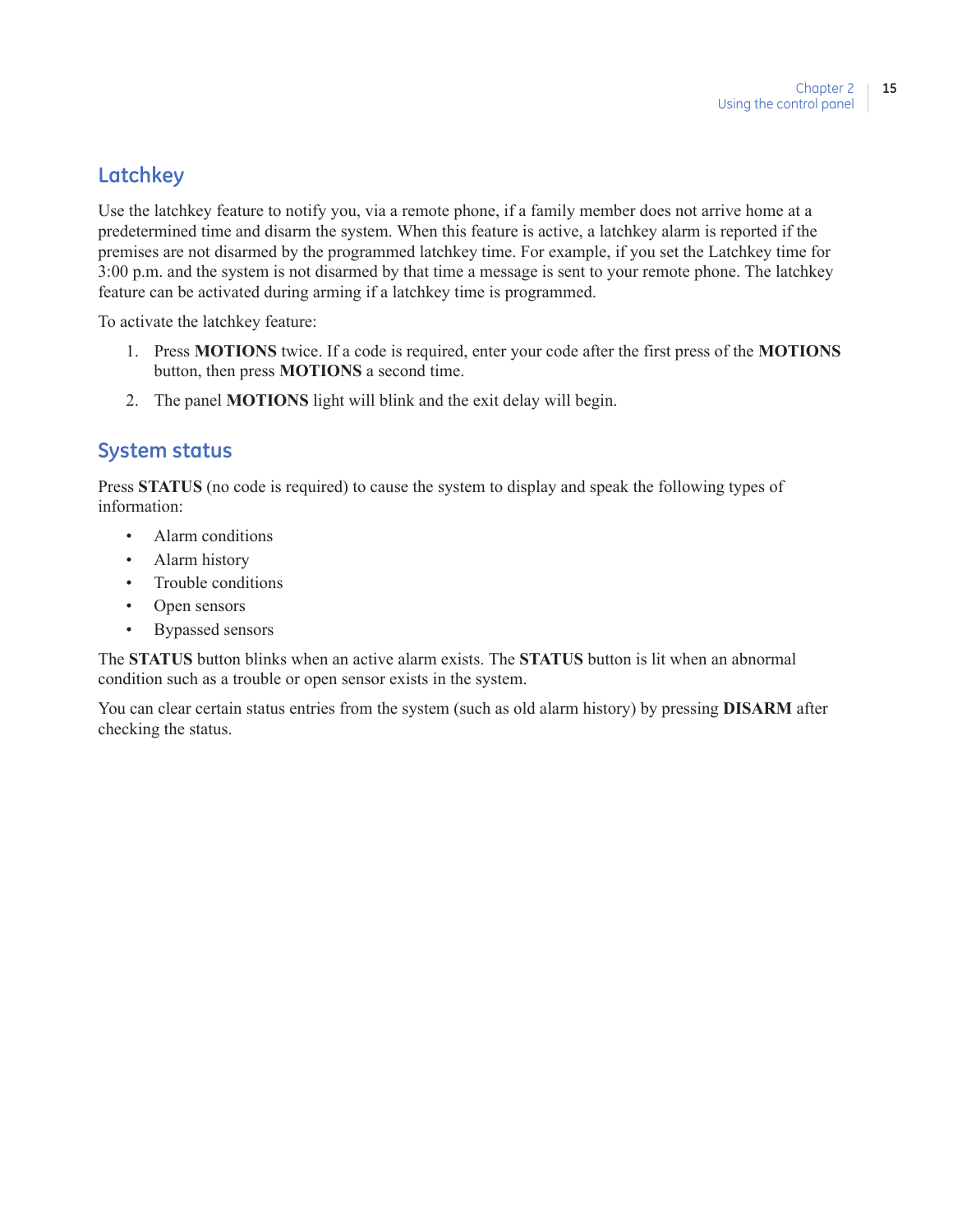## **Latchkey**

Use the latchkey feature to notify you, via a remote phone, if a family member does not arrive home at a predetermined time and disarm the system. When this feature is active, a latchkey alarm is reported if the premises are not disarmed by the programmed latchkey time. For example, if you set the Latchkey time for 3:00 p.m. and the system is not disarmed by that time a message is sent to your remote phone. The latchkey feature can be activated during arming if a latchkey time is programmed.

To activate the latchkey feature:

- 1. Press **MOTIONS** twice. If a code is required, enter your code after the first press of the **MOTIONS**  button, then press **MOTIONS** a second time.
- 2. The panel **MOTIONS** light will blink and the exit delay will begin.

## **System status**

Press **STATUS** (no code is required) to cause the system to display and speak the following types of information:

- Alarm conditions
- Alarm history
- Trouble conditions
- Open sensors
- Bypassed sensors

The **STATUS** button blinks when an active alarm exists. The **STATUS** button is lit when an abnormal condition such as a trouble or open sensor exists in the system.

You can clear certain status entries from the system (such as old alarm history) by pressing **DISARM** after checking the status.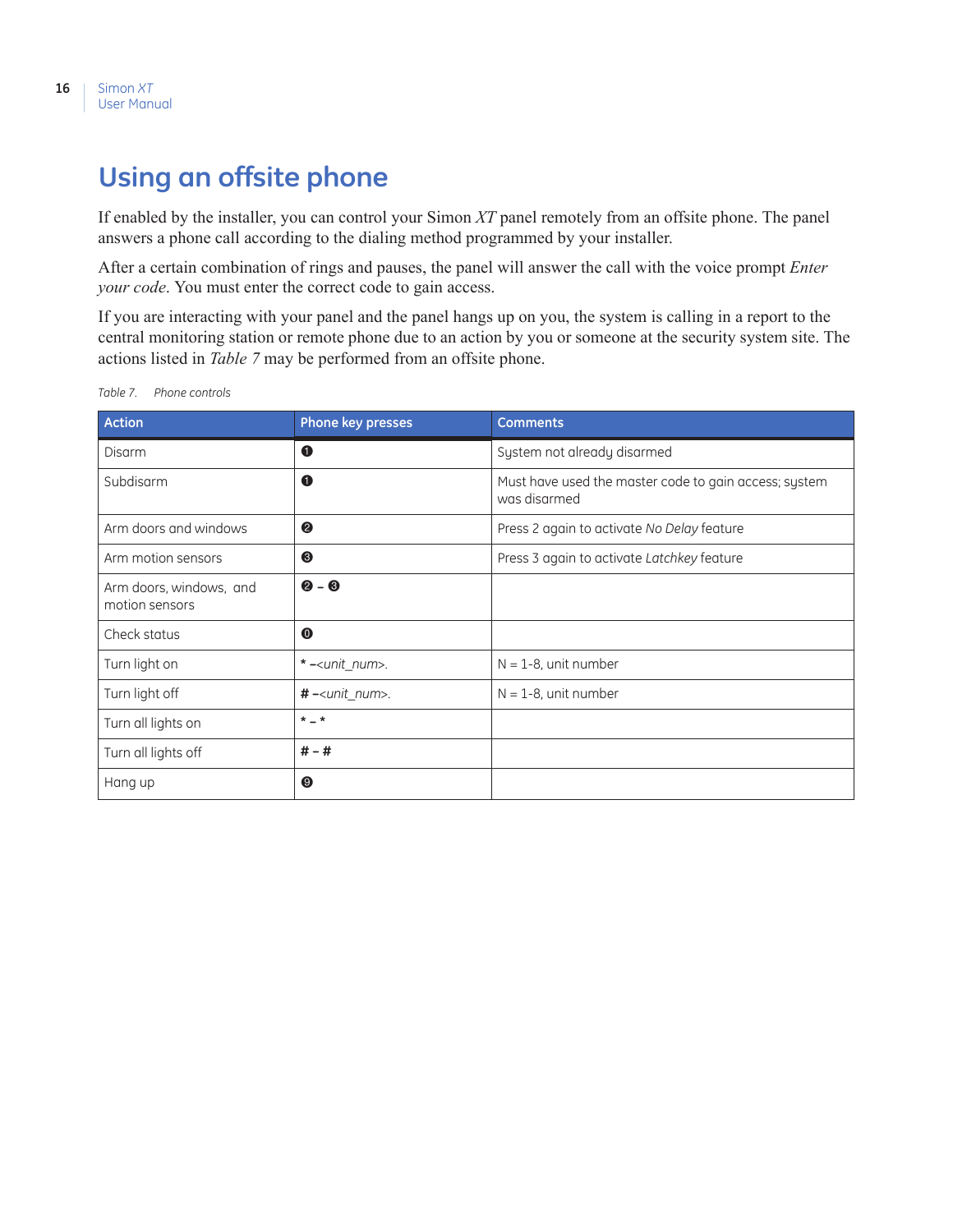## **Using an offsite phone**

If enabled by the installer, you can control your Simon *XT* panel remotely from an offsite phone. The panel answers a phone call according to the dialing method programmed by your installer.

After a certain combination of rings and pauses, the panel will answer the call with the voice prompt *Enter your code*. You must enter the correct code to gain access.

If you are interacting with your panel and the panel hangs up on you, the system is calling in a report to the central monitoring station or remote phone due to an action by you or someone at the security system site. The actions listed in *Table 7* may be performed from an offsite phone.

| <b>Action</b>                             | Phone key presses         | <b>Comments</b>                                                       |
|-------------------------------------------|---------------------------|-----------------------------------------------------------------------|
| Disarm                                    | $\bullet$                 | System not already disarmed                                           |
| $\mathbf 0$<br>Subdisarm                  |                           | Must have used the master code to gain access; system<br>was disarmed |
| Arm doors and windows                     | 2                         | Press 2 again to activate No Delay feature                            |
| Arm motion sensors                        | ❸                         | Press 3 again to activate Latchkey feature                            |
| Arm doors, windows, and<br>motion sensors | $Q - Q$                   |                                                                       |
| Check status                              | $\bf \bm 0$               |                                                                       |
| Turn light on                             | *-vunit_num>.             | $N = 1-8$ , unit number                                               |
| Turn light off                            | #- <unit_num>.</unit_num> | $N = 1-8$ , unit number                                               |
| Turn all lights on                        | $* - *$                   |                                                                       |
| Turn all lights off                       | $# - #$                   |                                                                       |
| Hang up                                   | ❸                         |                                                                       |

*Table 7. Phone controls*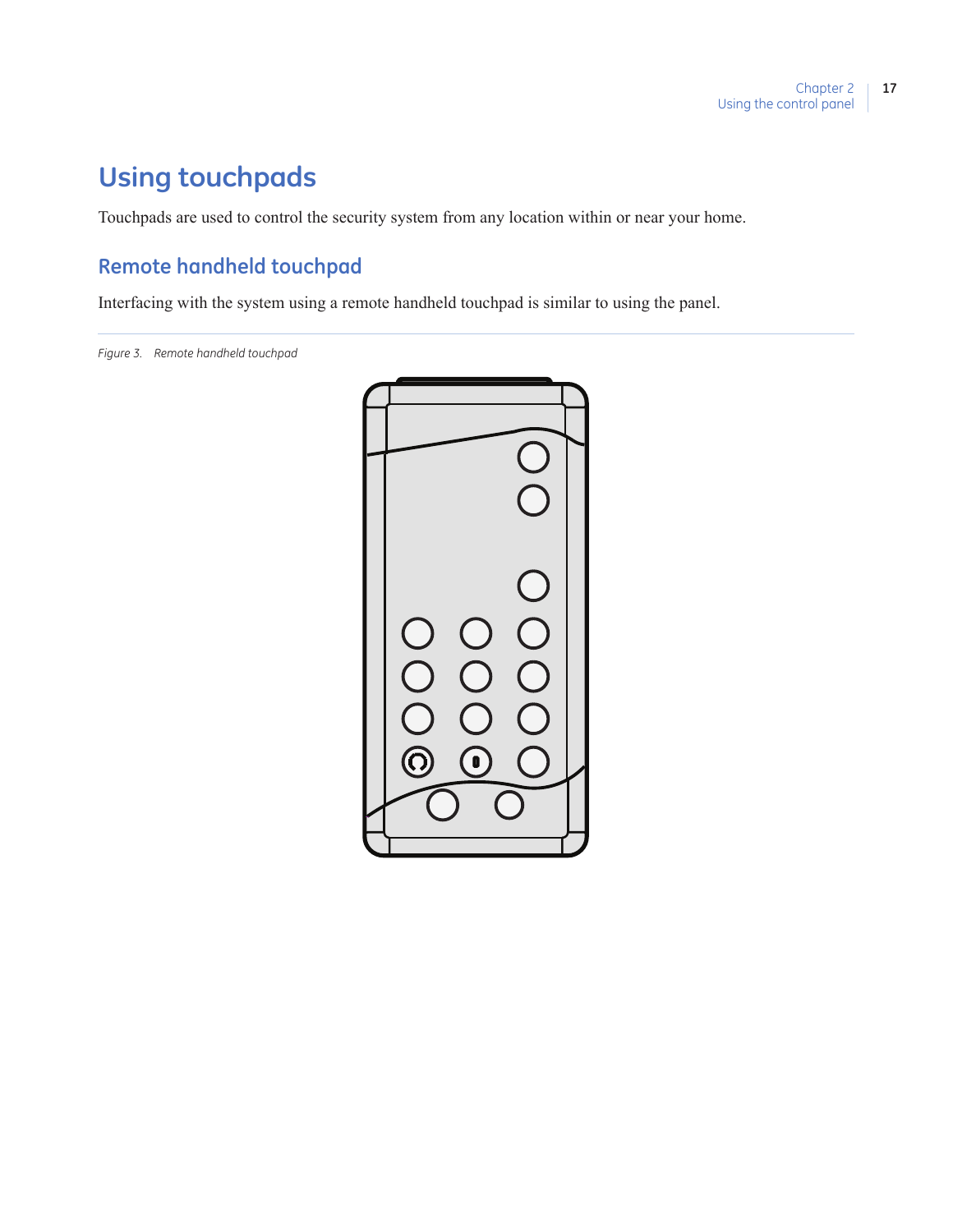## **Using touchpads**

Touchpads are used to control the security system from any location within or near your home.

## **Remote handheld touchpad**

Interfacing with the system using a remote handheld touchpad is similar to using the panel.

*Figure 3. Remote handheld touchpad*

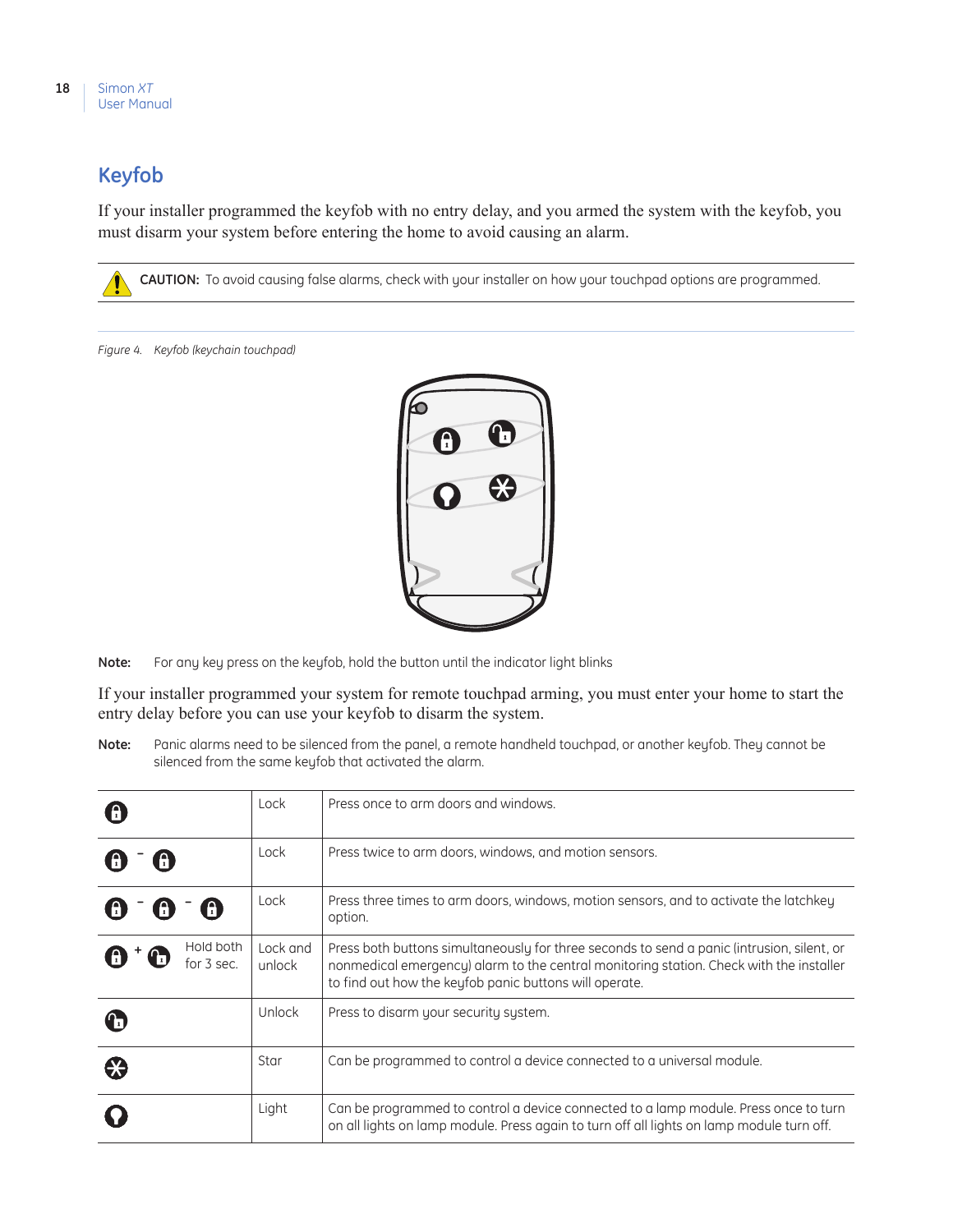## **Keyfob**

If your installer programmed the keyfob with no entry delay, and you armed the system with the keyfob, you must disarm your system before entering the home to avoid causing an alarm.

**CAUTION:** To avoid causing false alarms, check with your installer on how your touchpad options are programmed.

*Figure 4. Keyfob (keychain touchpad)*



**Note:** For any key press on the keyfob, hold the button until the indicator light blinks

If your installer programmed your system for remote touchpad arming, you must enter your home to start the entry delay before you can use your keyfob to disarm the system.

**Note:** Panic alarms need to be silenced from the panel, a remote handheld touchpad, or another keyfob. They cannot be silenced from the same keyfob that activated the alarm.

|                                                               | Lock               | Press once to arm doors and windows.                                                                                                                                                                                                            |  |
|---------------------------------------------------------------|--------------------|-------------------------------------------------------------------------------------------------------------------------------------------------------------------------------------------------------------------------------------------------|--|
| O                                                             | Lock               | Press twice to arm doors, windows, and motion sensors.                                                                                                                                                                                          |  |
| $0 - 0 - 0$                                                   | Lock               | Press three times to arm doors, windows, motion sensors, and to activate the latchkey<br>option.                                                                                                                                                |  |
| Hold both<br>$\mathbf{\Omega}^*\mathbf{\Omega}$<br>for 3 sec. | Lock and<br>unlock | Press both buttons simultaneously for three seconds to send a panic (intrusion, silent, or<br>nonmedical emergency) alarm to the central monitoring station. Check with the installer<br>to find out how the keyfob panic buttons will operate. |  |
|                                                               | Unlock             | Press to disarm your security system.                                                                                                                                                                                                           |  |
|                                                               | Star               | Can be programmed to control a device connected to a universal module.                                                                                                                                                                          |  |
|                                                               | Light              | Can be programmed to control a device connected to a lamp module. Press once to turn<br>on all lights on lamp module. Press again to turn off all lights on lamp module turn off.                                                               |  |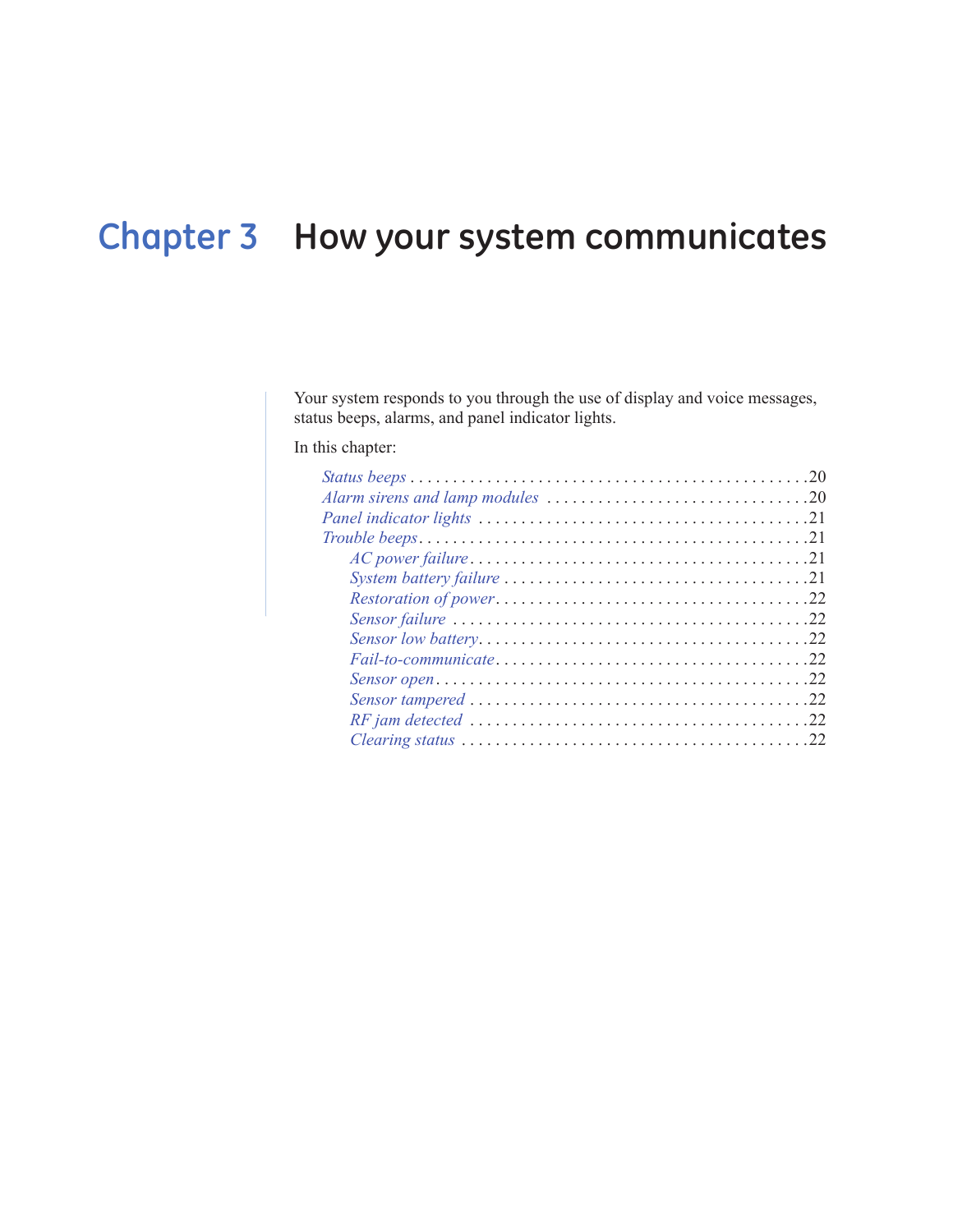# **Chapter 3 How your system communicates**

Your system responds to you through the use of display and voice messages, status beeps, alarms, and panel indicator lights.

In this chapter: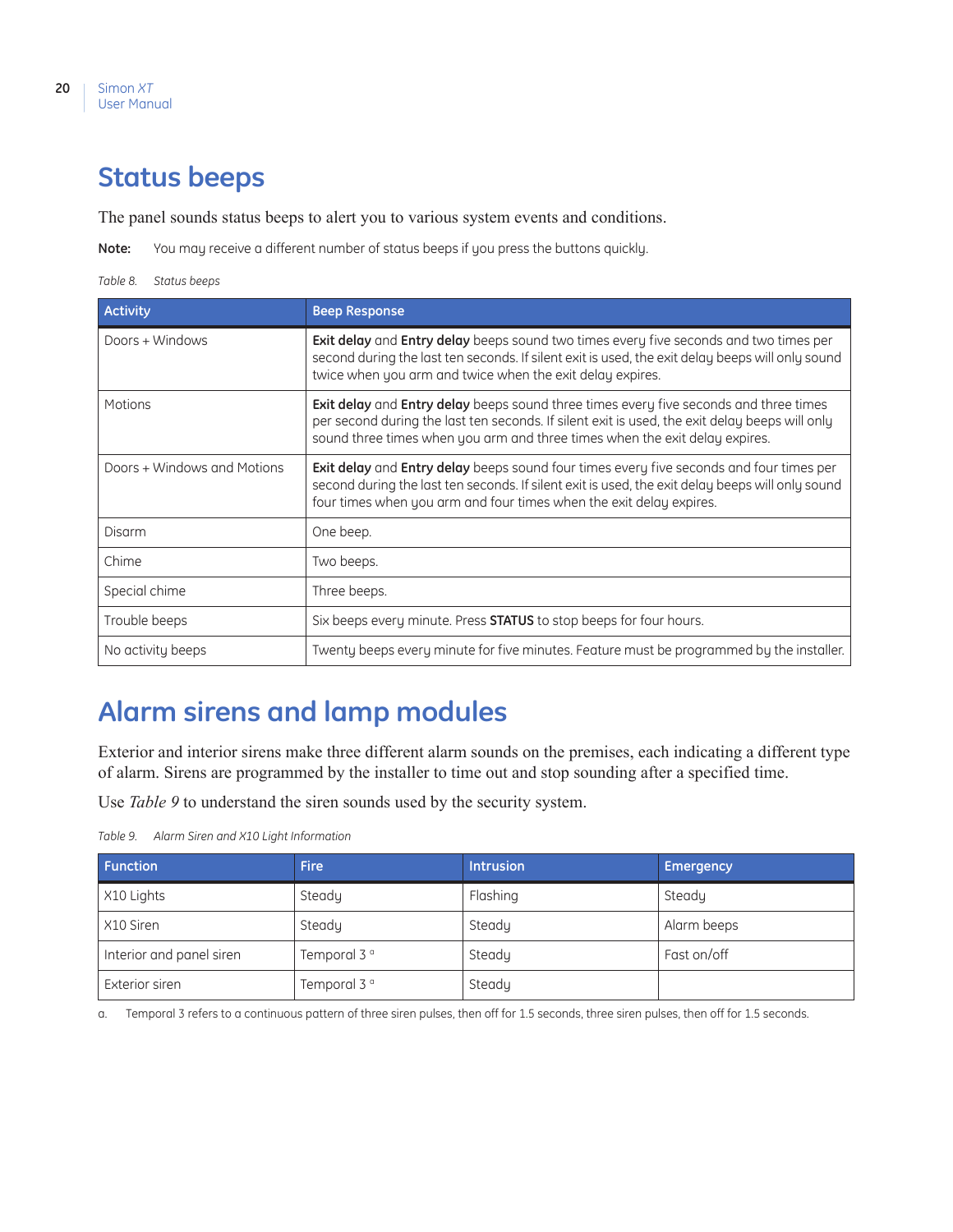The panel sounds status beeps to alert you to various system events and conditions.

**Note:** You may receive a different number of status beeps if you press the buttons quickly.

*Table 8. Status beeps*

| <b>Activity</b>             | <b>Beep Response</b>                                                                                                                                                                                                                                                                 |  |
|-----------------------------|--------------------------------------------------------------------------------------------------------------------------------------------------------------------------------------------------------------------------------------------------------------------------------------|--|
| Doors + Windows             | Exit delay and Entry delay beeps sound two times every five seconds and two times per<br>second during the last ten seconds. If silent exit is used, the exit delay beeps will only sound<br>twice when you arm and twice when the exit delay expires.                               |  |
| Motions                     | <b>Exit delay</b> and <b>Entry delay</b> beeps sound three times every five seconds and three times<br>per second during the last ten seconds. If silent exit is used, the exit delay beeps will only<br>sound three times when you arm and three times when the exit delay expires. |  |
| Doors + Windows and Motions | <b>Exit delay</b> and <b>Entry delay</b> beeps sound four times every five seconds and four times per<br>second during the last ten seconds. If silent exit is used, the exit delay beeps will only sound<br>four times when you arm and four times when the exit delay expires.     |  |
| Disarm                      | One beep.                                                                                                                                                                                                                                                                            |  |
| Chime                       | Two beeps.                                                                                                                                                                                                                                                                           |  |
| Special chime               | Three beeps.                                                                                                                                                                                                                                                                         |  |
| Trouble beeps               | Six beeps every minute. Press <b>STATUS</b> to stop beeps for four hours.                                                                                                                                                                                                            |  |
| No activity beeps           | Twenty beeps every minute for five minutes. Feature must be programmed by the installer.                                                                                                                                                                                             |  |

## **Alarm sirens and lamp modules**

Exterior and interior sirens make three different alarm sounds on the premises, each indicating a different type of alarm. Sirens are programmed by the installer to time out and stop sounding after a specified time.

Use *Table 9* to understand the siren sounds used by the security system.

*Table 9. Alarm Siren and X10 Light Information*

| <b>Function</b>          | <b>Fire</b>             | <b>Intrusion</b> | <b>Emergency</b> |
|--------------------------|-------------------------|------------------|------------------|
| X10 Lights               | Steady                  | Flashing         | Steady           |
| X10 Siren                | Steady                  | Steady           | Alarm beeps      |
| Interior and panel siren | Temporal 3 <sup>a</sup> | Steady           | Fast on/off      |
| Exterior siren           | Temporal 3 <sup>a</sup> | Steady           |                  |

a. Temporal 3 refers to a continuous pattern of three siren pulses, then off for 1.5 seconds, three siren pulses, then off for 1.5 seconds.

Simon *XT* User Manual **20**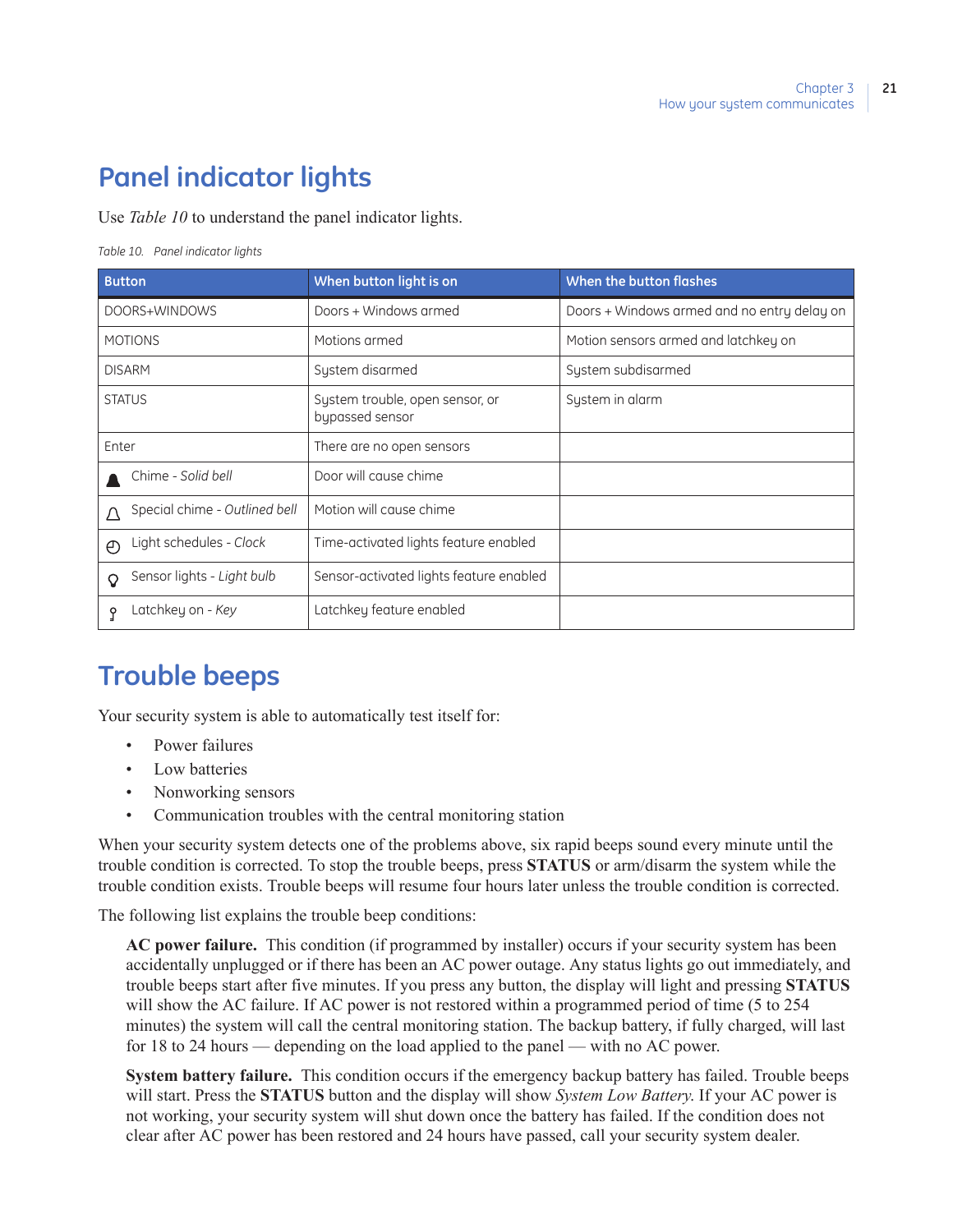## **Panel indicator lights**

Use *Table 10* to understand the panel indicator lights.

*Table 10. Panel indicator lights*

| <b>Button</b>                      | When button light is on                            | When the button flashes                     |
|------------------------------------|----------------------------------------------------|---------------------------------------------|
| DOORS+WINDOWS                      | Doors + Windows armed                              | Doors + Windows armed and no entry delay on |
| <b>MOTIONS</b>                     | Motions armed                                      | Motion sensors armed and latchkey on        |
| <b>DISARM</b>                      | System disarmed                                    | System subdisarmed                          |
| <b>STATUS</b>                      | System trouble, open sensor, or<br>bypassed sensor | System in alarm                             |
| Enter                              | There are no open sensors                          |                                             |
| Chime - Solid bell                 | Door will cause chime                              |                                             |
| Special chime - Outlined bell<br>Л | Motion will cause chime                            |                                             |
| Light schedules - Clock<br>Α       | Time-activated lights feature enabled              |                                             |
| Sensor lights - Light bulb<br>O    | Sensor-activated lights feature enabled            |                                             |
| Latchkey on - Key<br>ϙ             | Latchkey feature enabled                           |                                             |

## **Trouble beeps**

Your security system is able to automatically test itself for:

- Power failures
- Low batteries
- Nonworking sensors
- Communication troubles with the central monitoring station

When your security system detects one of the problems above, six rapid beeps sound every minute until the trouble condition is corrected. To stop the trouble beeps, press **STATUS** or arm/disarm the system while the trouble condition exists. Trouble beeps will resume four hours later unless the trouble condition is corrected.

The following list explains the trouble beep conditions:

**AC power failure.** This condition (if programmed by installer) occurs if your security system has been accidentally unplugged or if there has been an AC power outage. Any status lights go out immediately, and trouble beeps start after five minutes. If you press any button, the display will light and pressing **STATUS**  will show the AC failure. If AC power is not restored within a programmed period of time (5 to 254 minutes) the system will call the central monitoring station. The backup battery, if fully charged, will last for 18 to 24 hours — depending on the load applied to the panel — with no AC power.

**System battery failure.** This condition occurs if the emergency backup battery has failed. Trouble beeps will start. Press the **STATUS** button and the display will show *System Low Battery*. If your AC power is not working, your security system will shut down once the battery has failed. If the condition does not clear after AC power has been restored and 24 hours have passed, call your security system dealer.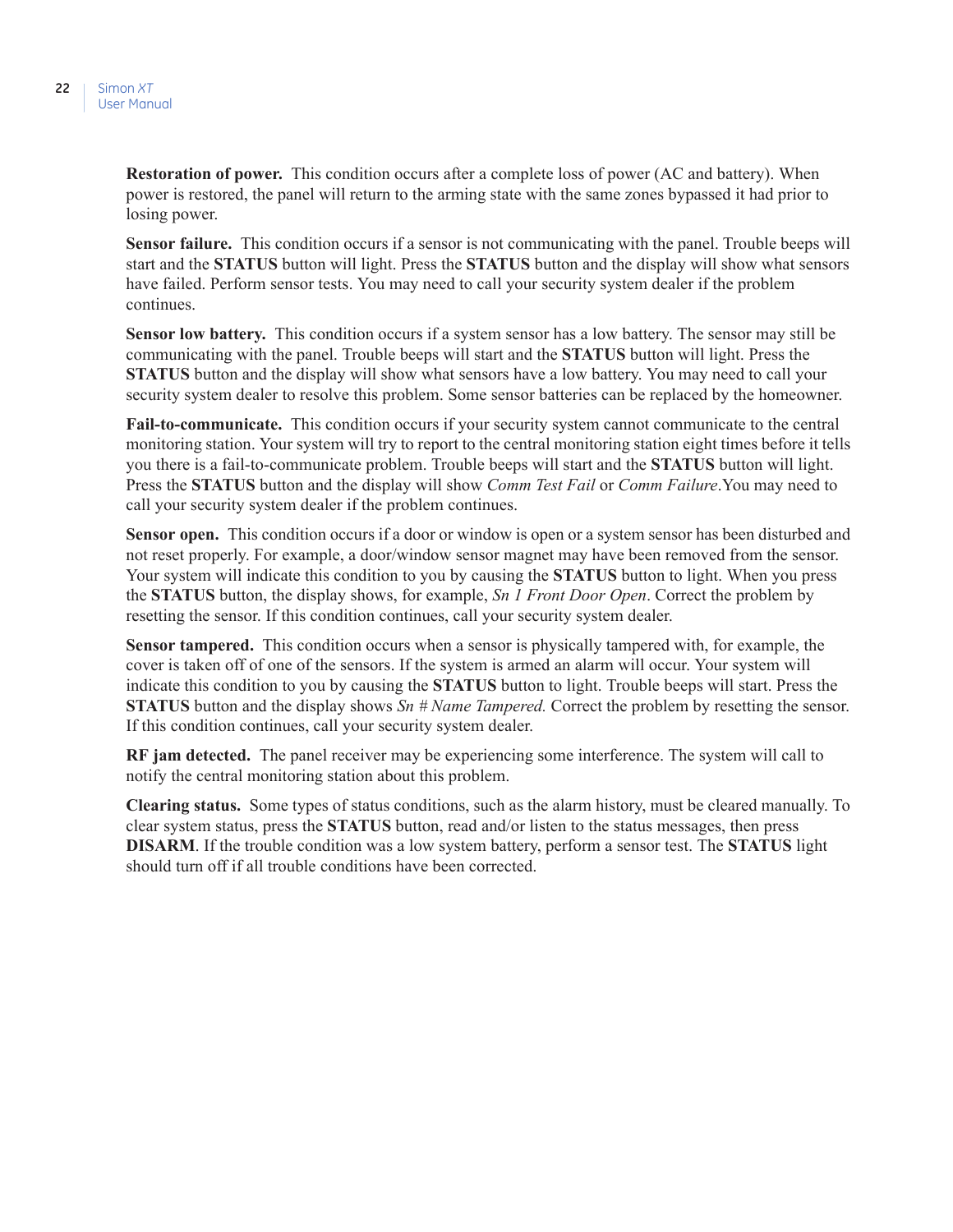**Restoration of power.** This condition occurs after a complete loss of power (AC and battery). When power is restored, the panel will return to the arming state with the same zones bypassed it had prior to losing power.

**Sensor failure.** This condition occurs if a sensor is not communicating with the panel. Trouble beeps will start and the **STATUS** button will light. Press the **STATUS** button and the display will show what sensors have failed. Perform sensor tests. You may need to call your security system dealer if the problem continues.

**Sensor low battery.** This condition occurs if a system sensor has a low battery. The sensor may still be communicating with the panel. Trouble beeps will start and the **STATUS** button will light. Press the **STATUS** button and the display will show what sensors have a low battery. You may need to call your security system dealer to resolve this problem. Some sensor batteries can be replaced by the homeowner.

**Fail-to-communicate.** This condition occurs if your security system cannot communicate to the central monitoring station. Your system will try to report to the central monitoring station eight times before it tells you there is a fail-to-communicate problem. Trouble beeps will start and the **STATUS** button will light. Press the **STATUS** button and the display will show *Comm Test Fail* or *Comm Failure*.You may need to call your security system dealer if the problem continues.

**Sensor open.** This condition occurs if a door or window is open or a system sensor has been disturbed and not reset properly. For example, a door/window sensor magnet may have been removed from the sensor. Your system will indicate this condition to you by causing the **STATUS** button to light. When you press the **STATUS** button, the display shows, for example, *Sn 1 Front Door Open*. Correct the problem by resetting the sensor. If this condition continues, call your security system dealer.

**Sensor tampered.** This condition occurs when a sensor is physically tampered with, for example, the cover is taken off of one of the sensors. If the system is armed an alarm will occur. Your system will indicate this condition to you by causing the **STATUS** button to light. Trouble beeps will start. Press the **STATUS** button and the display shows *Sn # Name Tampered.* Correct the problem by resetting the sensor. If this condition continues, call your security system dealer.

**RF jam detected.** The panel receiver may be experiencing some interference. The system will call to notify the central monitoring station about this problem.

**Clearing status.** Some types of status conditions, such as the alarm history, must be cleared manually. To clear system status, press the **STATUS** button, read and/or listen to the status messages, then press **DISARM**. If the trouble condition was a low system battery, perform a sensor test. The **STATUS** light should turn off if all trouble conditions have been corrected.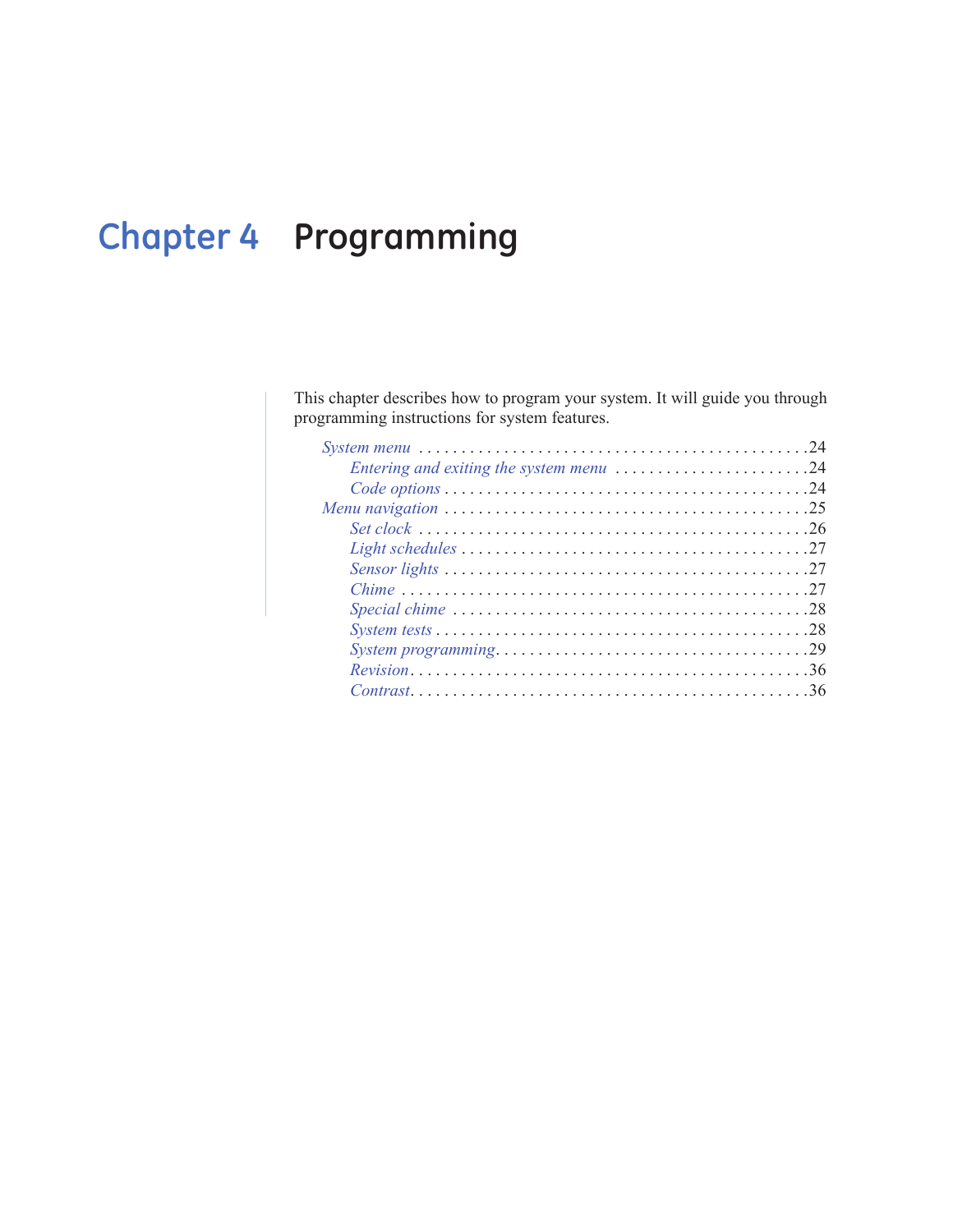# **Chapter 4 Programming**

This chapter describes how to program your system. It will guide you through programming instructions for system features.

| Entering and exiting the system menu 24                                                               |  |
|-------------------------------------------------------------------------------------------------------|--|
| $Code~options \dots \dots \dots \dots \dots \dots \dots \dots \dots \dots \dots \dots \dots \dots 24$ |  |
|                                                                                                       |  |
|                                                                                                       |  |
|                                                                                                       |  |
|                                                                                                       |  |
|                                                                                                       |  |
|                                                                                                       |  |
|                                                                                                       |  |
|                                                                                                       |  |
|                                                                                                       |  |
|                                                                                                       |  |
|                                                                                                       |  |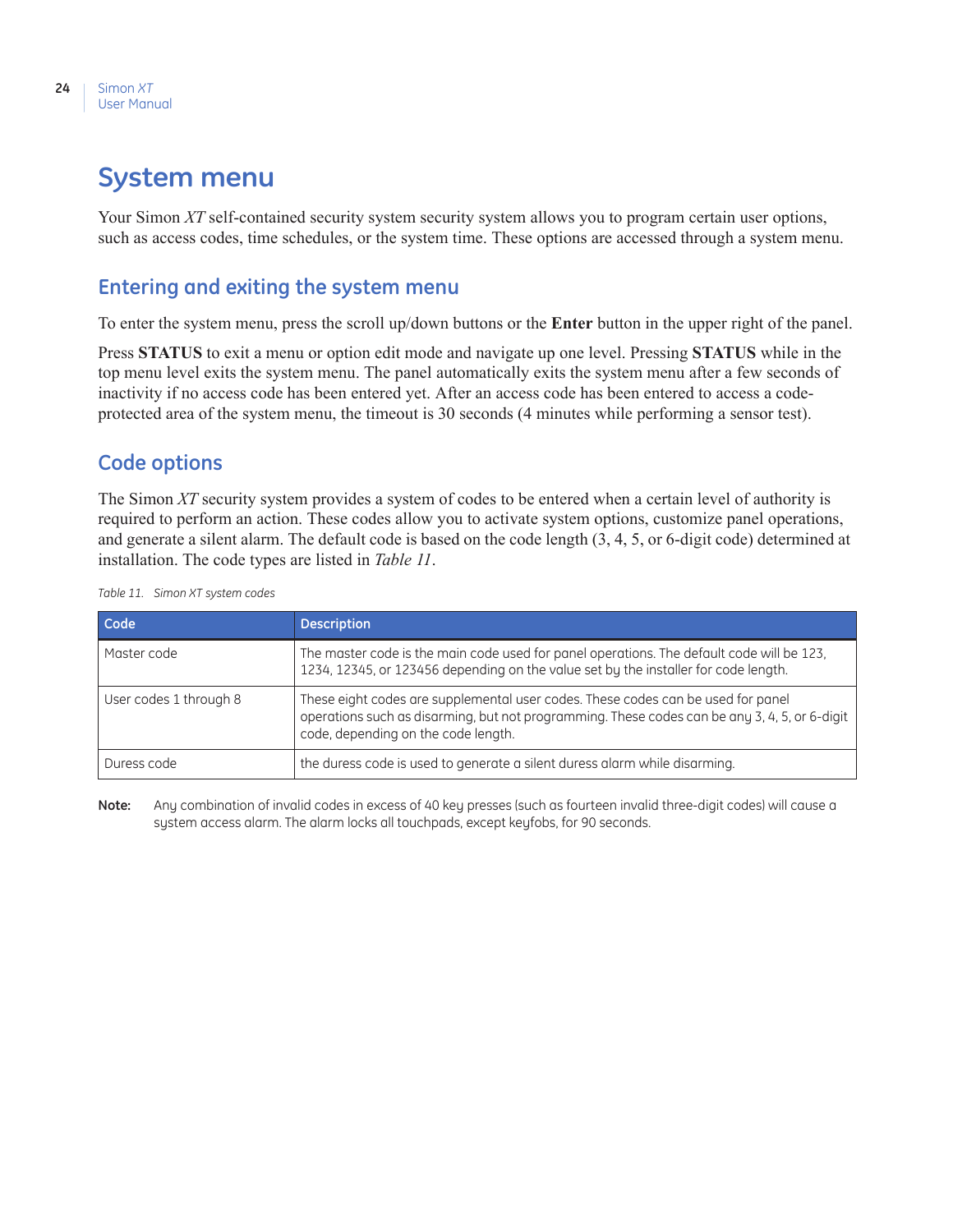## **System menu**

Your Simon *XT* self-contained security system security system allows you to program certain user options, such as access codes, time schedules, or the system time. These options are accessed through a system menu.

## **Entering and exiting the system menu**

To enter the system menu, press the scroll up/down buttons or the **Enter** button in the upper right of the panel.

Press **STATUS** to exit a menu or option edit mode and navigate up one level. Pressing **STATUS** while in the top menu level exits the system menu. The panel automatically exits the system menu after a few seconds of inactivity if no access code has been entered yet. After an access code has been entered to access a codeprotected area of the system menu, the timeout is 30 seconds (4 minutes while performing a sensor test).

## **Code options**

The Simon *XT* security system provides a system of codes to be entered when a certain level of authority is required to perform an action. These codes allow you to activate system options, customize panel operations, and generate a silent alarm. The default code is based on the code length (3, 4, 5, or 6-digit code) determined at installation. The code types are listed in *Table 11*.

| Code                   | <b>Description</b>                                                                                                                                                                                                       |
|------------------------|--------------------------------------------------------------------------------------------------------------------------------------------------------------------------------------------------------------------------|
| Master code            | The master code is the main code used for panel operations. The default code will be 123,<br>1234, 12345, or 123456 depending on the value set by the installer for code length.                                         |
| User codes 1 through 8 | These eight codes are supplemental user codes. These codes can be used for panel<br>operations such as disarming, but not programming. These codes can be any 3, 4, 5, or 6-digit<br>code, depending on the code length. |
| Duress code            | the duress code is used to generate a silent duress alarm while disarming.                                                                                                                                               |

*Table 11. Simon XT system codes*

**Note:** Any combination of invalid codes in excess of 40 key presses (such as fourteen invalid three-digit codes) will cause a system access alarm. The alarm locks all touchpads, except keyfobs, for 90 seconds.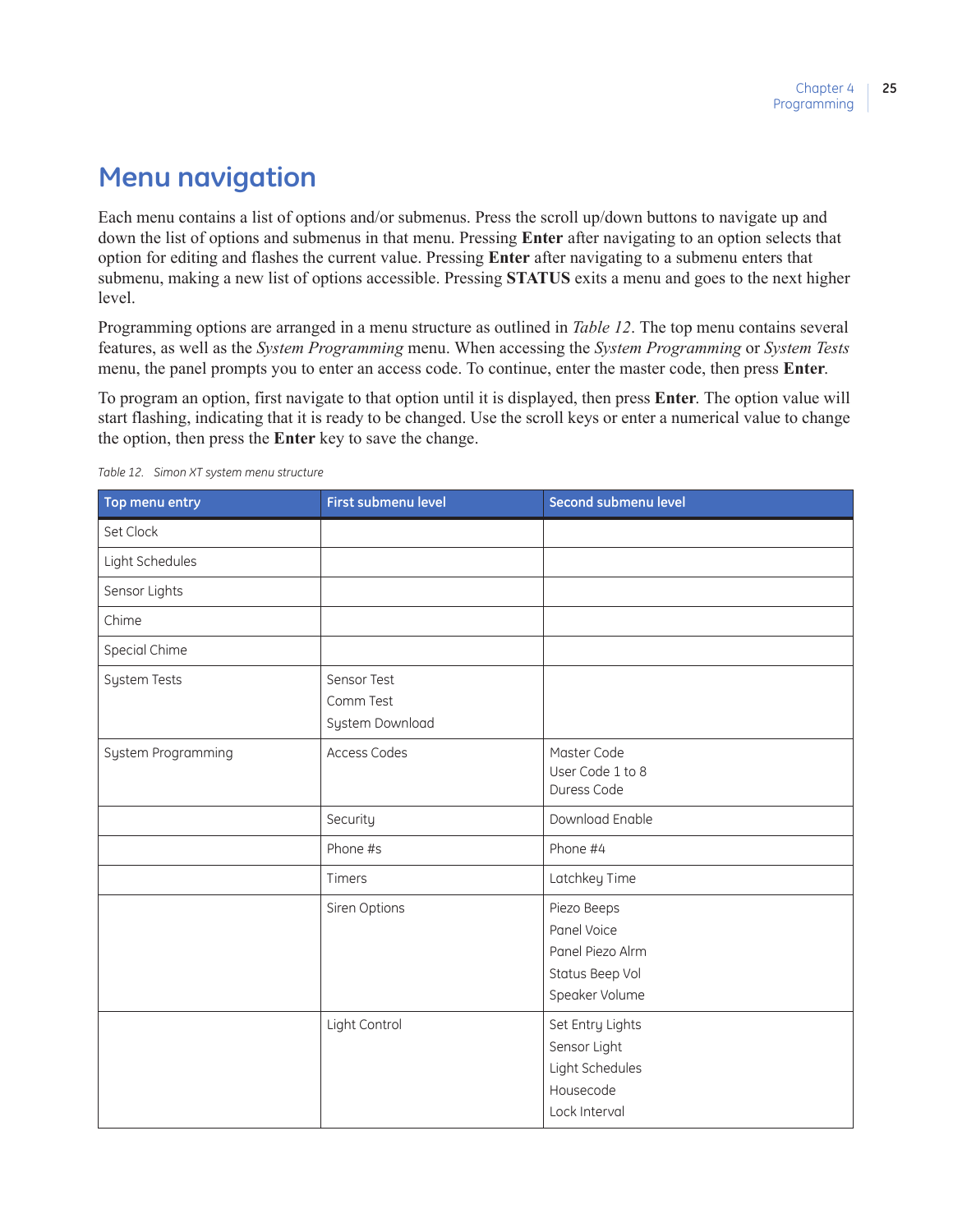## **Menu navigation**

Each menu contains a list of options and/or submenus. Press the scroll up/down buttons to navigate up and down the list of options and submenus in that menu. Pressing **Enter** after navigating to an option selects that option for editing and flashes the current value. Pressing **Enter** after navigating to a submenu enters that submenu, making a new list of options accessible. Pressing **STATUS** exits a menu and goes to the next higher level.

Programming options are arranged in a menu structure as outlined in *Table 12*. The top menu contains several features, as well as the *System Programming* menu. When accessing the *System Programming* or *System Tests* menu, the panel prompts you to enter an access code. To continue, enter the master code, then press **Enter**.

To program an option, first navigate to that option until it is displayed, then press **Enter**. The option value will start flashing, indicating that it is ready to be changed. Use the scroll keys or enter a numerical value to change the option, then press the **Enter** key to save the change.

| Top menu entry      | First submenu level                         | Second submenu level                                                                |
|---------------------|---------------------------------------------|-------------------------------------------------------------------------------------|
| Set Clock           |                                             |                                                                                     |
| Light Schedules     |                                             |                                                                                     |
| Sensor Lights       |                                             |                                                                                     |
| Chime               |                                             |                                                                                     |
| Special Chime       |                                             |                                                                                     |
| <b>System Tests</b> | Sensor Test<br>Comm Test<br>System Download |                                                                                     |
| System Programming  | <b>Access Codes</b>                         | Master Code<br>User Code 1 to 8<br>Duress Code                                      |
|                     | Security                                    | Download Enable                                                                     |
|                     | Phone #s                                    | Phone #4                                                                            |
|                     | Timers                                      | Latchkey Time                                                                       |
|                     | Siren Options                               | Piezo Beeps<br>Panel Voice<br>Panel Piezo Alrm<br>Status Beep Vol<br>Speaker Volume |
|                     | Light Control                               | Set Entry Lights<br>Sensor Light<br>Light Schedules<br>Housecode<br>Lock Interval   |

*Table 12. Simon XT system menu structure*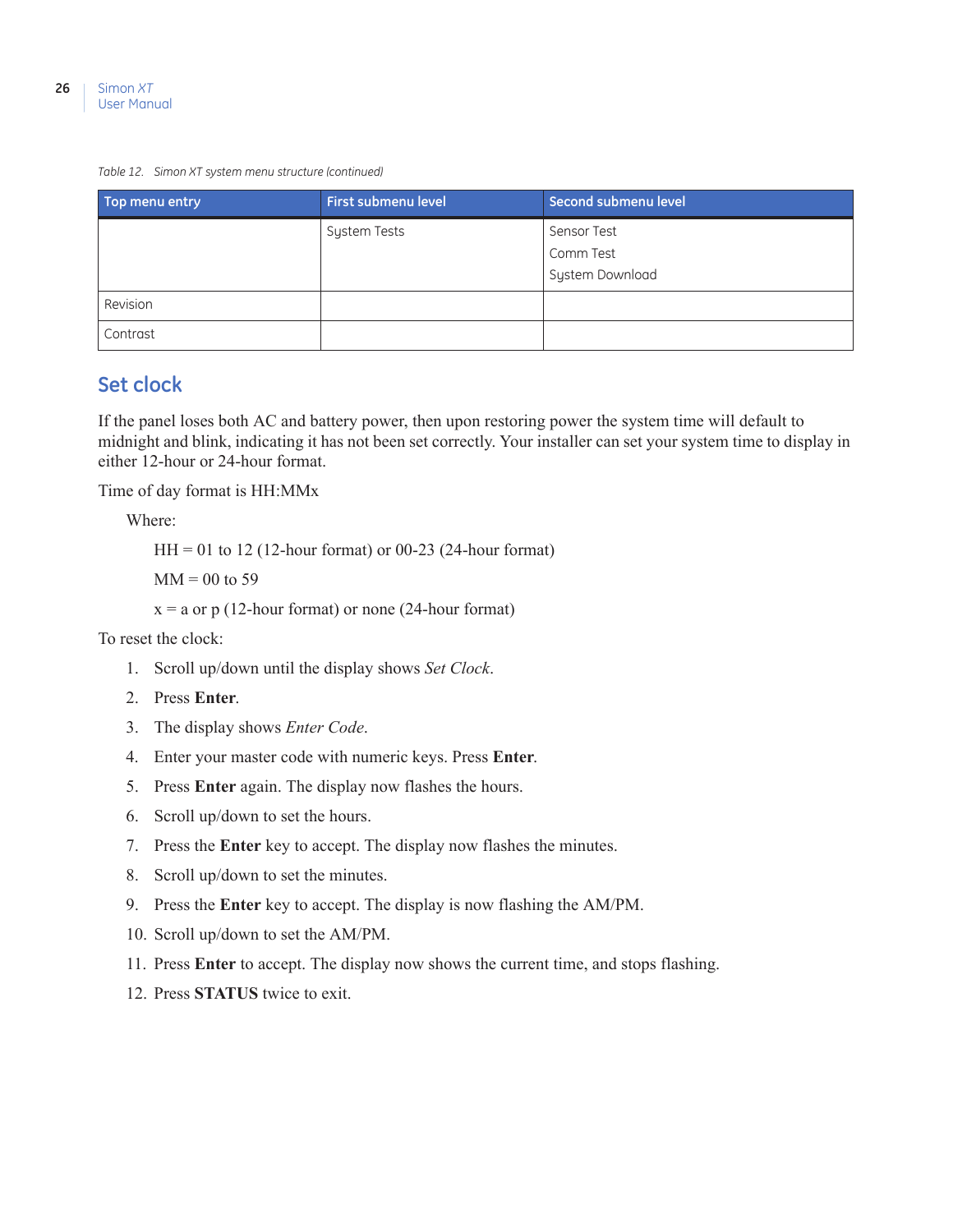#### *Table 12. Simon XT system menu structure (continued)*

| Top menu entry | First submenu level | Second submenu level |
|----------------|---------------------|----------------------|
|                | System Tests        | Sensor Test          |
|                |                     | Comm Test            |
|                |                     | System Download      |
| Revision       |                     |                      |
| Contrast       |                     |                      |

## **Set clock**

If the panel loses both AC and battery power, then upon restoring power the system time will default to midnight and blink, indicating it has not been set correctly. Your installer can set your system time to display in either 12-hour or 24-hour format.

Time of day format is HH:MMx

Where:

```
HH = 01 to 12 (12-hour format) or 00-23 (24-hour format)
```
 $MM = 00$  to 59

 $x = a$  or p (12-hour format) or none (24-hour format)

To reset the clock:

- 1. Scroll up/down until the display shows *Set Clock*.
- 2. Press **Enter**.
- 3. The display shows *Enter Code*.
- 4. Enter your master code with numeric keys. Press **Enter**.
- 5. Press **Enter** again. The display now flashes the hours.
- 6. Scroll up/down to set the hours.
- 7. Press the **Enter** key to accept. The display now flashes the minutes.
- 8. Scroll up/down to set the minutes.
- 9. Press the **Enter** key to accept. The display is now flashing the AM/PM.
- 10. Scroll up/down to set the AM/PM.
- 11. Press **Enter** to accept. The display now shows the current time, and stops flashing.
- 12. Press **STATUS** twice to exit.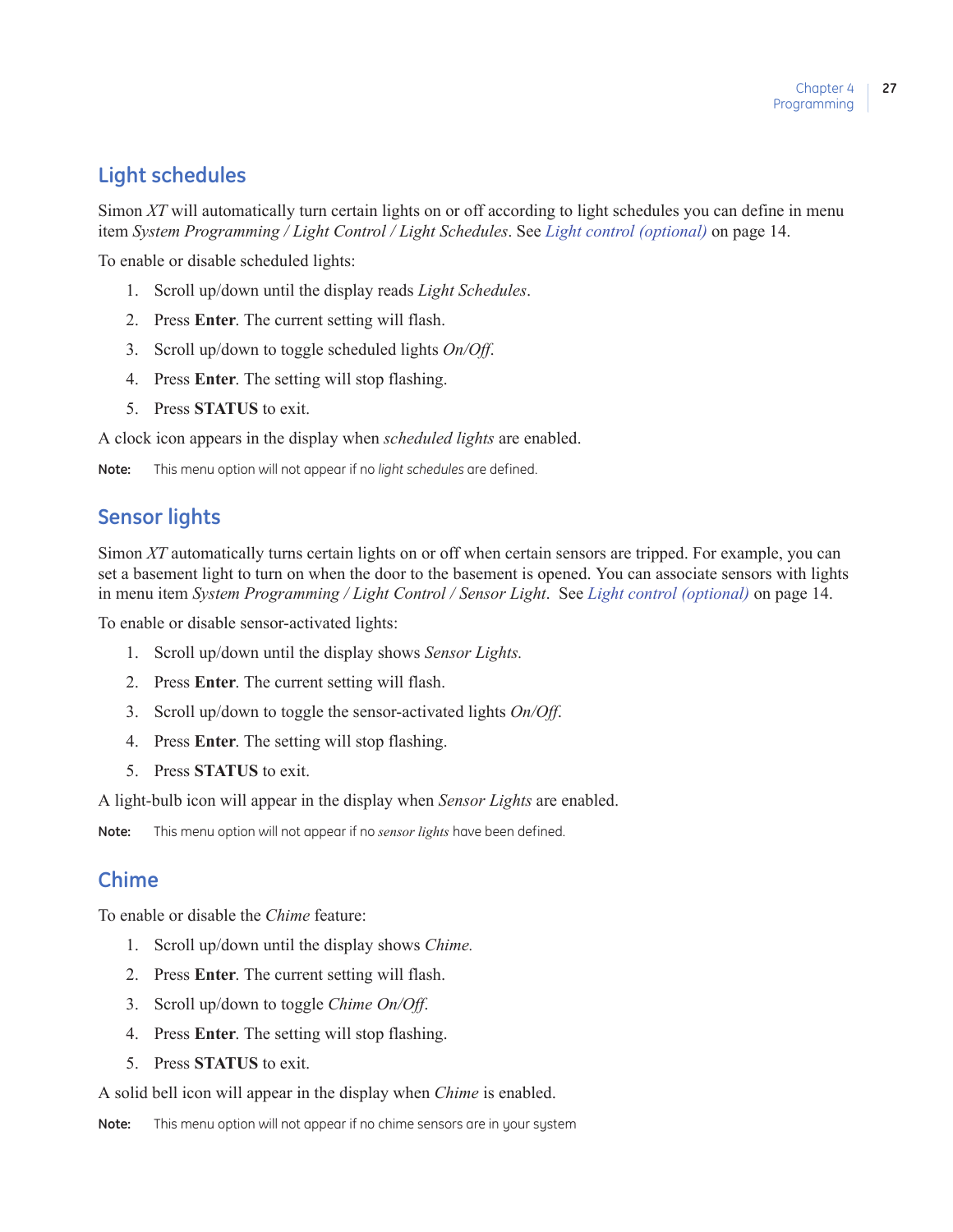## **Light schedules**

Simon *XT* will automatically turn certain lights on or off according to light schedules you can define in menu item *System Programming / Light Control / Light Schedules*. See *Light control (optional)* on page 14.

To enable or disable scheduled lights:

- 1. Scroll up/down until the display reads *Light Schedules*.
- 2. Press **Enter**. The current setting will flash.
- 3. Scroll up/down to toggle scheduled lights *On/Off*.
- 4. Press **Enter**. The setting will stop flashing.
- 5. Press **STATUS** to exit.

A clock icon appears in the display when *scheduled lights* are enabled.

**Note:** This menu option will not appear if no *light schedules* are defined.

## **Sensor lights**

Simon *XT* automatically turns certain lights on or off when certain sensors are tripped. For example, you can set a basement light to turn on when the door to the basement is opened. You can associate sensors with lights in menu item *System Programming / Light Control / Sensor Light*. See *Light control (optional)* on page 14.

To enable or disable sensor-activated lights:

- 1. Scroll up/down until the display shows *Sensor Lights.*
- 2. Press **Enter**. The current setting will flash.
- 3. Scroll up/down to toggle the sensor-activated lights *On/Off*.
- 4. Press **Enter**. The setting will stop flashing.
- 5. Press **STATUS** to exit.

A light-bulb icon will appear in the display when *Sensor Lights* are enabled.

**Note:** This menu option will not appear if no *sensor lights* have been defined.

## **Chime**

To enable or disable the *Chime* feature:

- 1. Scroll up/down until the display shows *Chime.*
- 2. Press **Enter**. The current setting will flash.
- 3. Scroll up/down to toggle *Chime On/Off*.
- 4. Press **Enter**. The setting will stop flashing.
- 5. Press **STATUS** to exit.

A solid bell icon will appear in the display when *Chime* is enabled.

**Note:** This menu option will not appear if no chime sensors are in your system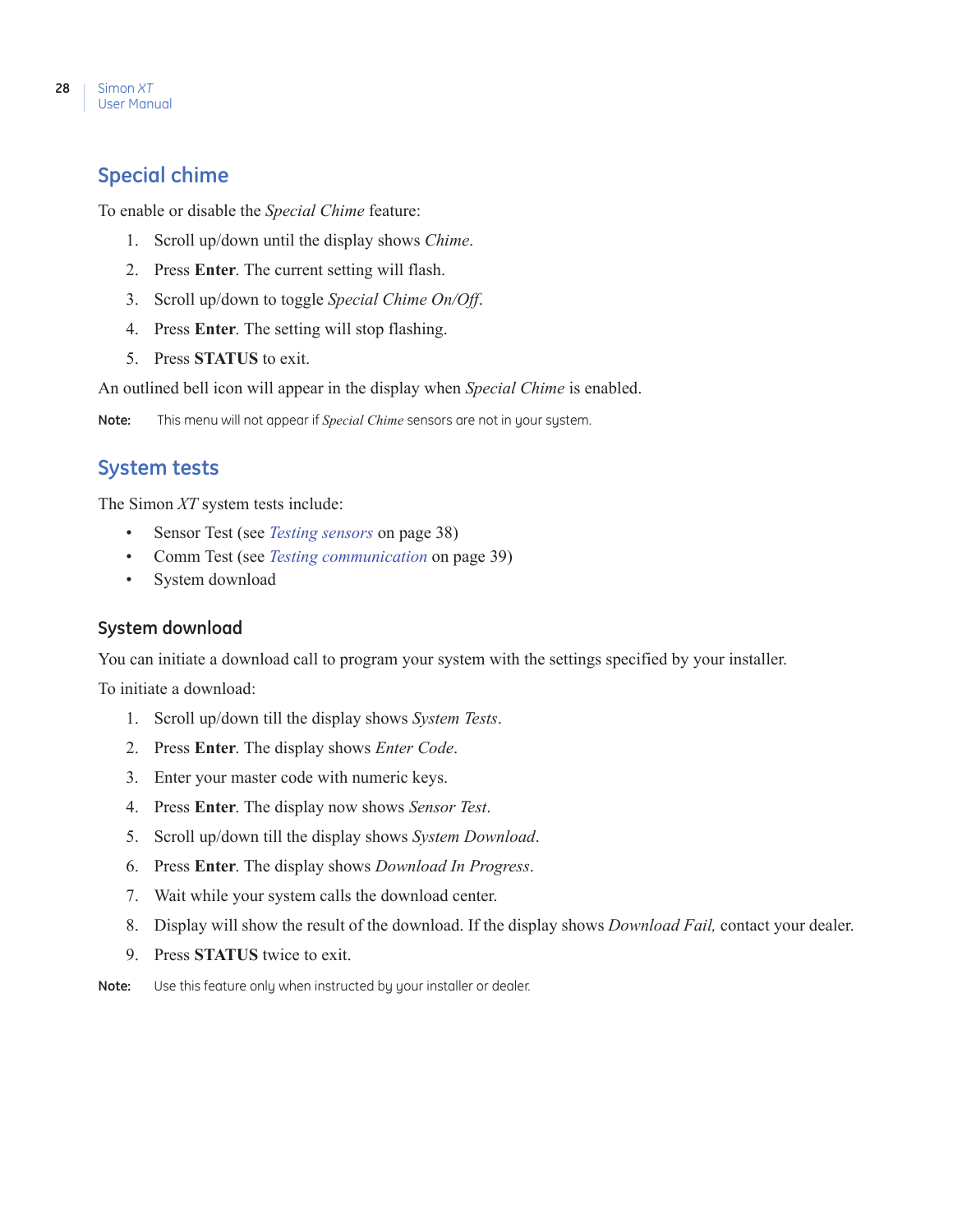## **Special chime**

To enable or disable the *Special Chime* feature:

- 1. Scroll up/down until the display shows *Chime*.
- 2. Press **Enter**. The current setting will flash.
- 3. Scroll up/down to toggle *Special Chime On/Off*.
- 4. Press **Enter**. The setting will stop flashing.
- 5. Press **STATUS** to exit.

An outlined bell icon will appear in the display when *Special Chime* is enabled.

**Note:** This menu will not appear if *Special Chime* sensors are not in your system.

## **System tests**

The Simon *XT* system tests include:

- Sensor Test (see *Testing sensors* on page 38)
- Comm Test (see *Testing communication* on page 39)
- System download

### **System download**

You can initiate a download call to program your system with the settings specified by your installer.

To initiate a download:

- 1. Scroll up/down till the display shows *System Tests*.
- 2. Press **Enter**. The display shows *Enter Code*.
- 3. Enter your master code with numeric keys.
- 4. Press **Enter**. The display now shows *Sensor Test*.
- 5. Scroll up/down till the display shows *System Download*.
- 6. Press **Enter**. The display shows *Download In Progress*.
- 7. Wait while your system calls the download center.
- 8. Display will show the result of the download. If the display shows *Download Fail,* contact your dealer.
- 9. Press **STATUS** twice to exit.
- **Note:** Use this feature only when instructed by your installer or dealer.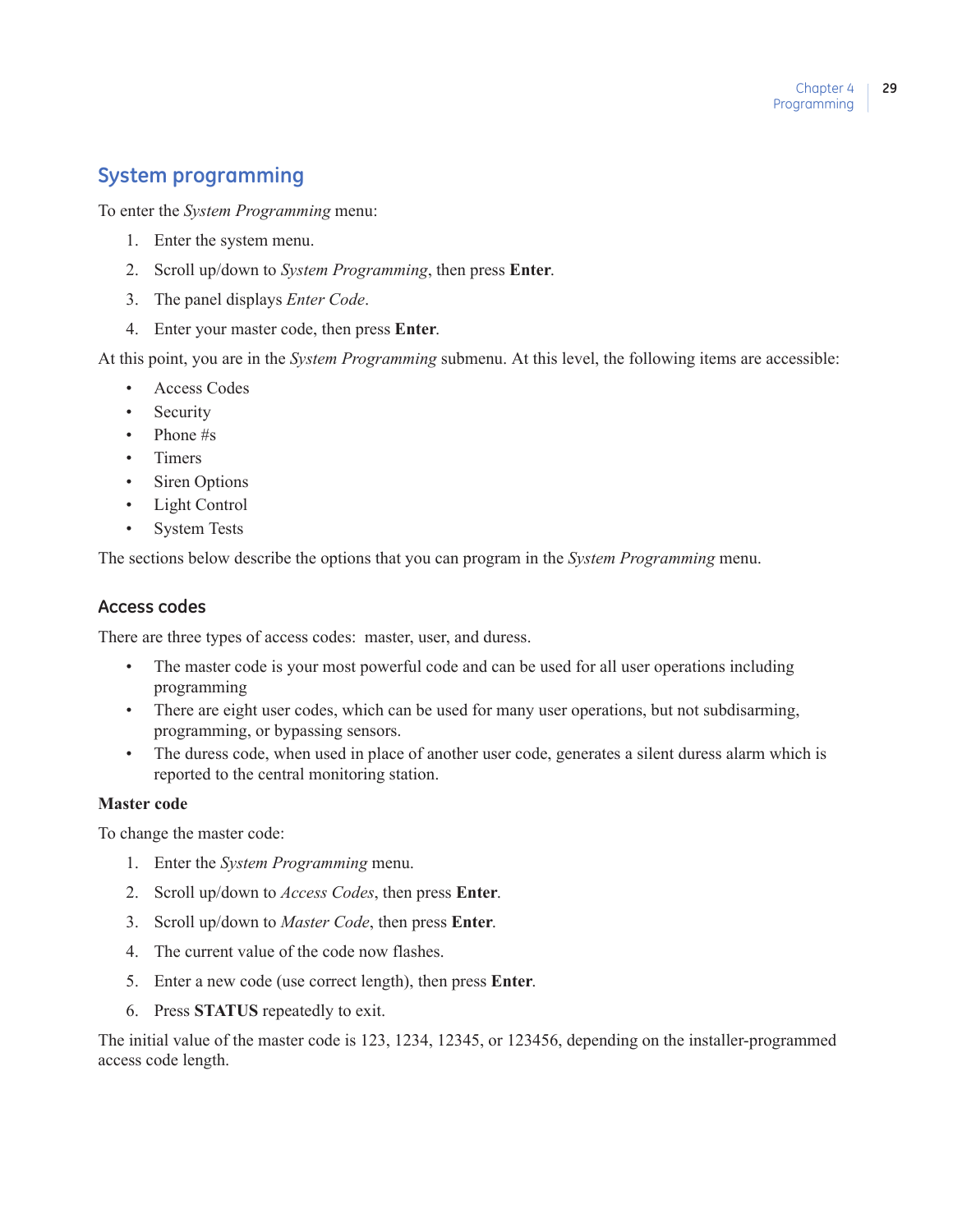## **System programming**

To enter the *System Programming* menu:

- 1. Enter the system menu.
- 2. Scroll up/down to *System Programming*, then press **Enter**.
- 3. The panel displays *Enter Code*.
- 4. Enter your master code, then press **Enter**.

At this point, you are in the *System Programming* submenu. At this level, the following items are accessible:

- Access Codes
- **Security**
- Phone #s
- Timers
- Siren Options
- Light Control
- System Tests

The sections below describe the options that you can program in the *System Programming* menu.

#### **Access codes**

There are three types of access codes: master, user, and duress.

- The master code is your most powerful code and can be used for all user operations including programming
- There are eight user codes, which can be used for many user operations, but not subdisarming, programming, or bypassing sensors.
- The duress code, when used in place of another user code, generates a silent duress alarm which is reported to the central monitoring station.

#### **Master code**

To change the master code:

- 1. Enter the *System Programming* menu.
- 2. Scroll up/down to *Access Codes*, then press **Enter**.
- 3. Scroll up/down to *Master Code*, then press **Enter**.
- 4. The current value of the code now flashes.
- 5. Enter a new code (use correct length), then press **Enter**.
- 6. Press **STATUS** repeatedly to exit.

The initial value of the master code is 123, 1234, 12345, or 123456, depending on the installer-programmed access code length.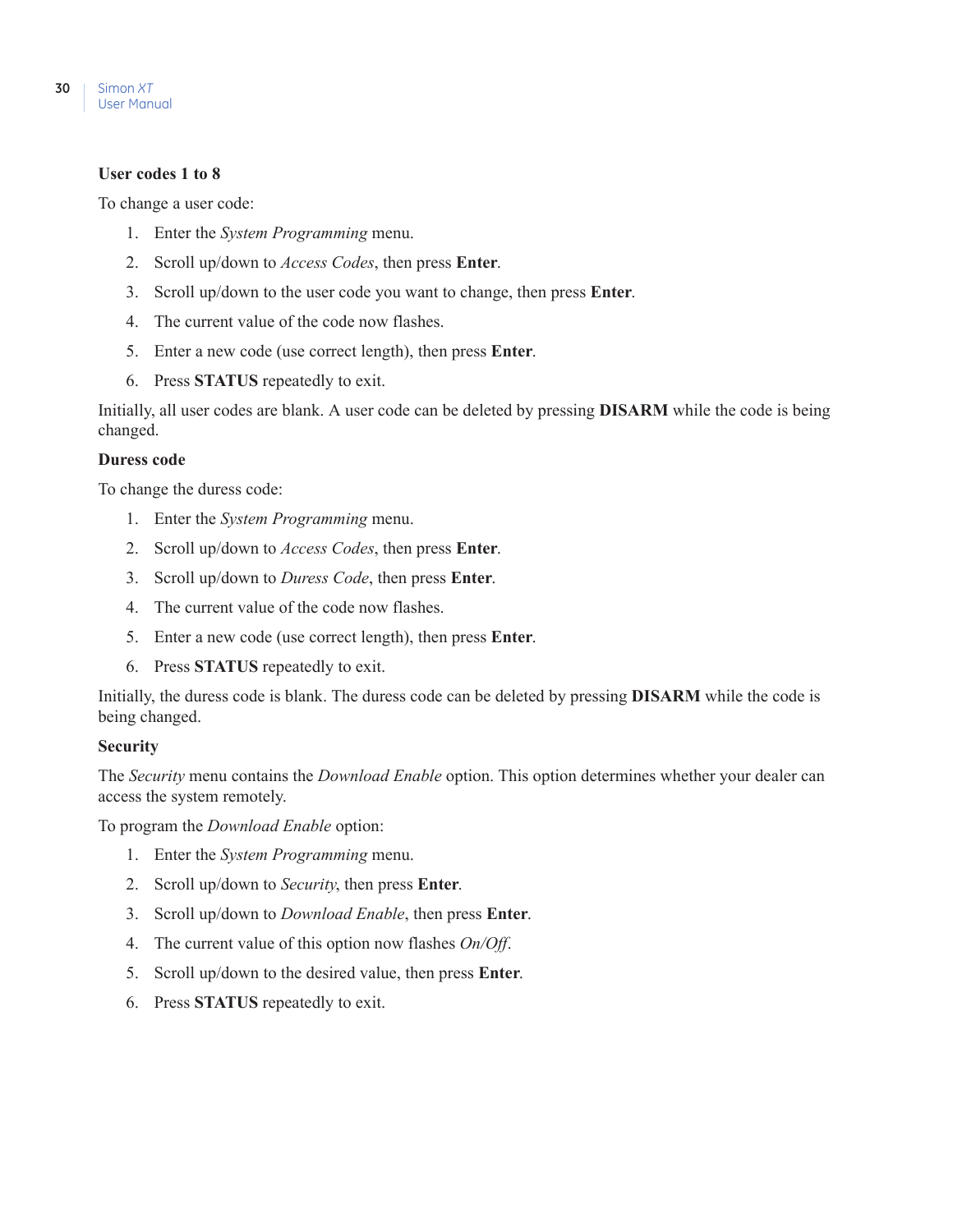#### **User codes 1 to 8**

To change a user code:

- 1. Enter the *System Programming* menu.
- 2. Scroll up/down to *Access Codes*, then press **Enter**.
- 3. Scroll up/down to the user code you want to change, then press **Enter**.
- 4. The current value of the code now flashes.
- 5. Enter a new code (use correct length), then press **Enter**.
- 6. Press **STATUS** repeatedly to exit.

Initially, all user codes are blank. A user code can be deleted by pressing **DISARM** while the code is being changed.

#### **Duress code**

To change the duress code:

- 1. Enter the *System Programming* menu.
- 2. Scroll up/down to *Access Codes*, then press **Enter**.
- 3. Scroll up/down to *Duress Code*, then press **Enter**.
- 4. The current value of the code now flashes.
- 5. Enter a new code (use correct length), then press **Enter**.
- 6. Press **STATUS** repeatedly to exit.

Initially, the duress code is blank. The duress code can be deleted by pressing **DISARM** while the code is being changed.

#### **Security**

The *Security* menu contains the *Download Enable* option. This option determines whether your dealer can access the system remotely.

To program the *Download Enable* option:

- 1. Enter the *System Programming* menu.
- 2. Scroll up/down to *Security*, then press **Enter**.
- 3. Scroll up/down to *Download Enable*, then press **Enter**.
- 4. The current value of this option now flashes *On/Off*.
- 5. Scroll up/down to the desired value, then press **Enter**.
- 6. Press **STATUS** repeatedly to exit.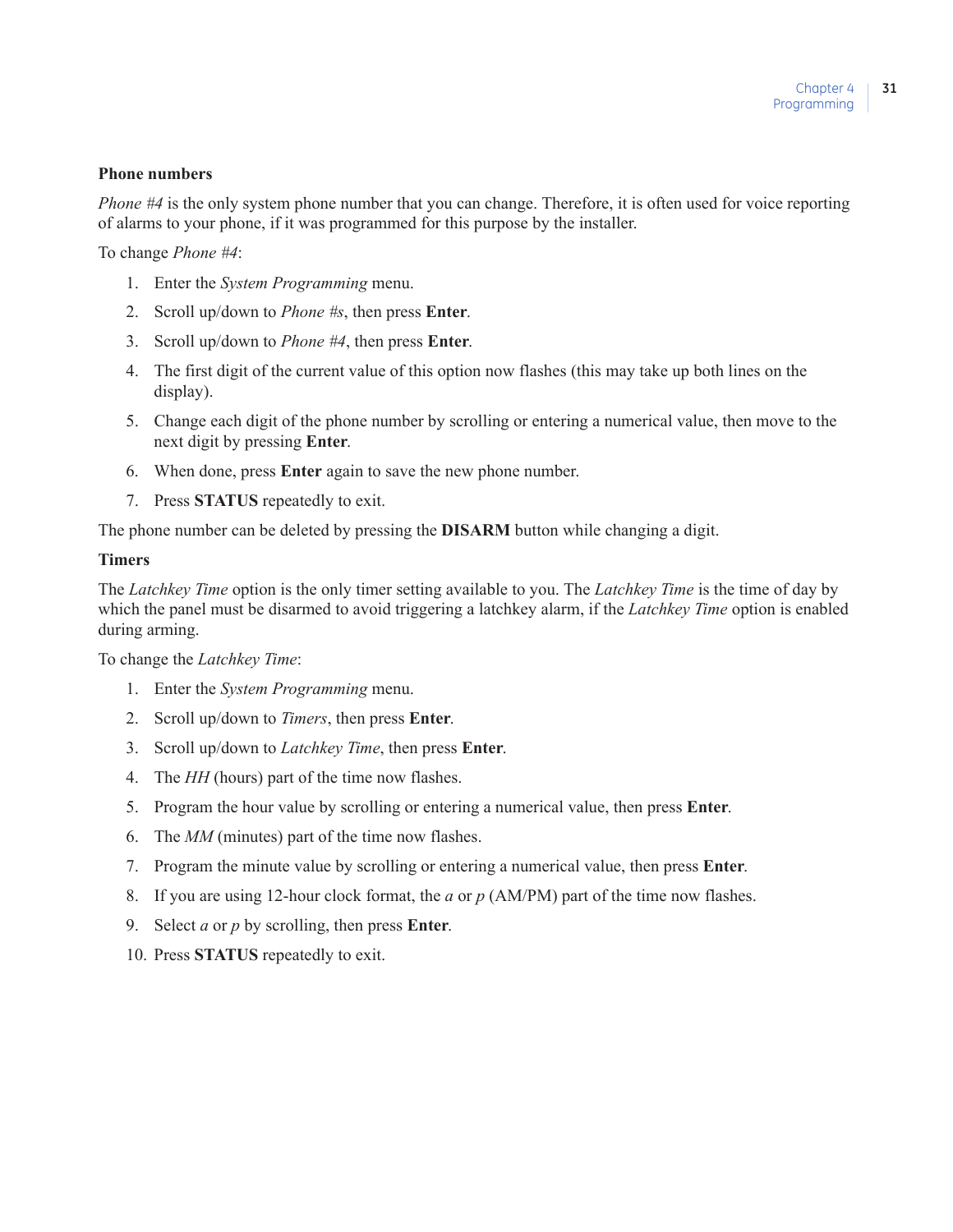#### **Phone numbers**

*Phone #4* is the only system phone number that you can change. Therefore, it is often used for voice reporting of alarms to your phone, if it was programmed for this purpose by the installer.

To change *Phone #4*:

- 1. Enter the *System Programming* menu.
- 2. Scroll up/down to *Phone #s*, then press **Enter**.
- 3. Scroll up/down to *Phone #4*, then press **Enter**.
- 4. The first digit of the current value of this option now flashes (this may take up both lines on the display).
- 5. Change each digit of the phone number by scrolling or entering a numerical value, then move to the next digit by pressing **Enter**.
- 6. When done, press **Enter** again to save the new phone number.
- 7. Press **STATUS** repeatedly to exit.

The phone number can be deleted by pressing the **DISARM** button while changing a digit.

#### **Timers**

The *Latchkey Time* option is the only timer setting available to you. The *Latchkey Time* is the time of day by which the panel must be disarmed to avoid triggering a latchkey alarm, if the *Latchkey Time* option is enabled during arming.

To change the *Latchkey Time*:

- 1. Enter the *System Programming* menu.
- 2. Scroll up/down to *Timers*, then press **Enter**.
- 3. Scroll up/down to *Latchkey Time*, then press **Enter**.
- 4. The *HH* (hours) part of the time now flashes.
- 5. Program the hour value by scrolling or entering a numerical value, then press **Enter**.
- 6. The *MM* (minutes) part of the time now flashes.
- 7. Program the minute value by scrolling or entering a numerical value, then press **Enter**.
- 8. If you are using 12-hour clock format, the *a* or *p* (AM/PM) part of the time now flashes.
- 9. Select *a* or *p* by scrolling, then press **Enter**.
- 10. Press **STATUS** repeatedly to exit.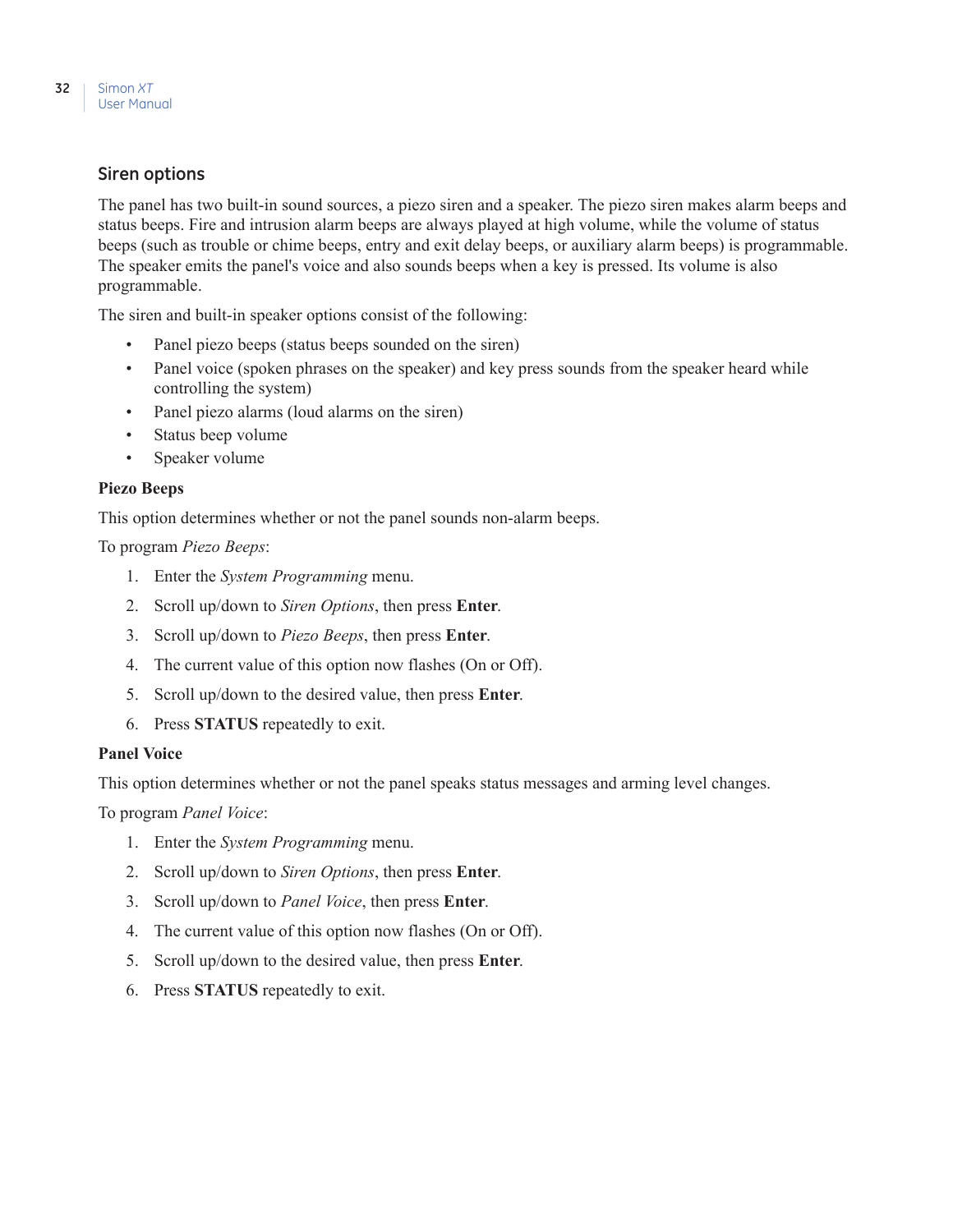#### **Siren options**

The panel has two built-in sound sources, a piezo siren and a speaker. The piezo siren makes alarm beeps and status beeps. Fire and intrusion alarm beeps are always played at high volume, while the volume of status beeps (such as trouble or chime beeps, entry and exit delay beeps, or auxiliary alarm beeps) is programmable. The speaker emits the panel's voice and also sounds beeps when a key is pressed. Its volume is also programmable.

The siren and built-in speaker options consist of the following:

- Panel piezo beeps (status beeps sounded on the siren)
- Panel voice (spoken phrases on the speaker) and key press sounds from the speaker heard while controlling the system)
- Panel piezo alarms (loud alarms on the siren)
- Status beep volume
- Speaker volume

#### **Piezo Beeps**

This option determines whether or not the panel sounds non-alarm beeps.

To program *Piezo Beeps*:

- 1. Enter the *System Programming* menu.
- 2. Scroll up/down to *Siren Options*, then press **Enter**.
- 3. Scroll up/down to *Piezo Beeps*, then press **Enter**.
- 4. The current value of this option now flashes (On or Off).
- 5. Scroll up/down to the desired value, then press **Enter**.
- 6. Press **STATUS** repeatedly to exit.

#### **Panel Voice**

This option determines whether or not the panel speaks status messages and arming level changes.

To program *Panel Voice*:

- 1. Enter the *System Programming* menu.
- 2. Scroll up/down to *Siren Options*, then press **Enter**.
- 3. Scroll up/down to *Panel Voice*, then press **Enter**.
- 4. The current value of this option now flashes (On or Off).
- 5. Scroll up/down to the desired value, then press **Enter**.
- 6. Press **STATUS** repeatedly to exit.

Simon *XT* User Manual **32**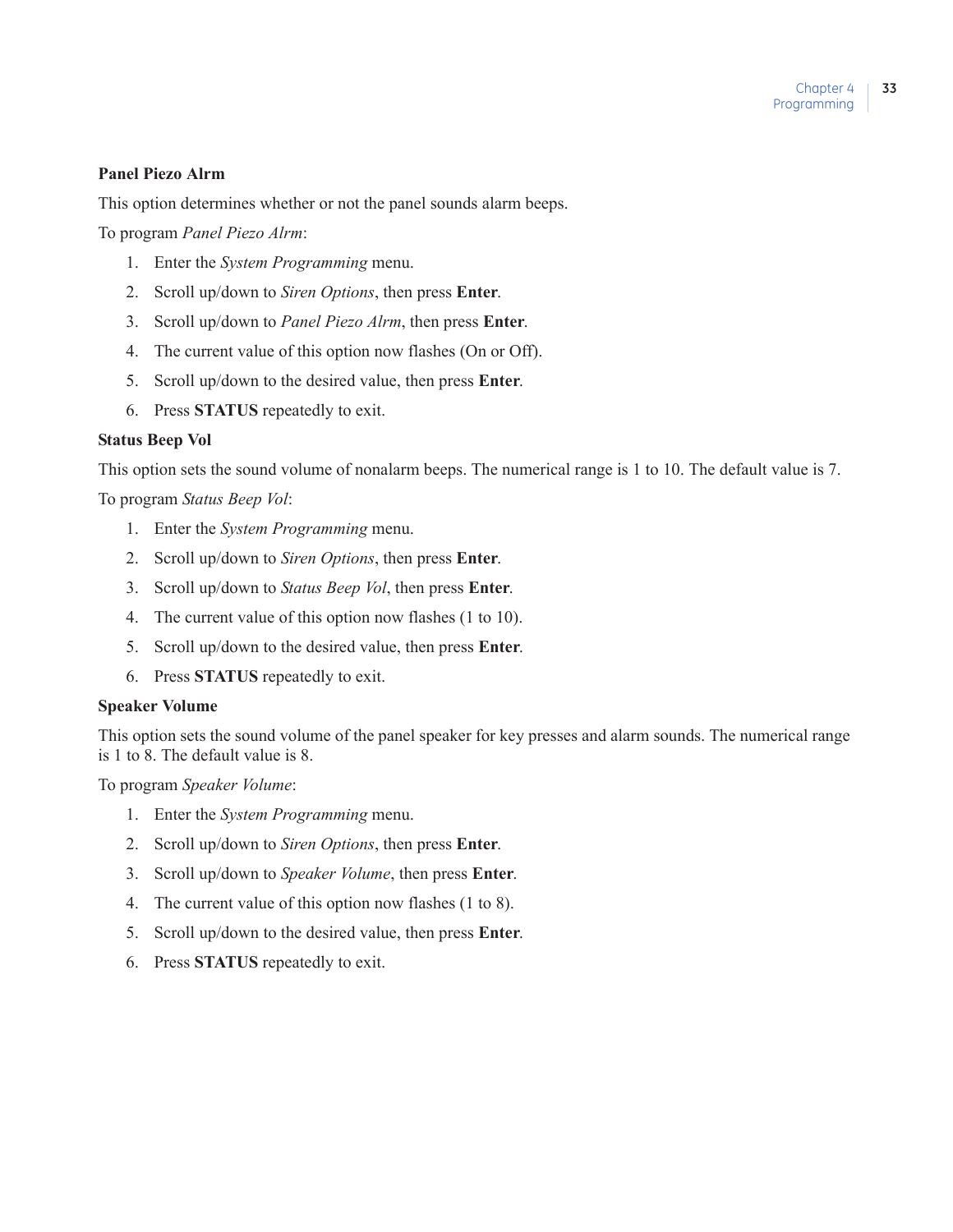#### **Panel Piezo Alrm**

This option determines whether or not the panel sounds alarm beeps.

To program *Panel Piezo Alrm*:

- 1. Enter the *System Programming* menu.
- 2. Scroll up/down to *Siren Options*, then press **Enter**.
- 3. Scroll up/down to *Panel Piezo Alrm*, then press **Enter**.
- 4. The current value of this option now flashes (On or Off).
- 5. Scroll up/down to the desired value, then press **Enter**.
- 6. Press **STATUS** repeatedly to exit.

#### **Status Beep Vol**

This option sets the sound volume of nonalarm beeps. The numerical range is 1 to 10. The default value is 7.

To program *Status Beep Vol*:

- 1. Enter the *System Programming* menu.
- 2. Scroll up/down to *Siren Options*, then press **Enter**.
- 3. Scroll up/down to *Status Beep Vol*, then press **Enter**.
- 4. The current value of this option now flashes (1 to 10).
- 5. Scroll up/down to the desired value, then press **Enter**.
- 6. Press **STATUS** repeatedly to exit.

#### **Speaker Volume**

This option sets the sound volume of the panel speaker for key presses and alarm sounds. The numerical range is 1 to 8. The default value is 8.

To program *Speaker Volume*:

- 1. Enter the *System Programming* menu.
- 2. Scroll up/down to *Siren Options*, then press **Enter**.
- 3. Scroll up/down to *Speaker Volume*, then press **Enter**.
- 4. The current value of this option now flashes (1 to 8).
- 5. Scroll up/down to the desired value, then press **Enter**.
- 6. Press **STATUS** repeatedly to exit.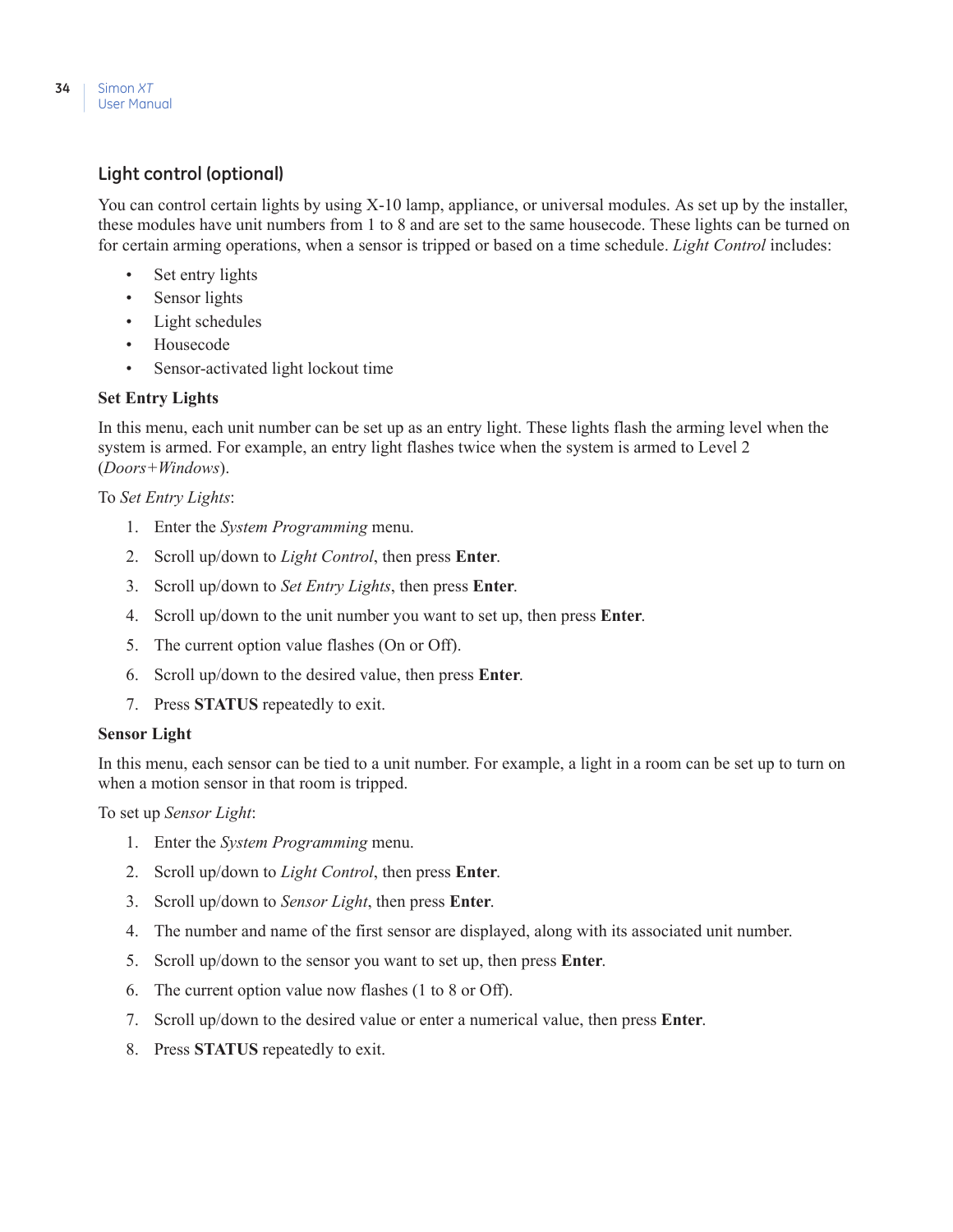### **Light control (optional)**

You can control certain lights by using X-10 lamp, appliance, or universal modules. As set up by the installer, these modules have unit numbers from 1 to 8 and are set to the same housecode. These lights can be turned on for certain arming operations, when a sensor is tripped or based on a time schedule. *Light Control* includes:

- Set entry lights
- Sensor lights
- Light schedules
- Housecode
- Sensor-activated light lockout time

#### **Set Entry Lights**

In this menu, each unit number can be set up as an entry light. These lights flash the arming level when the system is armed. For example, an entry light flashes twice when the system is armed to Level 2 (*Doors+Windows*).

#### To *Set Entry Lights*:

- 1. Enter the *System Programming* menu.
- 2. Scroll up/down to *Light Control*, then press **Enter**.
- 3. Scroll up/down to *Set Entry Lights*, then press **Enter**.
- 4. Scroll up/down to the unit number you want to set up, then press **Enter**.
- 5. The current option value flashes (On or Off).
- 6. Scroll up/down to the desired value, then press **Enter**.
- 7. Press **STATUS** repeatedly to exit.

#### **Sensor Light**

In this menu, each sensor can be tied to a unit number. For example, a light in a room can be set up to turn on when a motion sensor in that room is tripped.

To set up *Sensor Light*:

- 1. Enter the *System Programming* menu.
- 2. Scroll up/down to *Light Control*, then press **Enter**.
- 3. Scroll up/down to *Sensor Light*, then press **Enter**.
- 4. The number and name of the first sensor are displayed, along with its associated unit number.
- 5. Scroll up/down to the sensor you want to set up, then press **Enter**.
- 6. The current option value now flashes (1 to 8 or Off).
- 7. Scroll up/down to the desired value or enter a numerical value, then press **Enter**.
- 8. Press **STATUS** repeatedly to exit.

Simon *XT* User Manual **34**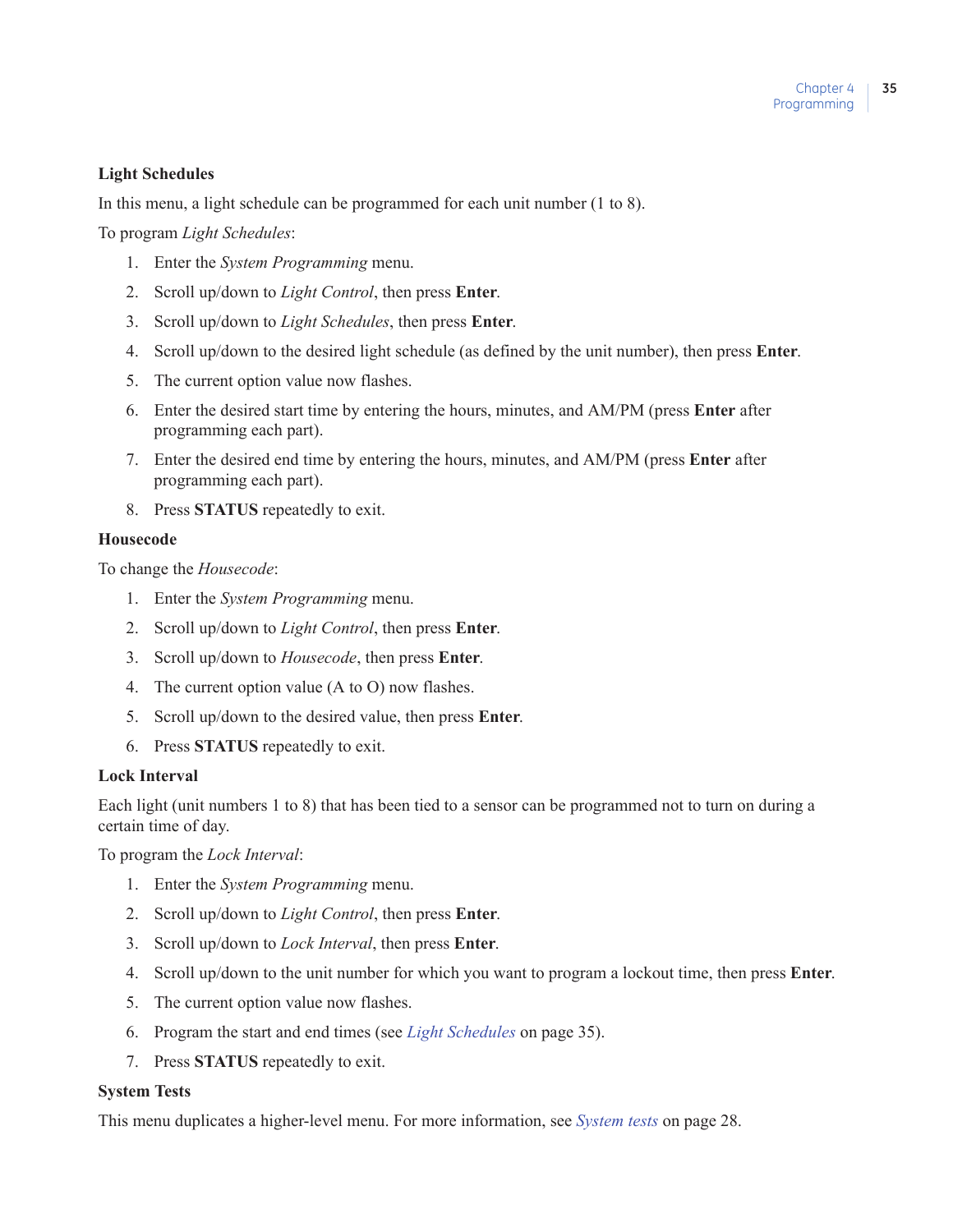#### **Light Schedules**

In this menu, a light schedule can be programmed for each unit number (1 to 8).

To program *Light Schedules*:

- 1. Enter the *System Programming* menu.
- 2. Scroll up/down to *Light Control*, then press **Enter**.
- 3. Scroll up/down to *Light Schedules*, then press **Enter**.
- 4. Scroll up/down to the desired light schedule (as defined by the unit number), then press **Enter**.
- 5. The current option value now flashes.
- 6. Enter the desired start time by entering the hours, minutes, and AM/PM (press **Enter** after programming each part).
- 7. Enter the desired end time by entering the hours, minutes, and AM/PM (press **Enter** after programming each part).
- 8. Press **STATUS** repeatedly to exit.

#### **Housecode**

To change the *Housecode*:

- 1. Enter the *System Programming* menu.
- 2. Scroll up/down to *Light Control*, then press **Enter**.
- 3. Scroll up/down to *Housecode*, then press **Enter**.
- 4. The current option value (A to O) now flashes.
- 5. Scroll up/down to the desired value, then press **Enter**.
- 6. Press **STATUS** repeatedly to exit.

#### **Lock Interval**

Each light (unit numbers 1 to 8) that has been tied to a sensor can be programmed not to turn on during a certain time of day.

To program the *Lock Interval*:

- 1. Enter the *System Programming* menu.
- 2. Scroll up/down to *Light Control*, then press **Enter**.
- 3. Scroll up/down to *Lock Interval*, then press **Enter**.
- 4. Scroll up/down to the unit number for which you want to program a lockout time, then press **Enter**.
- 5. The current option value now flashes.
- 6. Program the start and end times (see *Light Schedules* on page 35).
- 7. Press **STATUS** repeatedly to exit.

#### **System Tests**

This menu duplicates a higher-level menu. For more information, see *System tests* on page 28.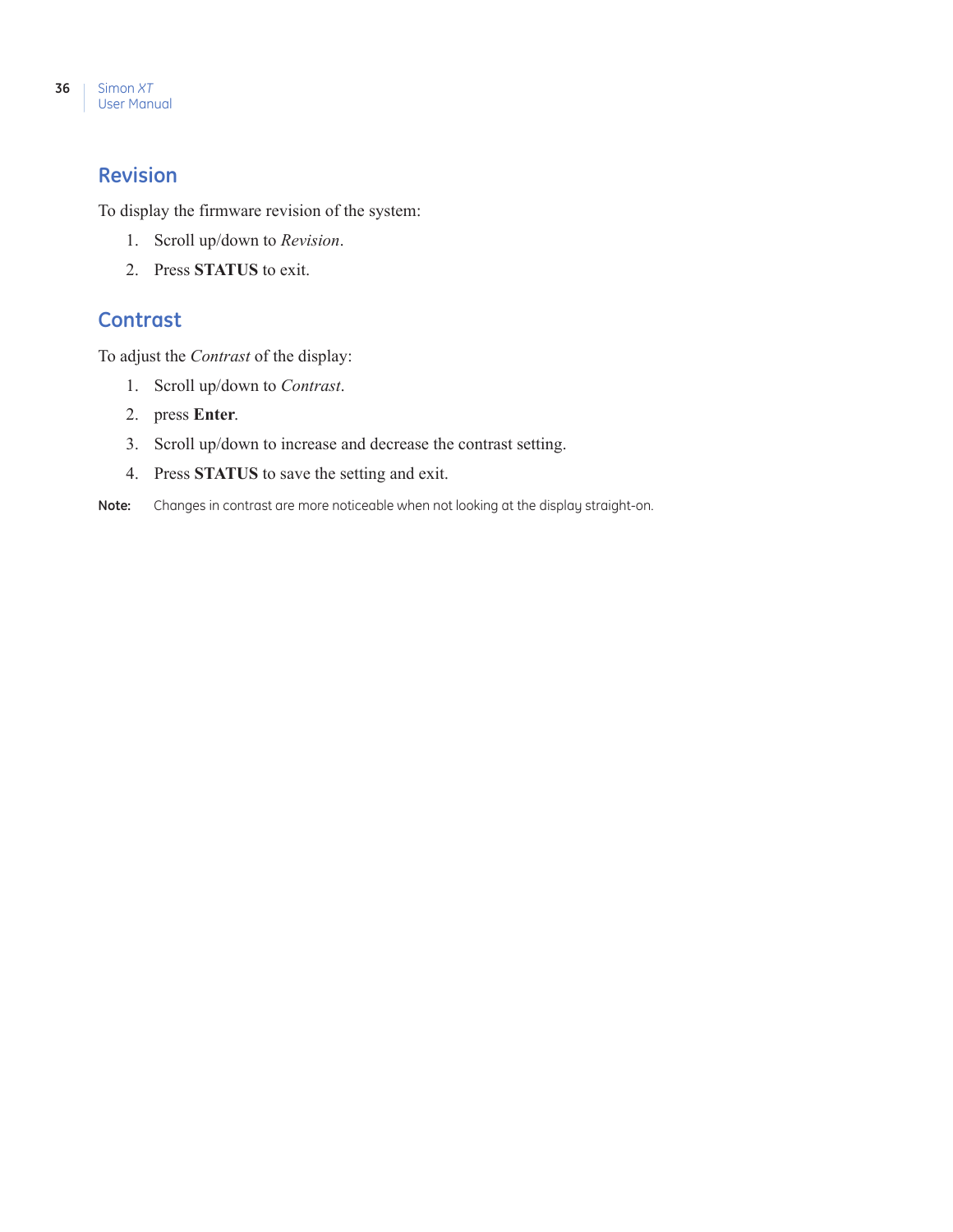## **Revision**

To display the firmware revision of the system:

- 1. Scroll up/down to *Revision*.
- 2. Press **STATUS** to exit.

## **Contrast**

To adjust the *Contrast* of the display:

- 1. Scroll up/down to *Contrast*.
- 2. press **Enter**.
- 3. Scroll up/down to increase and decrease the contrast setting.
- 4. Press **STATUS** to save the setting and exit.

**Note:** Changes in contrast are more noticeable when not looking at the display straight-on.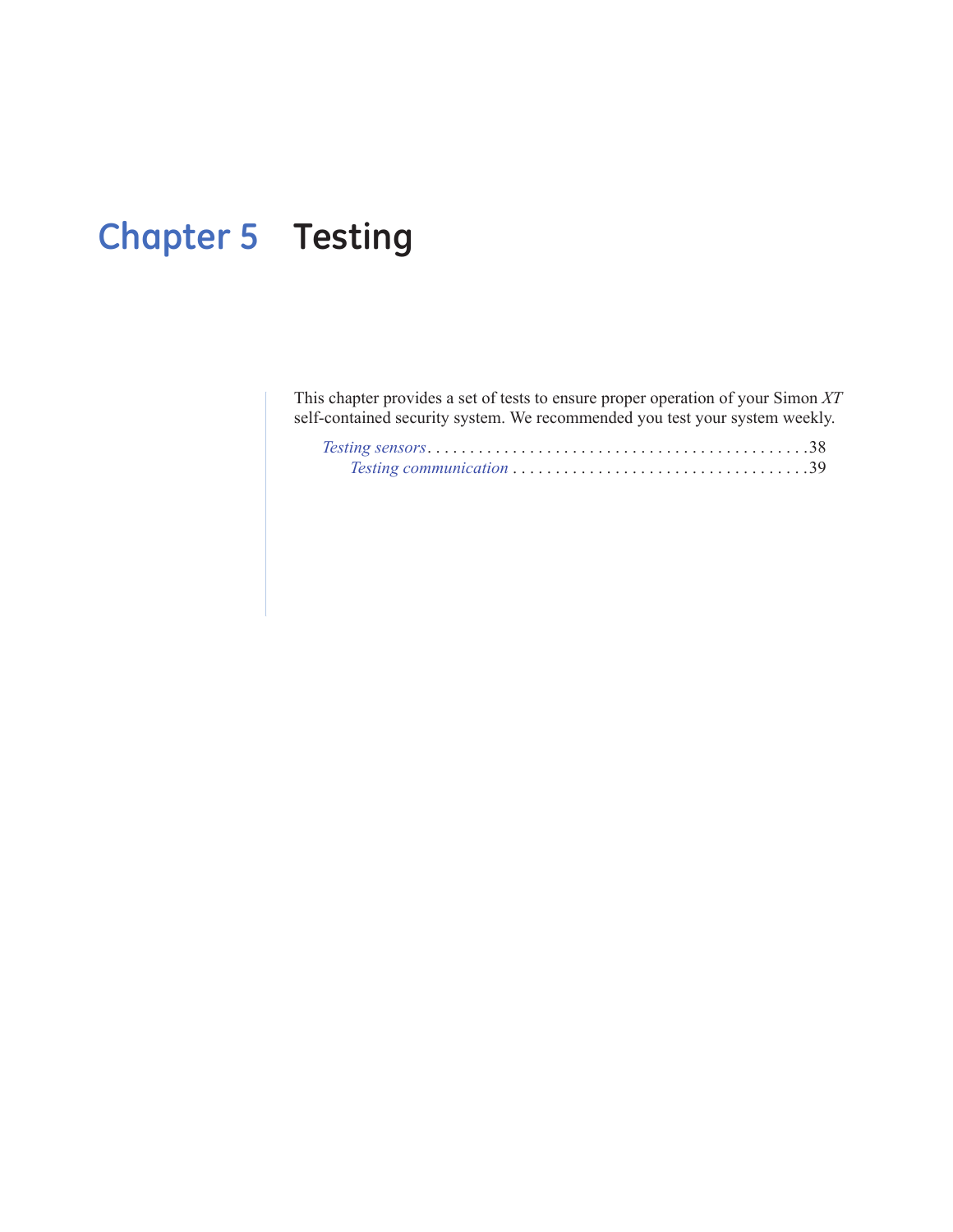# **Chapter 5 Testing**

This chapter provides a set of tests to ensure proper operation of your Simon *XT* self-contained security system. We recommended you test your system weekly.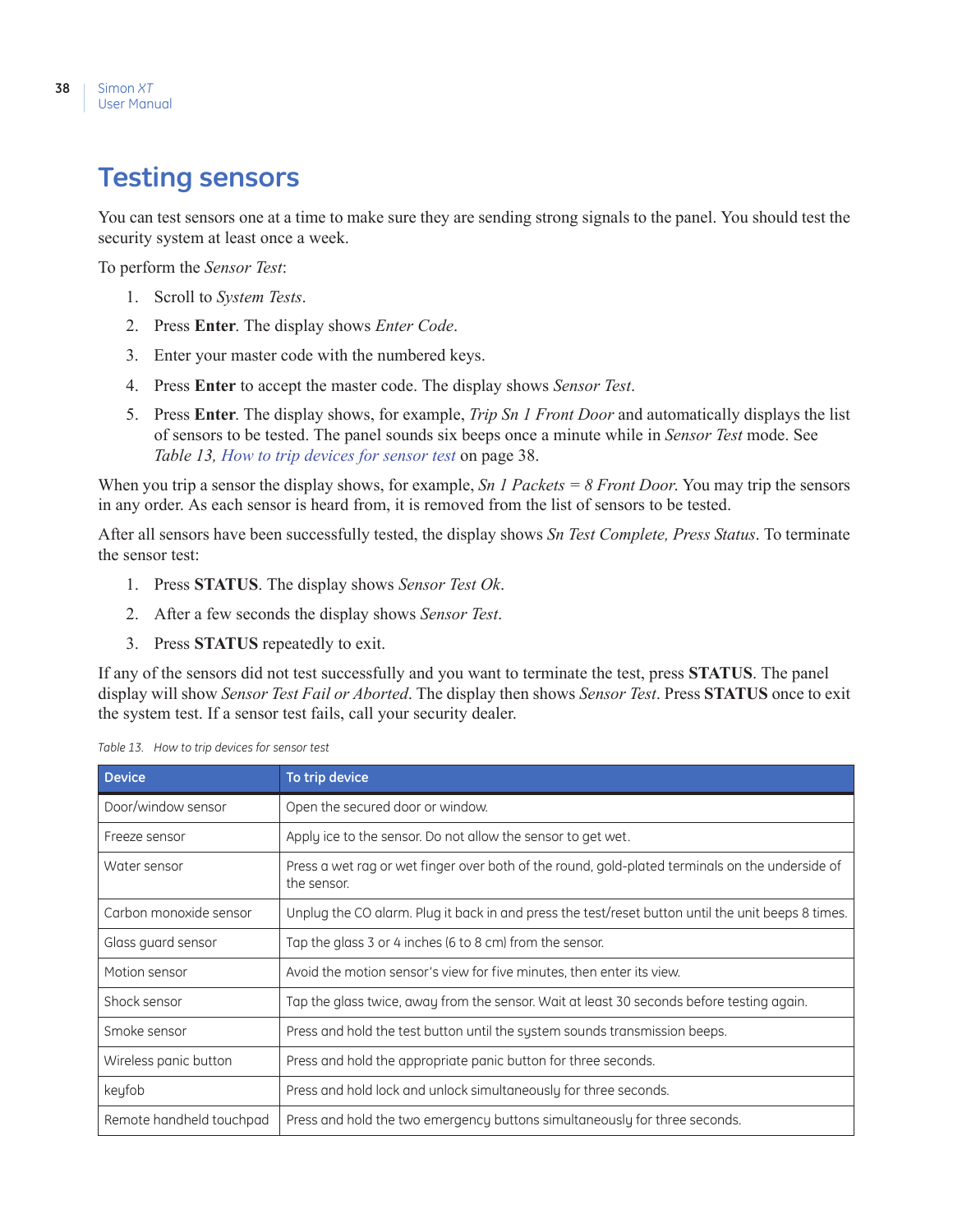## **Testing sensors**

You can test sensors one at a time to make sure they are sending strong signals to the panel. You should test the security system at least once a week.

To perform the *Sensor Test*:

- 1. Scroll to *System Tests*.
- 2. Press **Enter**. The display shows *Enter Code*.
- 3. Enter your master code with the numbered keys.
- 4. Press **Enter** to accept the master code. The display shows *Sensor Test*.
- 5. Press **Enter**. The display shows, for example, *Trip Sn 1 Front Door* and automatically displays the list of sensors to be tested. The panel sounds six beeps once a minute while in *Sensor Test* mode. See *Table 13, How to trip devices for sensor test* on page 38.

When you trip a sensor the display shows, for example, *Sn 1 Packets = 8 Front Door*. You may trip the sensors in any order. As each sensor is heard from, it is removed from the list of sensors to be tested.

After all sensors have been successfully tested, the display shows *Sn Test Complete, Press Status*. To terminate the sensor test:

- 1. Press **STATUS**. The display shows *Sensor Test Ok*.
- 2. After a few seconds the display shows *Sensor Test*.
- 3. Press **STATUS** repeatedly to exit.

If any of the sensors did not test successfully and you want to terminate the test, press **STATUS**. The panel display will show *Sensor Test Fail or Aborted*. The display then shows *Sensor Test*. Press **STATUS** once to exit the system test. If a sensor test fails, call your security dealer.

| <b>Device</b>            | To trip device                                                                                                 |
|--------------------------|----------------------------------------------------------------------------------------------------------------|
| Door/window sensor       | Open the secured door or window.                                                                               |
| Freeze sensor            | Apply ice to the sensor. Do not allow the sensor to get wet.                                                   |
| Water sensor             | Press a wet rag or wet finger over both of the round, gold-plated terminals on the underside of<br>the sensor. |
| Carbon monoxide sensor   | Unplug the CO alarm. Plug it back in and press the test/reset button until the unit beeps 8 times.             |
| Glass guard sensor       | Tap the glass 3 or 4 inches (6 to 8 cm) from the sensor.                                                       |
| Motion sensor            | Avoid the motion sensor's view for five minutes, then enter its view.                                          |
| Shock sensor             | Tap the glass twice, away from the sensor. Wait at least 30 seconds before testing again.                      |
| Smoke sensor             | Press and hold the test button until the system sounds transmission beeps.                                     |
| Wireless panic button    | Press and hold the appropriate panic button for three seconds.                                                 |
| keyfob                   | Press and hold lock and unlock simultaneously for three seconds.                                               |
| Remote handheld touchpad | Press and hold the two emergency buttons simultaneously for three seconds.                                     |

*Table 13. How to trip devices for sensor test*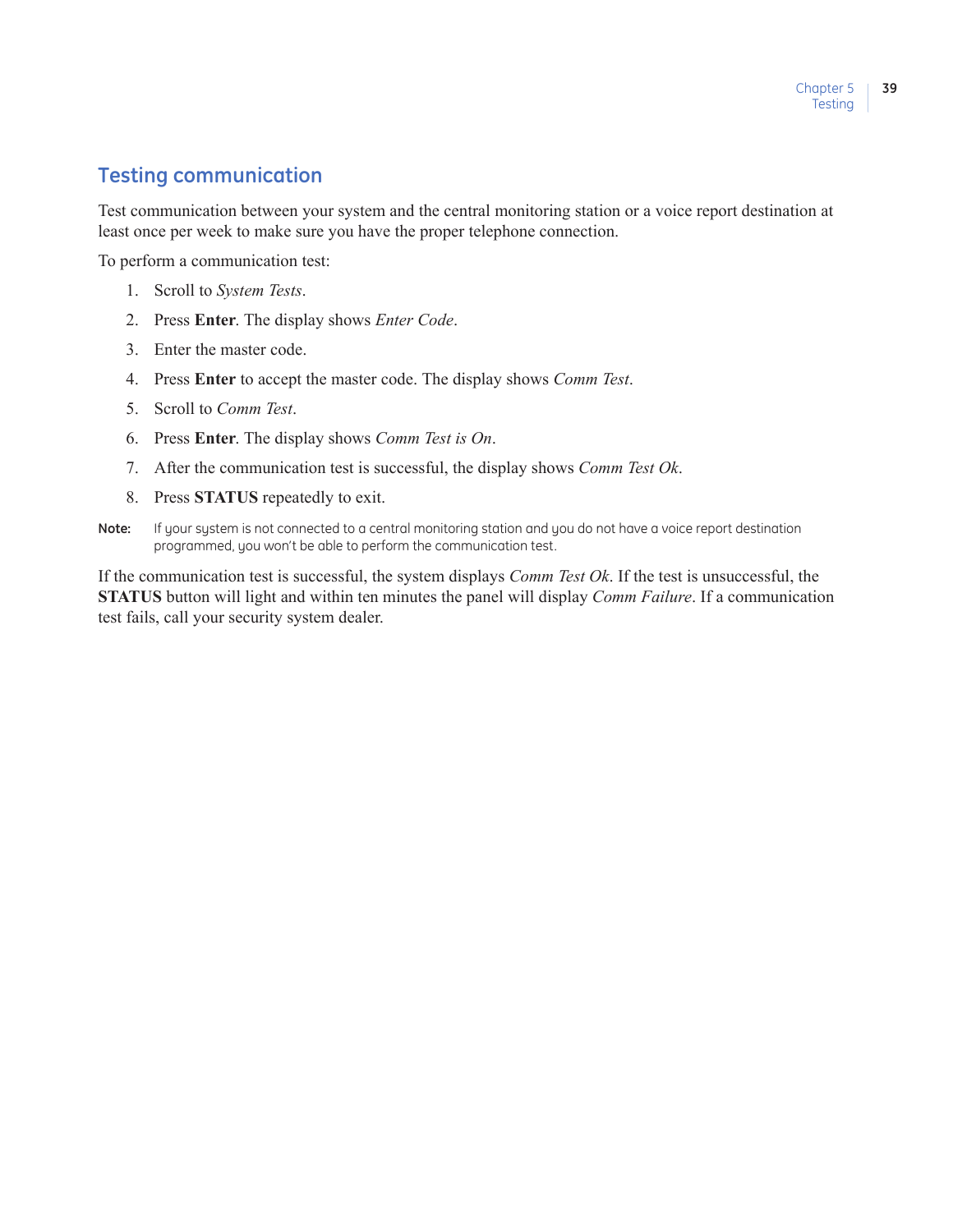## **Testing communication**

Test communication between your system and the central monitoring station or a voice report destination at least once per week to make sure you have the proper telephone connection.

To perform a communication test:

- 1. Scroll to *System Tests*.
- 2. Press **Enter**. The display shows *Enter Code*.
- 3. Enter the master code.
- 4. Press **Enter** to accept the master code. The display shows *Comm Test*.
- 5. Scroll to *Comm Test*.
- 6. Press **Enter**. The display shows *Comm Test is On*.
- 7. After the communication test is successful, the display shows *Comm Test Ok*.
- 8. Press **STATUS** repeatedly to exit.
- **Note:** If your system is not connected to a central monitoring station and you do not have a voice report destination programmed, you won't be able to perform the communication test.

If the communication test is successful, the system displays *Comm Test Ok*. If the test is unsuccessful, the **STATUS** button will light and within ten minutes the panel will display *Comm Failure*. If a communication test fails, call your security system dealer.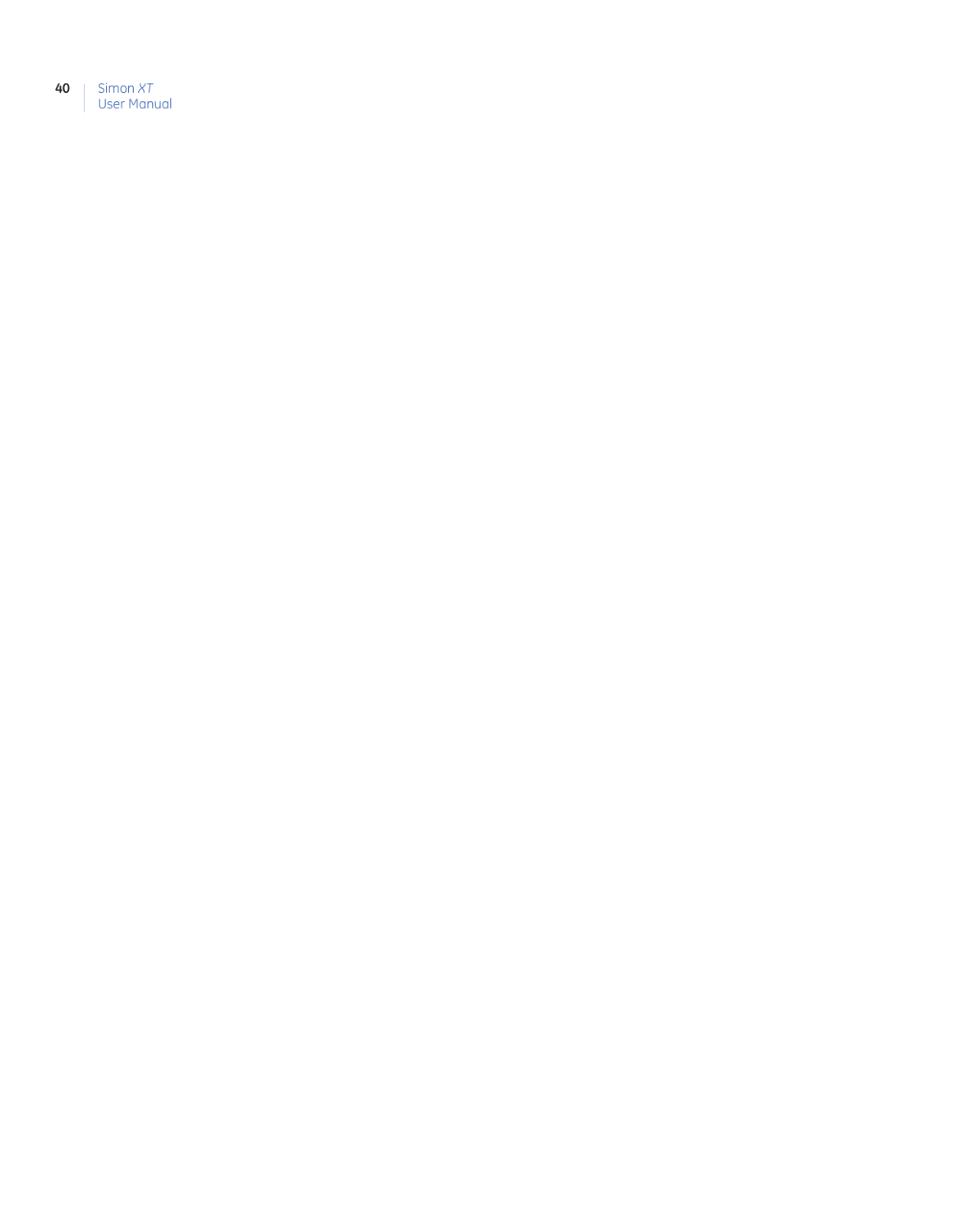Simon *XT* User Manual **40**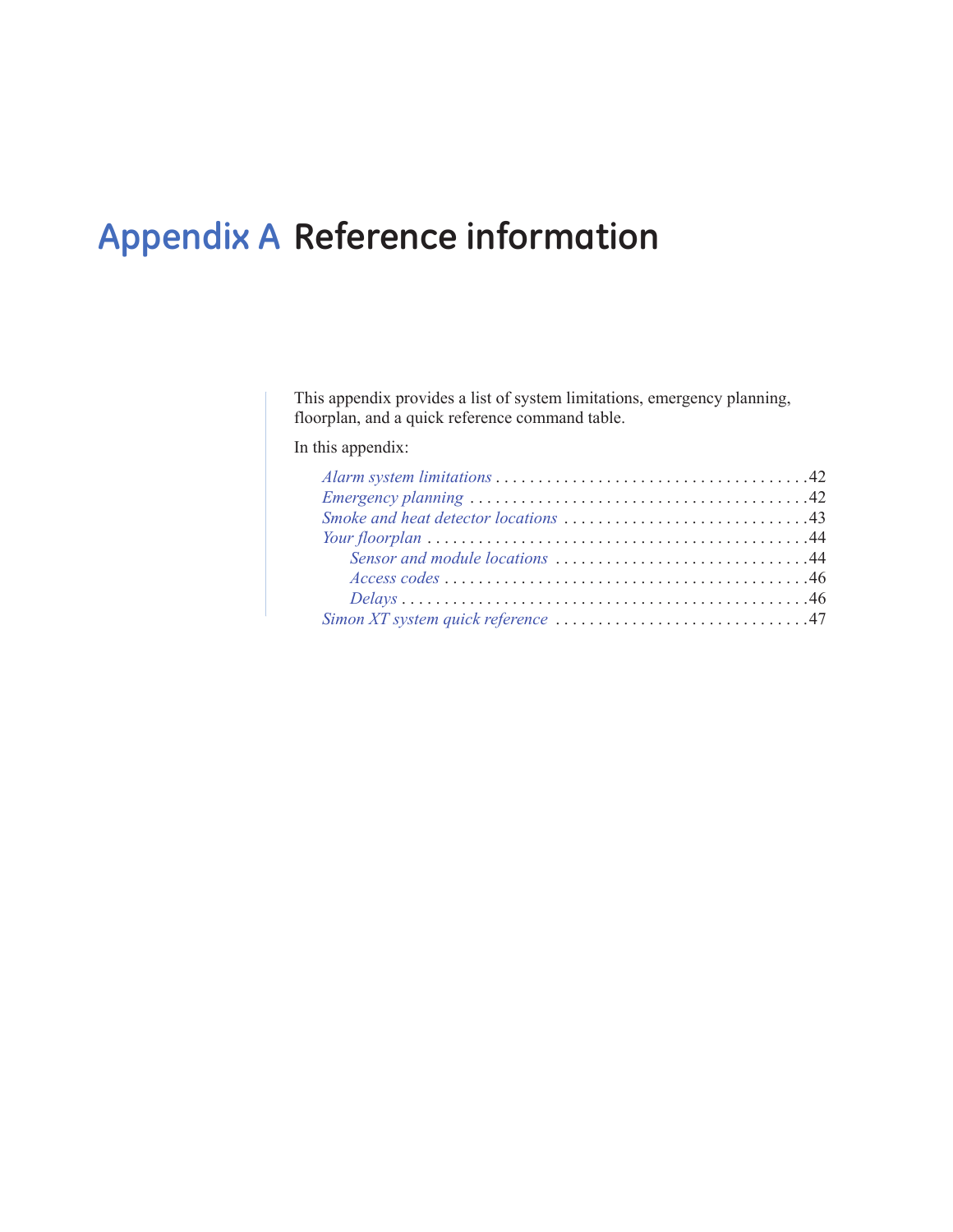# **Appendix A Reference information**

This appendix provides a list of system limitations, emergency planning, floorplan, and a quick reference command table.

In this appendix: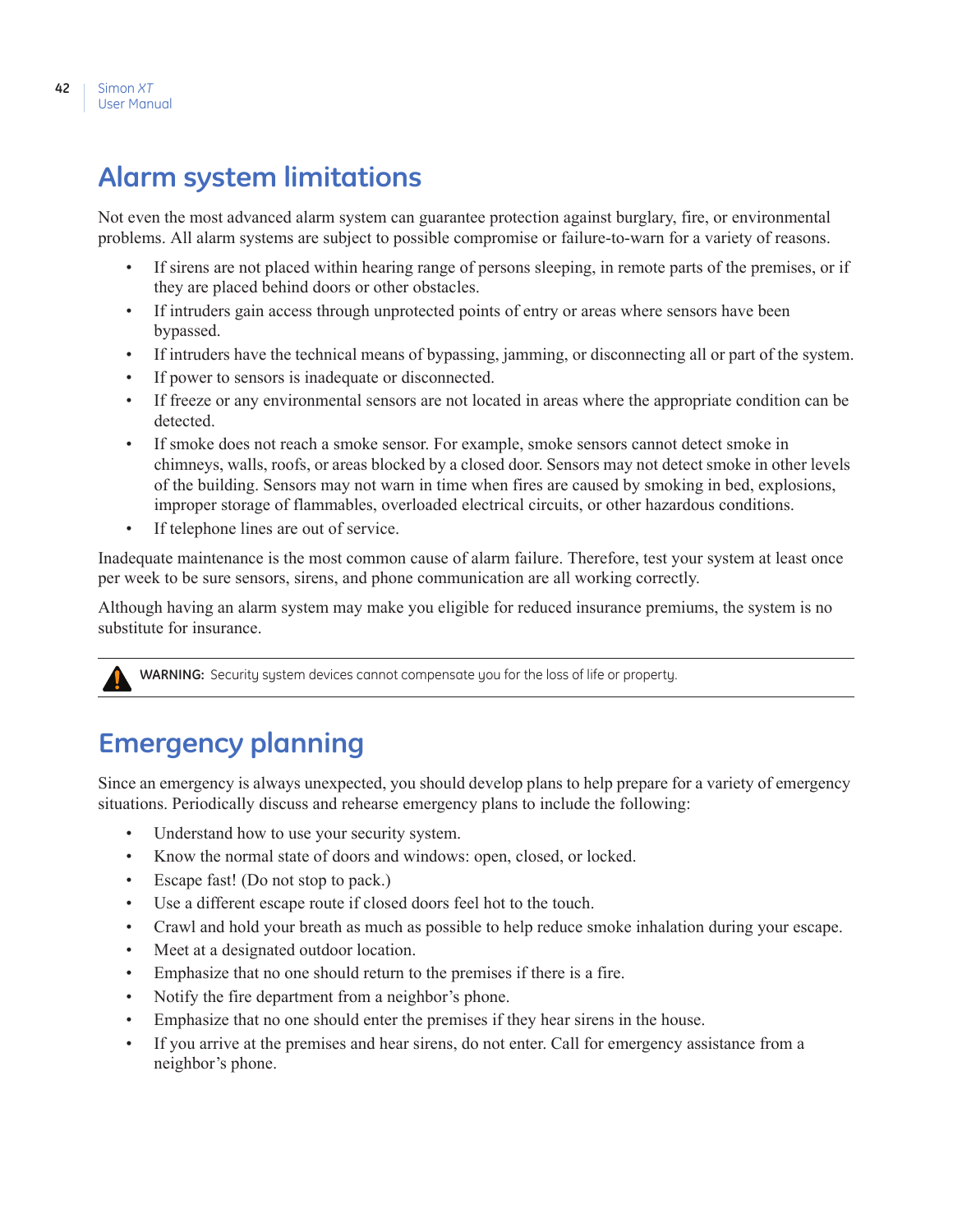Not even the most advanced alarm system can guarantee protection against burglary, fire, or environmental problems. All alarm systems are subject to possible compromise or failure-to-warn for a variety of reasons.

- If sirens are not placed within hearing range of persons sleeping, in remote parts of the premises, or if they are placed behind doors or other obstacles.
- If intruders gain access through unprotected points of entry or areas where sensors have been bypassed.
- If intruders have the technical means of bypassing, jamming, or disconnecting all or part of the system.
- If power to sensors is inadequate or disconnected.
- If freeze or any environmental sensors are not located in areas where the appropriate condition can be detected.
- If smoke does not reach a smoke sensor. For example, smoke sensors cannot detect smoke in chimneys, walls, roofs, or areas blocked by a closed door. Sensors may not detect smoke in other levels of the building. Sensors may not warn in time when fires are caused by smoking in bed, explosions, improper storage of flammables, overloaded electrical circuits, or other hazardous conditions.
- If telephone lines are out of service.

Inadequate maintenance is the most common cause of alarm failure. Therefore, test your system at least once per week to be sure sensors, sirens, and phone communication are all working correctly.

Although having an alarm system may make you eligible for reduced insurance premiums, the system is no substitute for insurance.

**WARNING:** Security system devices cannot compensate you for the loss of life or property.

## **Emergency planning**

Since an emergency is always unexpected, you should develop plans to help prepare for a variety of emergency situations. Periodically discuss and rehearse emergency plans to include the following:

- Understand how to use your security system.
- Know the normal state of doors and windows: open, closed, or locked.
- Escape fast! (Do not stop to pack.)
- Use a different escape route if closed doors feel hot to the touch.
- Crawl and hold your breath as much as possible to help reduce smoke inhalation during your escape.
- Meet at a designated outdoor location.
- Emphasize that no one should return to the premises if there is a fire.
- Notify the fire department from a neighbor's phone.
- Emphasize that no one should enter the premises if they hear sirens in the house.
- If you arrive at the premises and hear sirens, do not enter. Call for emergency assistance from a neighbor's phone.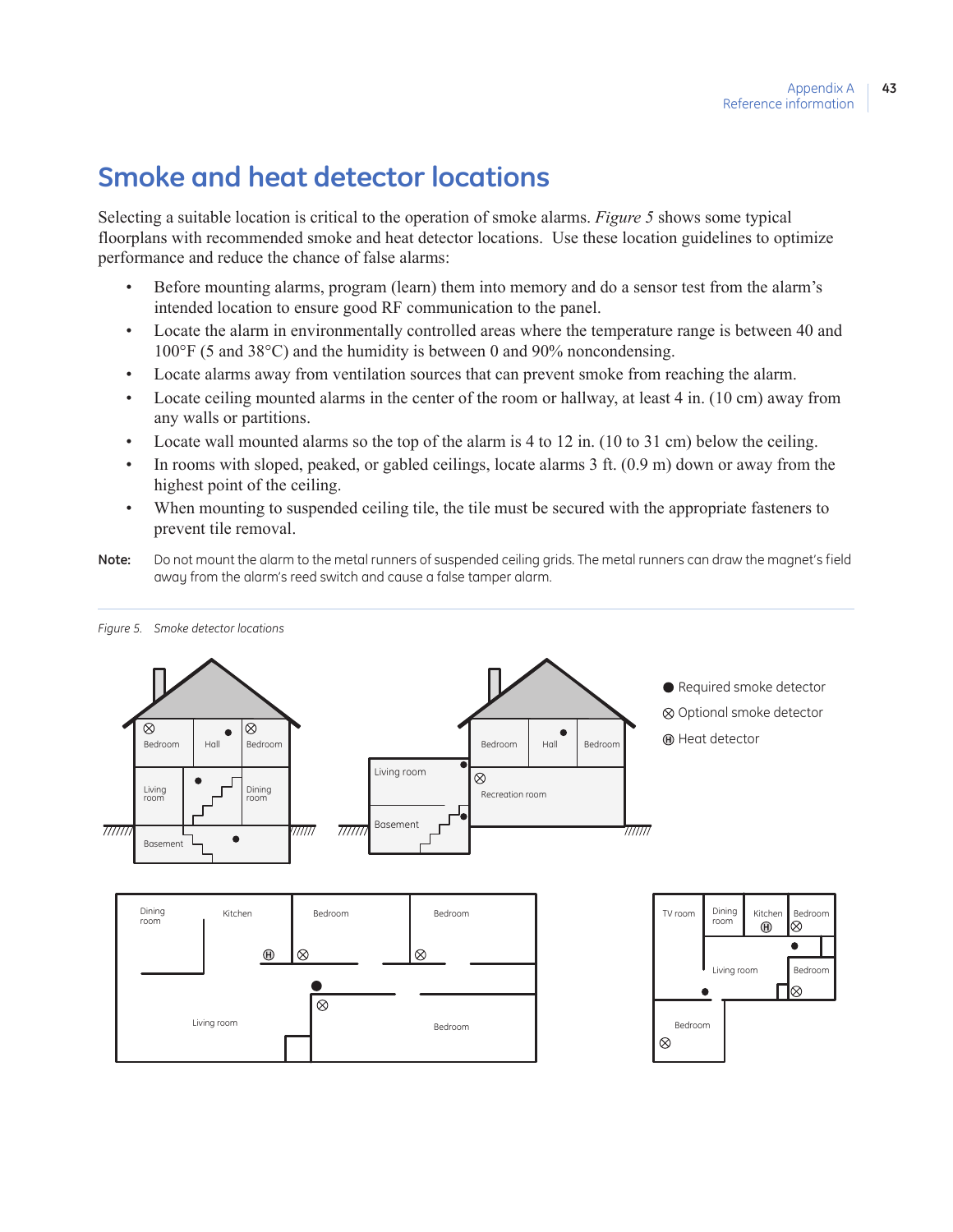## **Smoke and heat detector locations**

Selecting a suitable location is critical to the operation of smoke alarms. *Figure 5* shows some typical floorplans with recommended smoke and heat detector locations. Use these location guidelines to optimize performance and reduce the chance of false alarms:

- Before mounting alarms, program (learn) them into memory and do a sensor test from the alarm's intended location to ensure good RF communication to the panel.
- Locate the alarm in environmentally controlled areas where the temperature range is between 40 and 100°F (5 and 38°C) and the humidity is between 0 and 90% noncondensing.
- Locate alarms away from ventilation sources that can prevent smoke from reaching the alarm.
- Locate ceiling mounted alarms in the center of the room or hallway, at least 4 in. (10 cm) away from any walls or partitions.
- Locate wall mounted alarms so the top of the alarm is 4 to 12 in. (10 to 31 cm) below the ceiling.
- In rooms with sloped, peaked, or gabled ceilings, locate alarms 3 ft. (0.9 m) down or away from the highest point of the ceiling.
- When mounting to suspended ceiling tile, the tile must be secured with the appropriate fasteners to prevent tile removal.



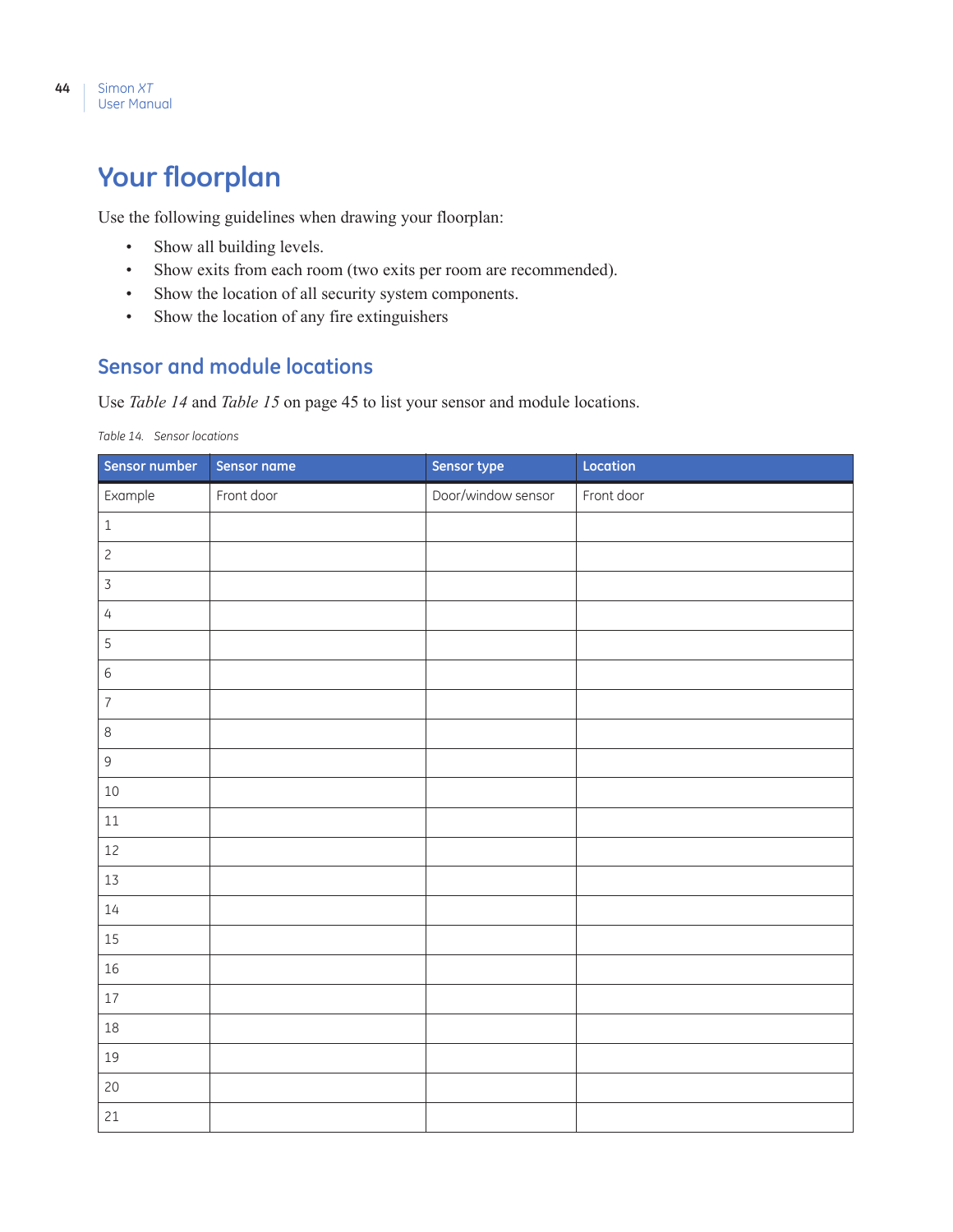## **Your floorplan**

Use the following guidelines when drawing your floorplan:

- Show all building levels.
- Show exits from each room (two exits per room are recommended).
- Show the location of all security system components.
- Show the location of any fire extinguishers

## **Sensor and module locations**

Use *Table 14* and *Table 15* on page 45 to list your sensor and module locations.

*Table 14. Sensor locations*

| Sensor number            | Sensor name | Sensor type        | Location   |
|--------------------------|-------------|--------------------|------------|
| Example                  | Front door  | Door/window sensor | Front door |
| $\,1\,$                  |             |                    |            |
| $\overline{c}$           |             |                    |            |
| $\overline{3}$           |             |                    |            |
| $\sqrt{4}$               |             |                    |            |
| 5                        |             |                    |            |
| $\,$ 6 $\,$              |             |                    |            |
| $\overline{\mathcal{I}}$ |             |                    |            |
| $\,8\,$                  |             |                    |            |
| $\overline{9}$           |             |                    |            |
| 10                       |             |                    |            |
| $11\,$                   |             |                    |            |
| $12\,$                   |             |                    |            |
| 13                       |             |                    |            |
| $14$                     |             |                    |            |
| $15\,$                   |             |                    |            |
| $16\,$                   |             |                    |            |
| $17\,$                   |             |                    |            |
| $18\,$                   |             |                    |            |
| 19                       |             |                    |            |
| 20                       |             |                    |            |
| 21                       |             |                    |            |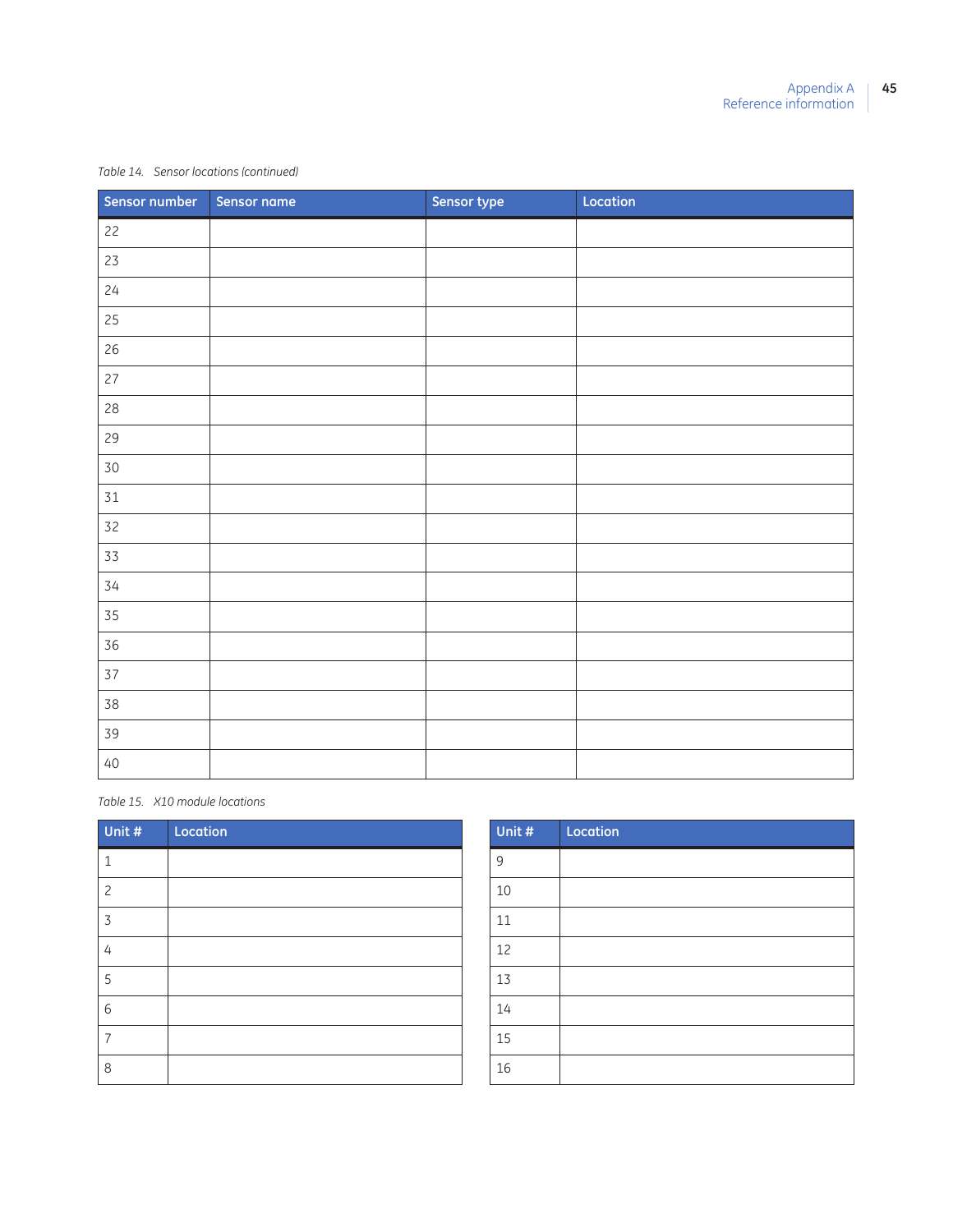#### *Table 14. Sensor locations (continued)*

| Sensor number | Sensor name | Sensor type | Location |
|---------------|-------------|-------------|----------|
| 22            |             |             |          |
| 23            |             |             |          |
| 24            |             |             |          |
| 25            |             |             |          |
| 26            |             |             |          |
| 27            |             |             |          |
| 28            |             |             |          |
| 29            |             |             |          |
| 30            |             |             |          |
| 31            |             |             |          |
| 32            |             |             |          |
| 33            |             |             |          |
| 34            |             |             |          |
| 35            |             |             |          |
| 36            |             |             |          |
| 37            |             |             |          |
| 38            |             |             |          |
| 39            |             |             |          |
| 40            |             |             |          |

*Table 15. X10 module locations*

| Unit #         | Location | Unit # | Location |
|----------------|----------|--------|----------|
|                |          | 9      |          |
| $\overline{c}$ |          | 10     |          |
| 3              |          | 11     |          |
| 4              |          | 12     |          |
| 5              |          | 13     |          |
| 6              |          | 14     |          |
| 7              |          | 15     |          |
| 8              |          | 16     |          |

| Unit # | Location |
|--------|----------|
| 9      |          |
| 10     |          |
| 11     |          |
| 12     |          |
| 13     |          |
| 14     |          |
| 15     |          |
| 16     |          |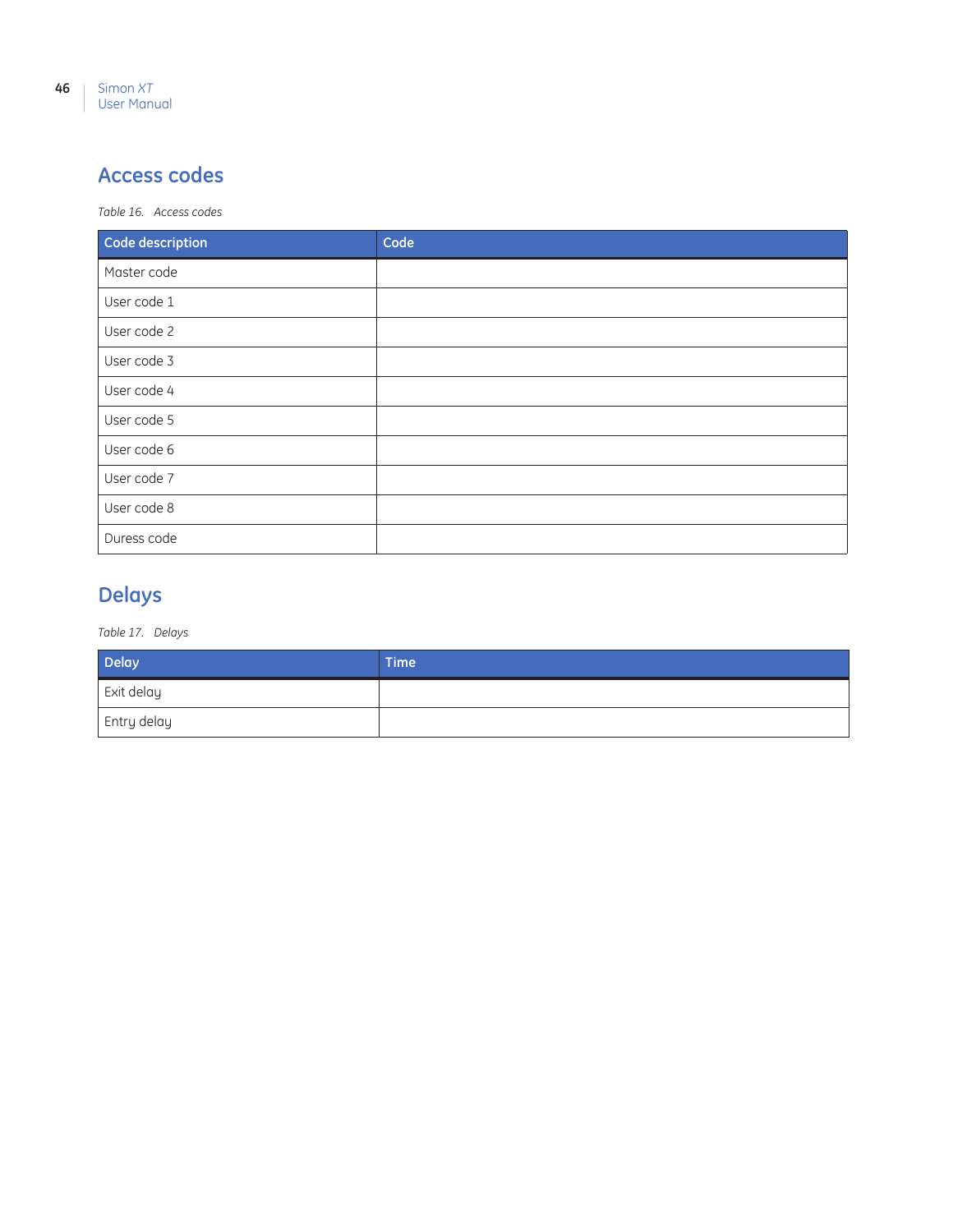## **Access codes**

#### *Table 16. Access codes*

| Code description | Code |
|------------------|------|
| Master code      |      |
| User code 1      |      |
| User code 2      |      |
| User code 3      |      |
| User code 4      |      |
| User code 5      |      |
| User code 6      |      |
| User code 7      |      |
| User code 8      |      |
| Duress code      |      |

## **Delays**

#### *Table 17. Delays*

| <b>Delay</b> | Time |
|--------------|------|
| Exit delay   |      |
| Entry delay  |      |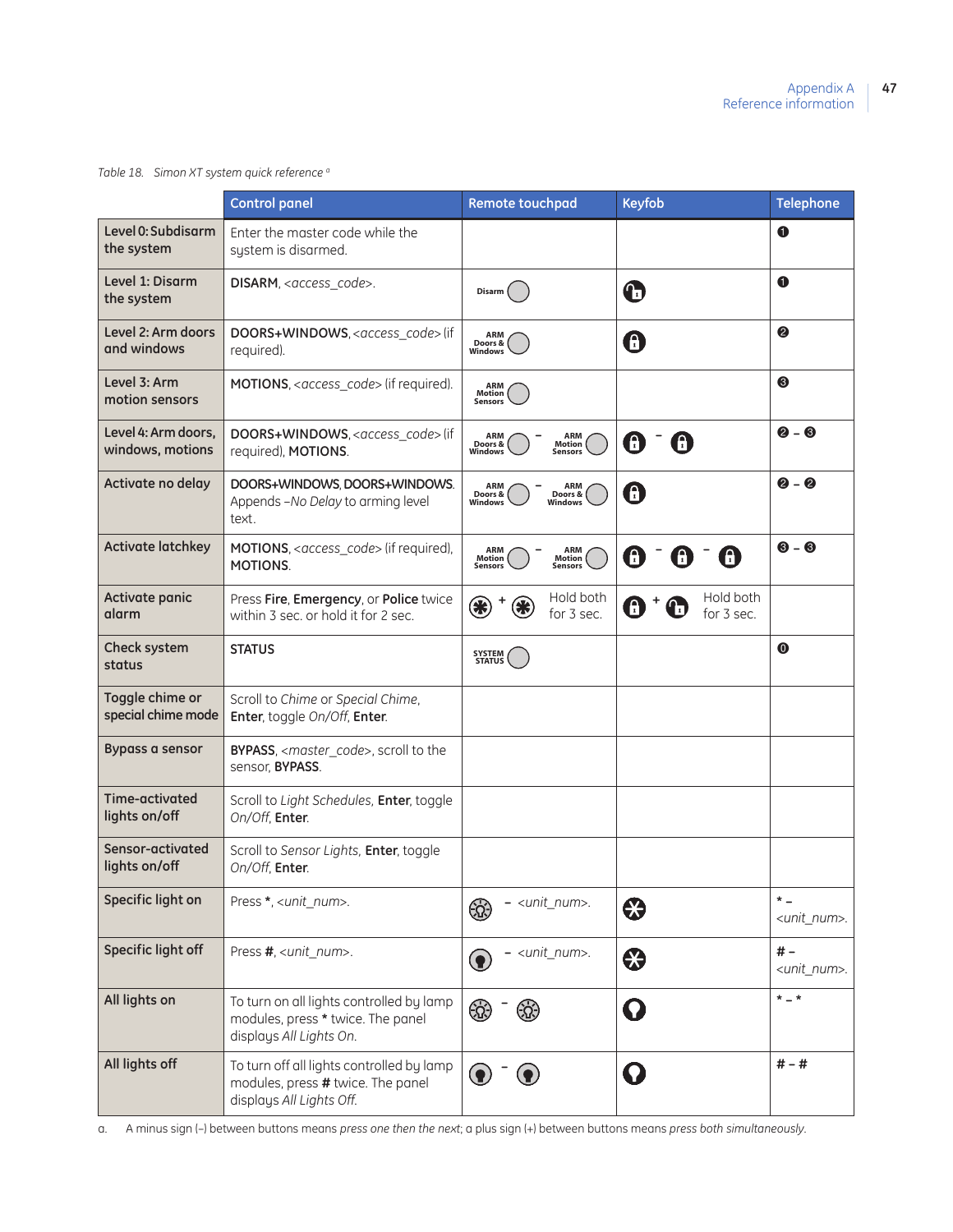*Table 18. Simon XT system quick reference <sup>a</sup>*

|                                         | <b>Control panel</b>                                                                                       | <b>Remote touchpad</b>                                               | <b>Keyfob</b>                | <b>Telephone</b>                  |
|-----------------------------------------|------------------------------------------------------------------------------------------------------------|----------------------------------------------------------------------|------------------------------|-----------------------------------|
| Level 0: Subdisarm<br>the system        | Enter the master code while the<br>system is disarmed.                                                     |                                                                      |                              | $\mathbf 0$                       |
| Level 1: Disarm<br>the system           | DISARM, <access_code>.</access_code>                                                                       | Disarm                                                               | $\bf \bf G$                  | $\bullet$                         |
| Level 2: Arm doors<br>and windows       | DOORS+WINDOWS, <access_code>(if<br/>required).</access_code>                                               | ARM<br>Doors &<br>Windows                                            | 0                            | 0                                 |
| Level 3: Arm<br>motion sensors          | MOTIONS, <access code=""> (if required).</access>                                                          | ARM<br>Motion<br><b>Sensors</b>                                      |                              | ❸                                 |
| Level 4: Arm doors,<br>windows, motions | DOORS+WINDOWS, <access_code>(if<br/>required), MOTIONS.</access_code>                                      | ARM<br>ARM<br>Motion (<br>Doors &<br>Windows<br><b>Sensors</b>       | 0<br>G                       | 0 - O                             |
| Activate no delay                       | DOORS+WINDOWS, DOORS+WINDOWS.<br>Appends -No Delay to arming level<br>text.                                | ARM<br>Doors &<br>ARM<br>Doors &<br><b>Windows</b><br><b>Windows</b> | O                            | <b>0 - 0</b>                      |
| <b>Activate latchkey</b>                | MOTIONS, <access_code> (if required),<br/><b>MOTIONS.</b></access_code>                                    | ARM<br>ARM<br>Motion<br>Motion<br>Sensors<br><b>Sensors</b>          | 0<br>$\bigcirc$<br>O         | 6 - Յ                             |
| Activate panic<br>alarm                 | Press Fire, Emergency, or Police twice<br>within 3 sec. or hold it for 2 sec.                              | Hold both<br><b>OF</b><br>(*)<br>for 3 sec.                          | Hold both<br>0<br>for 3 sec. |                                   |
| Check system<br>status                  | <b>STATUS</b>                                                                                              | <b>SYSTEM</b><br>STATUS                                              |                              | $\bf{O}$                          |
| Toggle chime or<br>special chime mode   | Scroll to Chime or Special Chime,<br>Enter, toggle On/Off, Enter.                                          |                                                                      |                              |                                   |
| Bypass a sensor                         | BYPASS, <master_code>, scroll to the<br/>sensor, BYPASS.</master_code>                                     |                                                                      |                              |                                   |
| Time-activated<br>lights on/off         | Scroll to Light Schedules, Enter, toggle<br>On/Off, Enter.                                                 |                                                                      |                              |                                   |
| Sensor-activated<br>lights on/off       | Scroll to Sensor Lights, Enter, toggle<br>On/Off, Enter.                                                   |                                                                      |                              |                                   |
| Specific light on                       | Press *, <unit_num>.</unit_num>                                                                            | - <unit_num>.<br/>ශි</unit_num>                                      | €Э                           | $*$ $-$<br><unit_num>.</unit_num> |
| Specific light off                      | Press #, <unit_num>.</unit_num>                                                                            | - <unit_num>.<br/>Q</unit_num>                                       | ↔                            | $# -$<br><unit_num>.</unit_num>   |
| All lights on                           | To turn on all lights controlled by lamp<br>modules, press * twice. The panel<br>displays All Lights On.   | <u>(හි</u><br><u>(හි</u>                                             | $\mathbf Q$                  | $\star$ _ $\star$                 |
| All lights off                          | To turn off all lights controlled by lamp<br>modules, press # twice. The panel<br>displays All Lights Off. | $\mathbf Q$                                                          | $\mathbf \Omega$             | $# - #$                           |

a. A minus sign (–) between buttons means *press one then the next*; a plus sign (+) between buttons means *press both simultaneously*.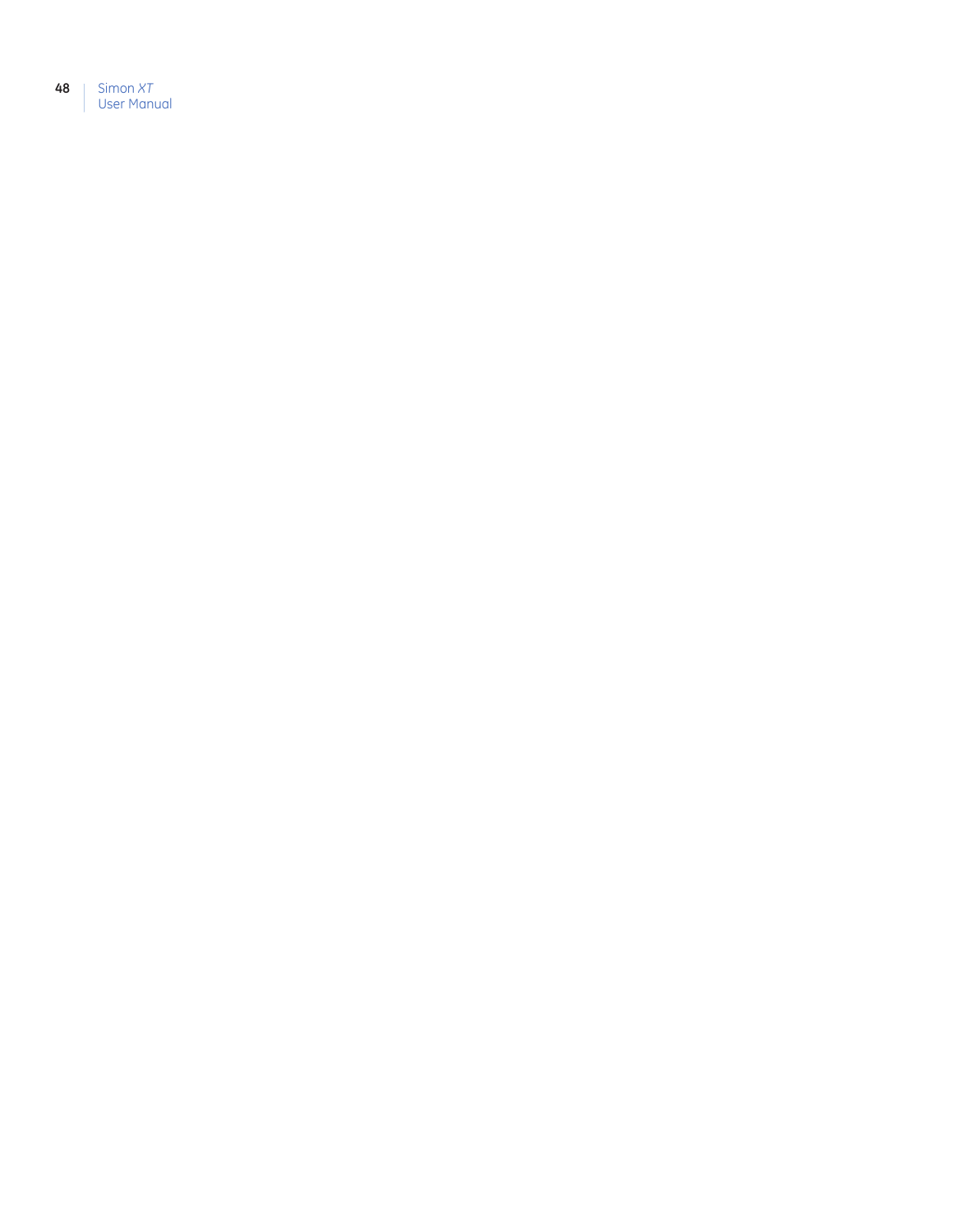Simon *XT* **48**User Manual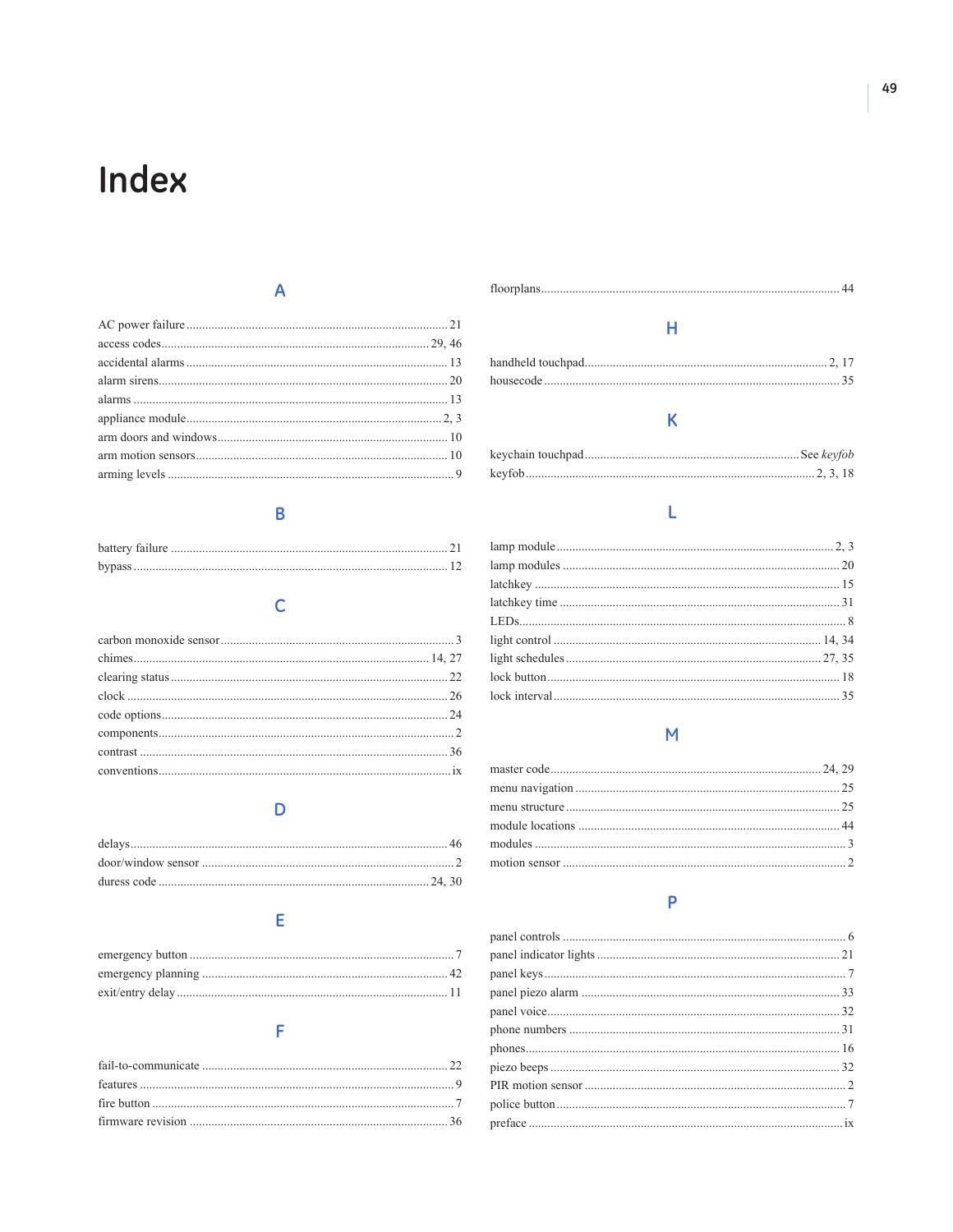# Index

### $\overline{A}$

## $\overline{\mathbf{B}}$

## $\mathsf{C}$

## D

## $\overline{\mathsf{E}}$

## $\overline{F}$

|--|

## $\boldsymbol{\mathsf{H}}$

## $\mathsf{K}$

## $\mathsf L$

### $\overline{M}$

## P